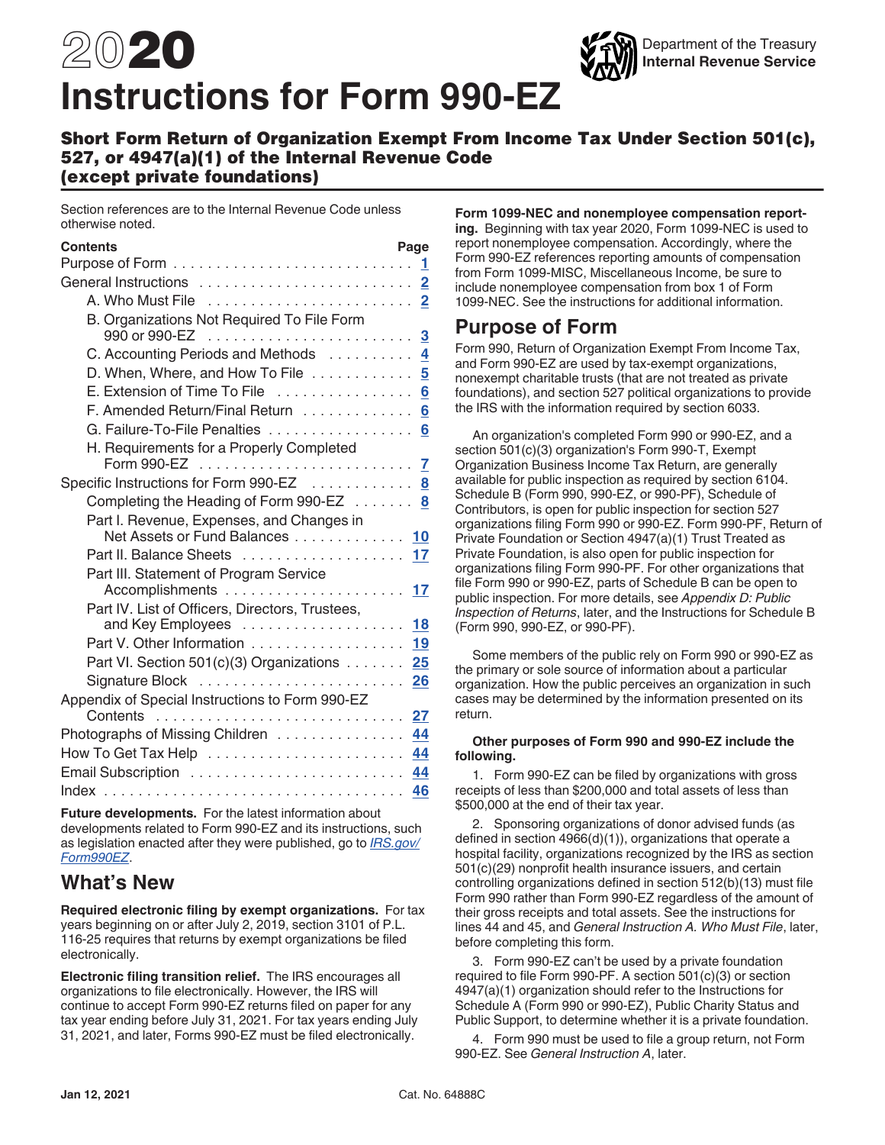# <span id="page-0-0"></span>2020 **Instructions for Form 990-EZ**



#### Short Form Return of Organization Exempt From Income Tax Under Section 501(c), 527, or 4947(a)(1) of the Internal Revenue Code (except private foundations)

Section references are to the Internal Revenue Code unless otherwise noted.

| <b>Contents</b>                                       | Page |  |
|-------------------------------------------------------|------|--|
|                                                       | 1    |  |
|                                                       | 2    |  |
|                                                       | 2    |  |
| B. Organizations Not Required To File Form            | 3    |  |
| C. Accounting Periods and Methods                     | 4    |  |
| D. When, Where, and How To File                       | 5    |  |
| E. Extension of Time To File                          | 6    |  |
| F. Amended Return/Final Return                        | 6    |  |
| G. Failure-To-File Penalties                          | 6    |  |
| H. Requirements for a Properly Completed              |      |  |
|                                                       | 7    |  |
| Specific Instructions for Form 990-EZ                 | 8    |  |
| Completing the Heading of Form 990-EZ $\ldots \ldots$ | 8    |  |
| Part I. Revenue, Expenses, and Changes in             |      |  |
| Net Assets or Fund Balances 10                        |      |  |
| Part II. Balance Sheets  17                           |      |  |
| Part III. Statement of Program Service                |      |  |
|                                                       | 17   |  |
| Part IV. List of Officers, Directors, Trustees,       |      |  |
|                                                       | 18   |  |
| Part V. Other Information                             | 19   |  |
| Part VI. Section 501(c)(3) Organizations              | 25   |  |
|                                                       | 26   |  |
| Appendix of Special Instructions to Form 990-EZ       |      |  |
| Contents                                              | 27   |  |
| Photographs of Missing Children                       | 44   |  |
|                                                       | 44   |  |
|                                                       | 44   |  |
| Index                                                 | 46   |  |
|                                                       |      |  |

**Future developments.** For the latest information about developments related to Form 990-EZ and its instructions, such as legislation enacted after they were published, go to *[IRS.gov/](https://www.irs.gov/form990ez) [Form990EZ](https://www.irs.gov/form990ez)*.

# **What's New**

**Required electronic filing by exempt organizations.** For tax years beginning on or after July 2, 2019, section 3101 of P.L. 116-25 requires that returns by exempt organizations be filed electronically.

**Electronic filing transition relief.** The IRS encourages all organizations to file electronically. However, the IRS will continue to accept Form 990-EZ returns filed on paper for any tax year ending before July 31, 2021. For tax years ending July 31, 2021, and later, Forms 990-EZ must be filed electronically.

**Form 1099-NEC and nonemployee compensation reporting.** Beginning with tax year 2020, Form 1099-NEC is used to report nonemployee compensation. Accordingly, where the Form 990-EZ references reporting amounts of compensation from Form 1099-MISC, Miscellaneous Income, be sure to include nonemployee compensation from box 1 of Form 1099-NEC. See the instructions for additional information.

# **Purpose of Form**

Form 990, Return of Organization Exempt From Income Tax, and Form 990-EZ are used by tax-exempt organizations, nonexempt charitable trusts (that are not treated as private foundations), and section 527 political organizations to provide the IRS with the information required by section 6033.

An organization's completed Form 990 or 990-EZ, and a section 501(c)(3) organization's Form 990-T, Exempt Organization Business Income Tax Return, are generally available for public inspection as required by section 6104. Schedule B (Form 990, 990-EZ, or 990-PF), Schedule of Contributors, is open for public inspection for section 527 organizations filing Form 990 or 990-EZ. Form 990-PF, Return of Private Foundation or Section 4947(a)(1) Trust Treated as Private Foundation, is also open for public inspection for organizations filing Form 990-PF. For other organizations that file Form 990 or 990-EZ, parts of Schedule B can be open to public inspection. For more details, see *Appendix D: Public Inspection of Returns*, later, and the Instructions for Schedule B (Form 990, 990-EZ, or 990-PF).

Some members of the public rely on Form 990 or 990-EZ as the primary or sole source of information about a particular organization. How the public perceives an organization in such cases may be determined by the information presented on its return.

#### **Other purposes of Form 990 and 990-EZ include the following.**

1. Form 990-EZ can be filed by organizations with gross receipts of less than \$200,000 and total assets of less than \$500,000 at the end of their tax year.

2. Sponsoring organizations of donor advised funds (as defined in section 4966(d)(1)), organizations that operate a hospital facility, organizations recognized by the IRS as section 501(c)(29) nonprofit health insurance issuers, and certain controlling organizations defined in section 512(b)(13) must file Form 990 rather than Form 990-EZ regardless of the amount of their gross receipts and total assets. See the instructions for lines 44 and 45, and *General Instruction A. Who Must File*, later, before completing this form.

3. Form 990-EZ can't be used by a private foundation required to file Form 990-PF. A section 501(c)(3) or section 4947(a)(1) organization should refer to the Instructions for Schedule A (Form 990 or 990-EZ), Public Charity Status and Public Support, to determine whether it is a private foundation.

4. Form 990 must be used to file a group return, not Form 990-EZ. See *General Instruction A*, later.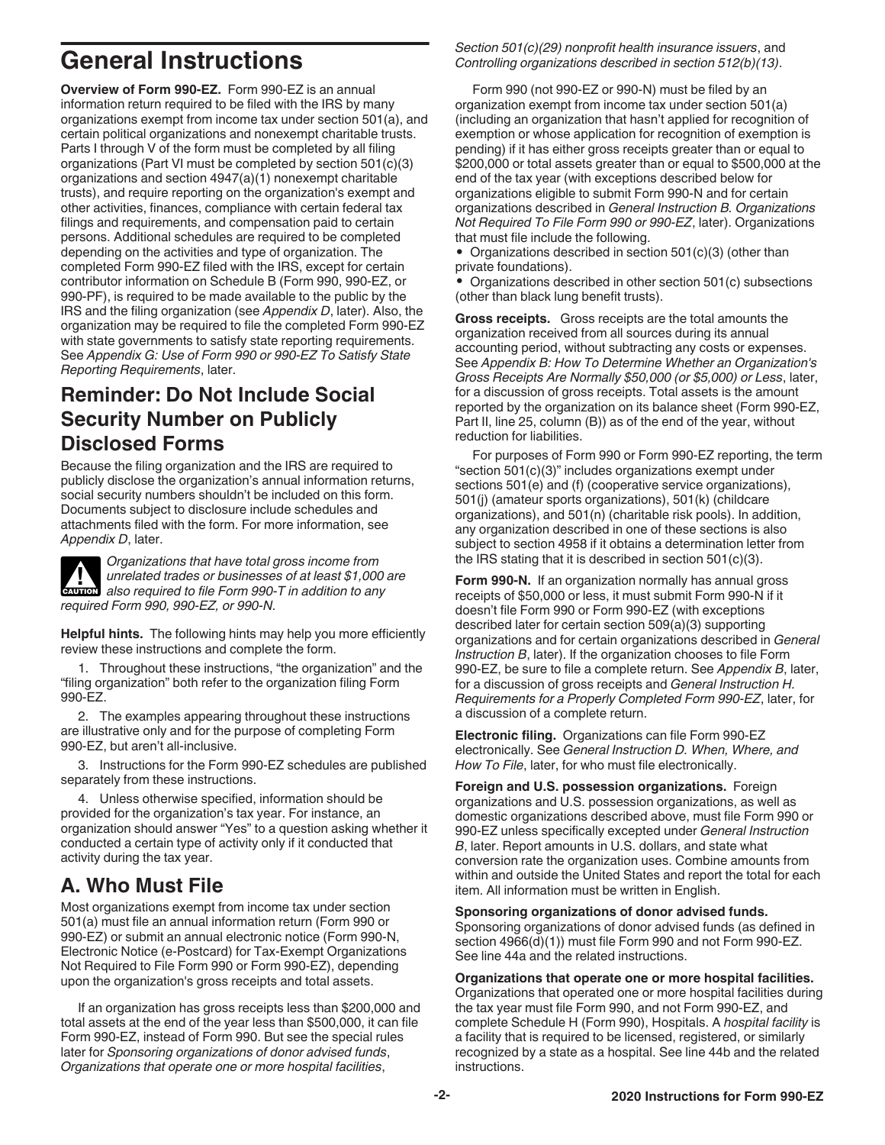# <span id="page-1-0"></span>**General Instructions**

**Overview of Form 990-EZ.** Form 990-EZ is an annual information return required to be filed with the IRS by many organizations exempt from income tax under section 501(a), and certain political organizations and nonexempt charitable trusts. Parts I through V of the form must be completed by all filing organizations (Part VI must be completed by section 501(c)(3) organizations and section 4947(a)(1) nonexempt charitable trusts), and require reporting on the organization's exempt and other activities, finances, compliance with certain federal tax filings and requirements, and compensation paid to certain persons. Additional schedules are required to be completed depending on the activities and type of organization. The completed Form 990-EZ filed with the IRS, except for certain contributor information on Schedule B (Form 990, 990-EZ, or 990-PF), is required to be made available to the public by the IRS and the filing organization (see *Appendix D*, later). Also, the organization may be required to file the completed Form 990-EZ with state governments to satisfy state reporting requirements. See *Appendix G: Use of Form 990 or 990-EZ To Satisfy State Reporting Requirements*, later.

# **Reminder: Do Not Include Social Security Number on Publicly Disclosed Forms**

Because the filing organization and the IRS are required to publicly disclose the organization's annual information returns, social security numbers shouldn't be included on this form. Documents subject to disclosure include schedules and attachments filed with the form. For more information, see *Appendix D*, later.

**CAUTION !**

*Organizations that have total gross income from unrelated trades or businesses of at least \$1,000 are also required to file Form 990-T in addition to any required Form 990, 990-EZ, or 990-N.*

**Helpful hints.** The following hints may help you more efficiently review these instructions and complete the form.

1. Throughout these instructions, "the organization" and the "filing organization" both refer to the organization filing Form 990-EZ.

2. The examples appearing throughout these instructions are illustrative only and for the purpose of completing Form 990-EZ, but aren't all-inclusive.

3. Instructions for the Form 990-EZ schedules are published separately from these instructions.

4. Unless otherwise specified, information should be provided for the organization's tax year. For instance, an organization should answer "Yes" to a question asking whether it conducted a certain type of activity only if it conducted that activity during the tax year.

# **A. Who Must File**

Most organizations exempt from income tax under section 501(a) must file an annual information return (Form 990 or 990-EZ) or submit an annual electronic notice (Form 990-N, Electronic Notice (e-Postcard) for Tax-Exempt Organizations Not Required to File Form 990 or Form 990-EZ), depending upon the organization's gross receipts and total assets.

If an organization has gross receipts less than \$200,000 and total assets at the end of the year less than \$500,000, it can file Form 990-EZ, instead of Form 990. But see the special rules later for *Sponsoring organizations of donor advised funds*, *Organizations that operate one or more hospital facilities*,

*Section 501(c)(29) nonprofit health insurance issuers*, and *Controlling organizations described in section 512(b)(13)*.

Form 990 (not 990-EZ or 990-N) must be filed by an organization exempt from income tax under section 501(a) (including an organization that hasn't applied for recognition of exemption or whose application for recognition of exemption is pending) if it has either gross receipts greater than or equal to \$200,000 or total assets greater than or equal to \$500,000 at the end of the tax year (with exceptions described below for organizations eligible to submit Form 990-N and for certain organizations described in *General Instruction B. Organizations Not Required To File Form 990 or 990-EZ*, later). Organizations that must file include the following.

• Organizations described in section 501(c)(3) (other than private foundations).

• Organizations described in other section 501(c) subsections (other than black lung benefit trusts).

**Gross receipts.** Gross receipts are the total amounts the organization received from all sources during its annual accounting period, without subtracting any costs or expenses. See *Appendix B: How To Determine Whether an Organization's Gross Receipts Are Normally \$50,000 (or \$5,000) or Less*, later, for a discussion of gross receipts. Total assets is the amount reported by the organization on its balance sheet (Form 990-EZ, Part II, line 25, column (B)) as of the end of the year, without reduction for liabilities.

For purposes of Form 990 or Form 990-EZ reporting, the term "section 501(c)(3)" includes organizations exempt under sections 501(e) and (f) (cooperative service organizations), 501(j) (amateur sports organizations), 501(k) (childcare organizations), and 501(n) (charitable risk pools). In addition, any organization described in one of these sections is also subject to section 4958 if it obtains a determination letter from the IRS stating that it is described in section 501(c)(3).

**Form 990-N.** If an organization normally has annual gross receipts of \$50,000 or less, it must submit Form 990-N if it doesn't file Form 990 or Form 990-EZ (with exceptions described later for certain section 509(a)(3) supporting organizations and for certain organizations described in *General Instruction B*, later). If the organization chooses to file Form 990-EZ, be sure to file a complete return. See *Appendix B*, later, for a discussion of gross receipts and *General Instruction H. Requirements for a Properly Completed Form 990-EZ*, later, for a discussion of a complete return.

**Electronic filing.** Organizations can file Form 990-EZ electronically. See *General Instruction D. When, Where, and How To File*, later, for who must file electronically.

**Foreign and U.S. possession organizations.** Foreign organizations and U.S. possession organizations, as well as domestic organizations described above, must file Form 990 or 990-EZ unless specifically excepted under *General Instruction B*, later. Report amounts in U.S. dollars, and state what conversion rate the organization uses. Combine amounts from within and outside the United States and report the total for each item. All information must be written in English.

**Sponsoring organizations of donor advised funds.**

Sponsoring organizations of donor advised funds (as defined in section 4966(d)(1)) must file Form 990 and not Form 990-EZ. See line 44a and the related instructions.

**Organizations that operate one or more hospital facilities.**  Organizations that operated one or more hospital facilities during the tax year must file Form 990, and not Form 990-EZ, and complete Schedule H (Form 990), Hospitals. A *hospital facility* is a facility that is required to be licensed, registered, or similarly recognized by a state as a hospital. See line 44b and the related instructions.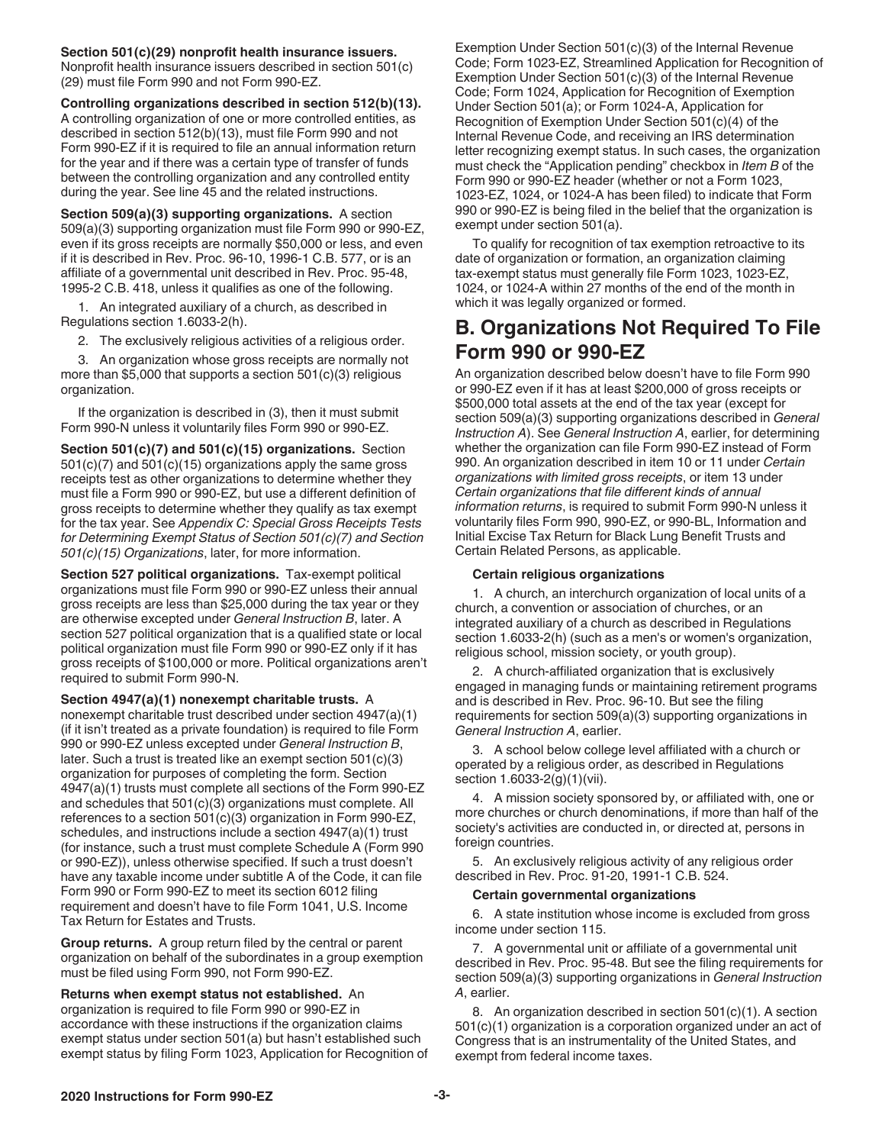<span id="page-2-0"></span>**Section 501(c)(29) nonprofit health insurance issuers.**  Nonprofit health insurance issuers described in section 501(c) (29) must file Form 990 and not Form 990-EZ.

**Controlling organizations described in section 512(b)(13).** A controlling organization of one or more controlled entities, as described in section 512(b)(13), must file Form 990 and not Form 990-EZ if it is required to file an annual information return for the year and if there was a certain type of transfer of funds between the controlling organization and any controlled entity during the year. See line 45 and the related instructions.

**Section 509(a)(3) supporting organizations.** A section 509(a)(3) supporting organization must file Form 990 or 990-EZ, even if its gross receipts are normally \$50,000 or less, and even if it is described in Rev. Proc. 96-10, 1996-1 C.B. 577, or is an affiliate of a governmental unit described in Rev. Proc. 95-48, 1995-2 C.B. 418, unless it qualifies as one of the following.

1. An integrated auxiliary of a church, as described in Regulations section 1.6033-2(h).

2. The exclusively religious activities of a religious order.

3. An organization whose gross receipts are normally not more than \$5,000 that supports a section 501(c)(3) religious organization.

If the organization is described in (3), then it must submit Form 990-N unless it voluntarily files Form 990 or 990-EZ.

**Section 501(c)(7) and 501(c)(15) organizations.** Section 501(c)(7) and 501(c)(15) organizations apply the same gross receipts test as other organizations to determine whether they must file a Form 990 or 990-EZ, but use a different definition of gross receipts to determine whether they qualify as tax exempt for the tax year. See *Appendix C: Special Gross Receipts Tests for Determining Exempt Status of Section 501(c)(7) and Section 501(c)(15) Organizations*, later, for more information.

**Section 527 political organizations.** Tax-exempt political organizations must file Form 990 or 990-EZ unless their annual gross receipts are less than \$25,000 during the tax year or they are otherwise excepted under *General Instruction B*, later. A section 527 political organization that is a qualified state or local political organization must file Form 990 or 990-EZ only if it has gross receipts of \$100,000 or more. Political organizations aren't required to submit Form 990-N.

**Section 4947(a)(1) nonexempt charitable trusts.** A nonexempt charitable trust described under section 4947(a)(1) (if it isn't treated as a private foundation) is required to file Form 990 or 990-EZ unless excepted under *General Instruction B*, later. Such a trust is treated like an exempt section 501(c)(3) organization for purposes of completing the form. Section 4947(a)(1) trusts must complete all sections of the Form 990-EZ and schedules that 501(c)(3) organizations must complete. All references to a section 501(c)(3) organization in Form 990-EZ, schedules, and instructions include a section 4947(a)(1) trust (for instance, such a trust must complete Schedule A (Form 990 or 990-EZ)), unless otherwise specified. If such a trust doesn't have any taxable income under subtitle A of the Code, it can file Form 990 or Form 990-EZ to meet its section 6012 filing requirement and doesn't have to file Form 1041, U.S. Income Tax Return for Estates and Trusts.

**Group returns.** A group return filed by the central or parent organization on behalf of the subordinates in a group exemption must be filed using Form 990, not Form 990-EZ.

**Returns when exempt status not established.** An organization is required to file Form 990 or 990-EZ in accordance with these instructions if the organization claims exempt status under section 501(a) but hasn't established such exempt status by filing Form 1023, Application for Recognition of Exemption Under Section 501(c)(3) of the Internal Revenue Code; Form 1023-EZ, Streamlined Application for Recognition of Exemption Under Section 501(c)(3) of the Internal Revenue Code; Form 1024, Application for Recognition of Exemption Under Section 501(a); or Form 1024-A, Application for Recognition of Exemption Under Section 501(c)(4) of the Internal Revenue Code, and receiving an IRS determination letter recognizing exempt status. In such cases, the organization must check the "Application pending" checkbox in *Item B* of the Form 990 or 990-EZ header (whether or not a Form 1023, 1023-EZ, 1024, or 1024-A has been filed) to indicate that Form 990 or 990-EZ is being filed in the belief that the organization is exempt under section 501(a).

To qualify for recognition of tax exemption retroactive to its date of organization or formation, an organization claiming tax-exempt status must generally file Form 1023, 1023-EZ, 1024, or 1024-A within 27 months of the end of the month in which it was legally organized or formed.

# **B. Organizations Not Required To File Form 990 or 990-EZ**

An organization described below doesn't have to file Form 990 or 990-EZ even if it has at least \$200,000 of gross receipts or \$500,000 total assets at the end of the tax year (except for section 509(a)(3) supporting organizations described in *General Instruction A*). See *General Instruction A*, earlier, for determining whether the organization can file Form 990-EZ instead of Form 990. An organization described in item 10 or 11 under *Certain organizations with limited gross receipts*, or item 13 under *Certain organizations that file different kinds of annual information returns*, is required to submit Form 990-N unless it voluntarily files Form 990, 990-EZ, or 990-BL, Information and Initial Excise Tax Return for Black Lung Benefit Trusts and Certain Related Persons, as applicable.

#### **Certain religious organizations**

1. A church, an interchurch organization of local units of a church, a convention or association of churches, or an integrated auxiliary of a church as described in Regulations section 1.6033-2(h) (such as a men's or women's organization, religious school, mission society, or youth group).

2. A church-affiliated organization that is exclusively engaged in managing funds or maintaining retirement programs and is described in Rev. Proc. 96-10. But see the filing requirements for section 509(a)(3) supporting organizations in *General Instruction A*, earlier.

3. A school below college level affiliated with a church or operated by a religious order, as described in Regulations section 1.6033-2(g)(1)(vii).

4. A mission society sponsored by, or affiliated with, one or more churches or church denominations, if more than half of the society's activities are conducted in, or directed at, persons in foreign countries.

5. An exclusively religious activity of any religious order described in Rev. Proc. 91-20, 1991-1 C.B. 524.

#### **Certain governmental organizations**

6. A state institution whose income is excluded from gross income under section 115.

7. A governmental unit or affiliate of a governmental unit described in Rev. Proc. 95-48. But see the filing requirements for section 509(a)(3) supporting organizations in *General Instruction A*, earlier.

8. An organization described in section 501(c)(1). A section 501(c)(1) organization is a corporation organized under an act of Congress that is an instrumentality of the United States, and exempt from federal income taxes.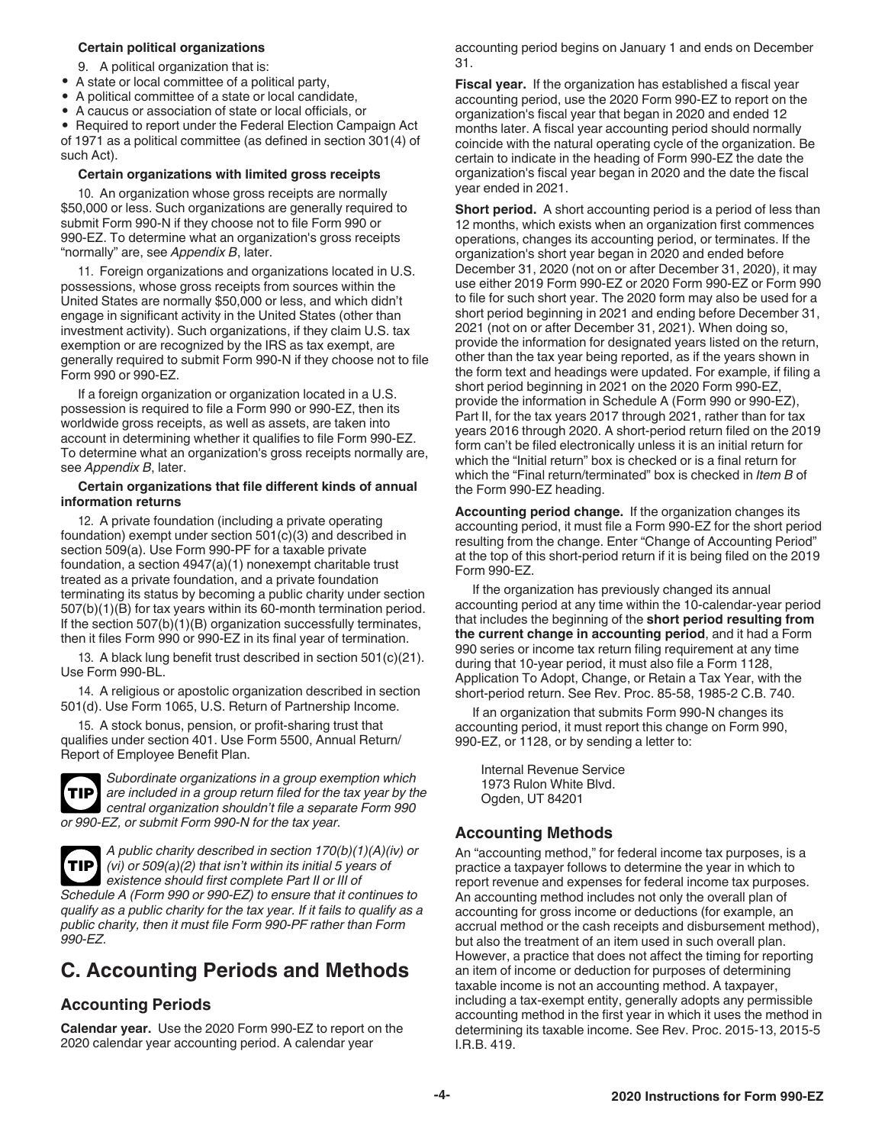#### <span id="page-3-0"></span>**Certain political organizations**

- 9. A political organization that is:
- A state or local committee of a political party,
- A political committee of a state or local candidate,
- A caucus or association of state or local officials, or
- Required to report under the Federal Election Campaign Act

of 1971 as a political committee (as defined in section 301(4) of such Act).

#### **Certain organizations with limited gross receipts**

10. An organization whose gross receipts are normally \$50,000 or less. Such organizations are generally required to submit Form 990-N if they choose not to file Form 990 or 990-EZ. To determine what an organization's gross receipts "normally" are, see *Appendix B*, later.

11. Foreign organizations and organizations located in U.S. possessions, whose gross receipts from sources within the United States are normally \$50,000 or less, and which didn't engage in significant activity in the United States (other than investment activity). Such organizations, if they claim U.S. tax exemption or are recognized by the IRS as tax exempt, are generally required to submit Form 990-N if they choose not to file Form 990 or 990-EZ.

If a foreign organization or organization located in a U.S. possession is required to file a Form 990 or 990-EZ, then its worldwide gross receipts, as well as assets, are taken into account in determining whether it qualifies to file Form 990-EZ. To determine what an organization's gross receipts normally are, see *Appendix B*, later.

#### **Certain organizations that file different kinds of annual information returns**

12. A private foundation (including a private operating foundation) exempt under section 501(c)(3) and described in section 509(a). Use Form 990-PF for a taxable private foundation, a section 4947(a)(1) nonexempt charitable trust treated as a private foundation, and a private foundation terminating its status by becoming a public charity under section 507(b)(1)(B) for tax years within its 60-month termination period. If the section 507(b)(1)(B) organization successfully terminates, then it files Form 990 or 990-EZ in its final year of termination.

13. A black lung benefit trust described in section 501(c)(21). Use Form 990-BL.

14. A religious or apostolic organization described in section 501(d). Use Form 1065, U.S. Return of Partnership Income.

15. A stock bonus, pension, or profit-sharing trust that qualifies under section 401. Use Form 5500, Annual Return/ Report of Employee Benefit Plan.



*990-EZ.*

*Subordinate organizations in a group exemption which are included in a group return filed for the tax year by the central organization shouldn't file a separate Form 990 or 990-EZ, or submit Form 990-N for the tax year.*

*A public charity described in section 170(b)(1)(A)(iv) or (vi) or 509(a)(2) that isn't within its initial 5 years of existence should first complete Part II or III of Schedule A (Form 990 or 990-EZ) to ensure that it continues to qualify as a public charity for the tax year. If it fails to qualify as a public charity, then it must file Form 990-PF rather than Form*  **TIP**

# **C. Accounting Periods and Methods**

### **Accounting Periods**

**Calendar year.** Use the 2020 Form 990-EZ to report on the 2020 calendar year accounting period. A calendar year

accounting period begins on January 1 and ends on December 31.

**Fiscal year.** If the organization has established a fiscal year accounting period, use the 2020 Form 990-EZ to report on the organization's fiscal year that began in 2020 and ended 12 months later. A fiscal year accounting period should normally coincide with the natural operating cycle of the organization. Be certain to indicate in the heading of Form 990-EZ the date the organization's fiscal year began in 2020 and the date the fiscal year ended in 2021.

**Short period.** A short accounting period is a period of less than 12 months, which exists when an organization first commences operations, changes its accounting period, or terminates. If the organization's short year began in 2020 and ended before December 31, 2020 (not on or after December 31, 2020), it may use either 2019 Form 990-EZ or 2020 Form 990-EZ or Form 990 to file for such short year. The 2020 form may also be used for a short period beginning in 2021 and ending before December 31, 2021 (not on or after December 31, 2021). When doing so, provide the information for designated years listed on the return, other than the tax year being reported, as if the years shown in the form text and headings were updated. For example, if filing a short period beginning in 2021 on the 2020 Form 990-EZ, provide the information in Schedule A (Form 990 or 990-EZ), Part II, for the tax years 2017 through 2021, rather than for tax years 2016 through 2020. A short-period return filed on the 2019 form can't be filed electronically unless it is an initial return for which the "Initial return" box is checked or is a final return for which the "Final return/terminated" box is checked in *Item B* of the Form 990-EZ heading.

**Accounting period change.** If the organization changes its accounting period, it must file a Form 990-EZ for the short period resulting from the change. Enter "Change of Accounting Period" at the top of this short-period return if it is being filed on the 2019 Form 990-EZ.

If the organization has previously changed its annual accounting period at any time within the 10-calendar-year period that includes the beginning of the **short period resulting from the current change in accounting period**, and it had a Form 990 series or income tax return filing requirement at any time during that 10-year period, it must also file a Form 1128, Application To Adopt, Change, or Retain a Tax Year, with the short-period return. See Rev. Proc. 85-58, 1985-2 C.B. 740.

If an organization that submits Form 990-N changes its accounting period, it must report this change on Form 990, 990-EZ, or 1128, or by sending a letter to:

Internal Revenue Service 1973 Rulon White Blvd. Ogden, UT 84201

### **Accounting Methods**

An "accounting method," for federal income tax purposes, is a practice a taxpayer follows to determine the year in which to report revenue and expenses for federal income tax purposes. An accounting method includes not only the overall plan of accounting for gross income or deductions (for example, an accrual method or the cash receipts and disbursement method), but also the treatment of an item used in such overall plan. However, a practice that does not affect the timing for reporting an item of income or deduction for purposes of determining taxable income is not an accounting method. A taxpayer, including a tax-exempt entity, generally adopts any permissible accounting method in the first year in which it uses the method in determining its taxable income. See Rev. Proc. 2015-13, 2015-5 I.R.B. 419.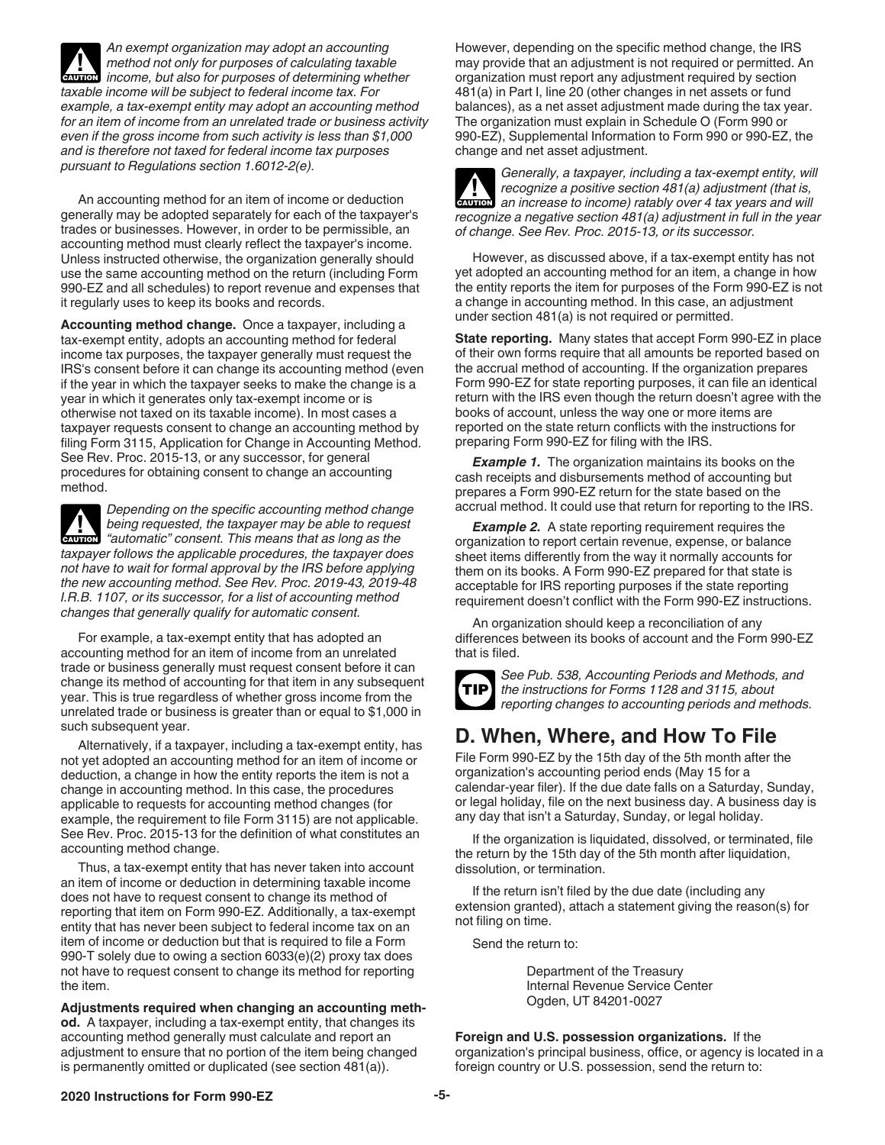<span id="page-4-0"></span>*An exempt organization may adopt an accounting method not only for purposes of calculating taxable income, but also for purposes of determining whether taxable income will be subject to federal income tax. For example, a tax-exempt entity may adopt an accounting method for an item of income from an unrelated trade or business activity even if the gross income from such activity is less than \$1,000 and is therefore not taxed for federal income tax purposes pursuant to Regulations section 1.6012-2(e).* **CAUTION !**

An accounting method for an item of income or deduction generally may be adopted separately for each of the taxpayer's trades or businesses. However, in order to be permissible, an accounting method must clearly reflect the taxpayer's income. Unless instructed otherwise, the organization generally should use the same accounting method on the return (including Form 990-EZ and all schedules) to report revenue and expenses that it regularly uses to keep its books and records.

**Accounting method change.** Once a taxpayer, including a tax-exempt entity, adopts an accounting method for federal income tax purposes, the taxpayer generally must request the IRS's consent before it can change its accounting method (even if the year in which the taxpayer seeks to make the change is a year in which it generates only tax-exempt income or is otherwise not taxed on its taxable income). In most cases a taxpayer requests consent to change an accounting method by filing Form 3115, Application for Change in Accounting Method. See Rev. Proc. 2015-13, or any successor, for general procedures for obtaining consent to change an accounting method.

*Depending on the specific accounting method change being requested, the taxpayer may be able to request "automatic" consent. This means that as long as the taxpayer follows the applicable procedures, the taxpayer does not have to wait for formal approval by the IRS before applying the new accounting method. See Rev. Proc. 2019-43, 2019-48 I.R.B. 1107, or its successor, for a list of accounting method changes that generally qualify for automatic consent.* **CAUTION !**

For example, a tax-exempt entity that has adopted an accounting method for an item of income from an unrelated trade or business generally must request consent before it can change its method of accounting for that item in any subsequent year. This is true regardless of whether gross income from the unrelated trade or business is greater than or equal to \$1,000 in such subsequent year.

Alternatively, if a taxpayer, including a tax-exempt entity, has not yet adopted an accounting method for an item of income or deduction, a change in how the entity reports the item is not a change in accounting method. In this case, the procedures applicable to requests for accounting method changes (for example, the requirement to file Form 3115) are not applicable. See Rev. Proc. 2015-13 for the definition of what constitutes an accounting method change.

Thus, a tax-exempt entity that has never taken into account an item of income or deduction in determining taxable income does not have to request consent to change its method of reporting that item on Form 990-EZ. Additionally, a tax-exempt entity that has never been subject to federal income tax on an item of income or deduction but that is required to file a Form 990-T solely due to owing a section 6033(e)(2) proxy tax does not have to request consent to change its method for reporting the item.

**Adjustments required when changing an accounting method.** A taxpayer, including a tax-exempt entity, that changes its accounting method generally must calculate and report an adjustment to ensure that no portion of the item being changed is permanently omitted or duplicated (see section 481(a)).

However, depending on the specific method change, the IRS may provide that an adjustment is not required or permitted. An organization must report any adjustment required by section 481(a) in Part I, line 20 (other changes in net assets or fund balances), as a net asset adjustment made during the tax year. The organization must explain in Schedule O (Form 990 or 990-EZ), Supplemental Information to Form 990 or 990-EZ, the change and net asset adjustment.

*Generally, a taxpayer, including a tax-exempt entity, will recognize a positive section 481(a) adjustment (that is, an increase to income) ratably over 4 tax years and will recognize a negative section 481(a) adjustment in full in the year of change. See Rev. Proc. 2015-13, or its successor.* **CAUTION !**

However, as discussed above, if a tax-exempt entity has not yet adopted an accounting method for an item, a change in how the entity reports the item for purposes of the Form 990-EZ is not a change in accounting method. In this case, an adjustment under section 481(a) is not required or permitted.

**State reporting.** Many states that accept Form 990-EZ in place of their own forms require that all amounts be reported based on the accrual method of accounting. If the organization prepares Form 990-EZ for state reporting purposes, it can file an identical return with the IRS even though the return doesn't agree with the books of account, unless the way one or more items are reported on the state return conflicts with the instructions for preparing Form 990-EZ for filing with the IRS.

**Example 1.** The organization maintains its books on the cash receipts and disbursements method of accounting but prepares a Form 990-EZ return for the state based on the accrual method. It could use that return for reporting to the IRS.

**Example 2.** A state reporting requirement requires the organization to report certain revenue, expense, or balance sheet items differently from the way it normally accounts for them on its books. A Form 990-EZ prepared for that state is acceptable for IRS reporting purposes if the state reporting requirement doesn't conflict with the Form 990-EZ instructions.

An organization should keep a reconciliation of any differences between its books of account and the Form 990-EZ that is filed.



*See Pub. 538, Accounting Periods and Methods, and the instructions for Forms 1128 and 3115, about reporting changes to accounting periods and methods.*

# **D. When, Where, and How To File**

File Form 990-EZ by the 15th day of the 5th month after the organization's accounting period ends (May 15 for a calendar-year filer). If the due date falls on a Saturday, Sunday, or legal holiday, file on the next business day. A business day is any day that isn't a Saturday, Sunday, or legal holiday.

If the organization is liquidated, dissolved, or terminated, file the return by the 15th day of the 5th month after liquidation, dissolution, or termination.

If the return isn't filed by the due date (including any extension granted), attach a statement giving the reason(s) for not filing on time.

Send the return to:

Department of the Treasury Internal Revenue Service Center Ogden, UT 84201-0027

**Foreign and U.S. possession organizations.** If the organization's principal business, office, or agency is located in a foreign country or U.S. possession, send the return to:

#### **2020 Instructions for Form 990-EZ -5-**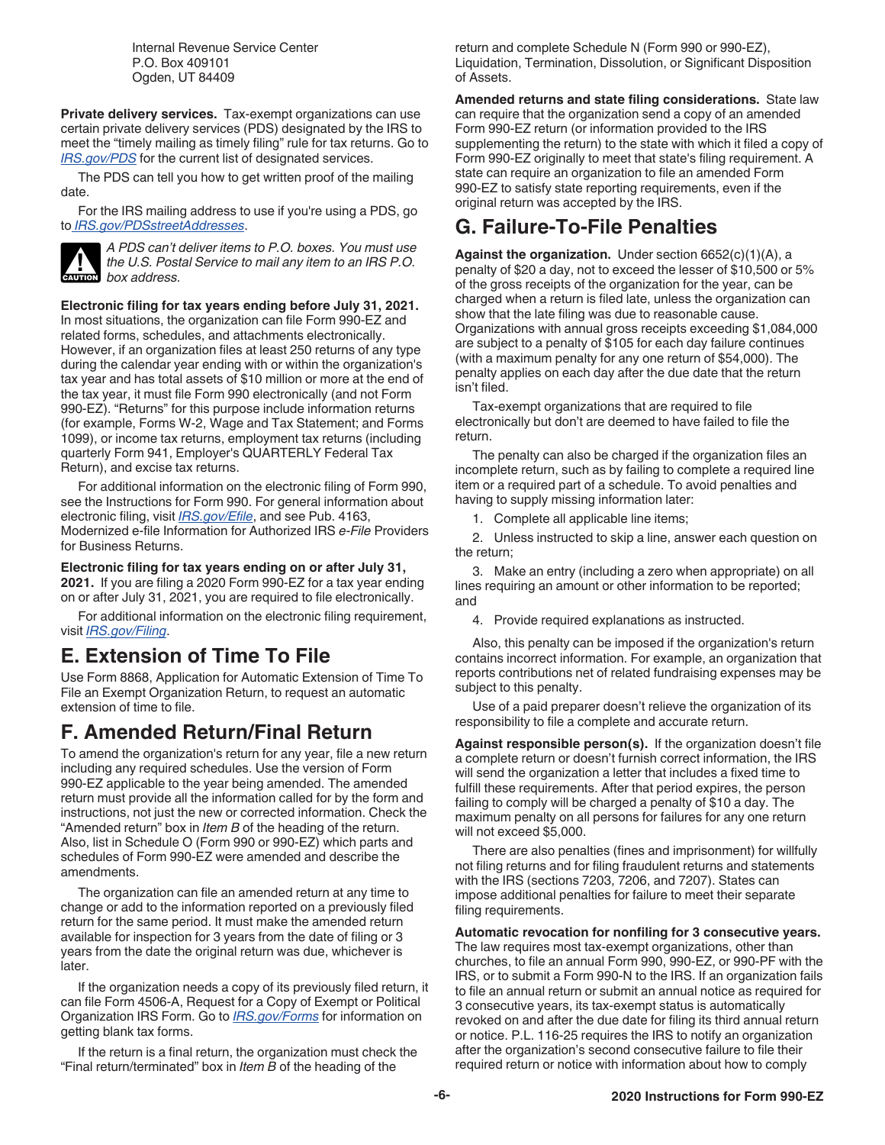Internal Revenue Service Center P.O. Box 409101 Ogden, UT 84409

<span id="page-5-0"></span>**Private delivery services.** Tax-exempt organizations can use certain private delivery services (PDS) designated by the IRS to meet the "timely mailing as timely filing" rule for tax returns. Go to *[IRS.gov/PDS](https://www.irs.gov/uac/private-delivery-services-pds)* for the current list of designated services.

The PDS can tell you how to get written proof of the mailing date.

For the IRS mailing address to use if you're using a PDS, go to *[IRS.gov/PDSstreetAddresses](https://www.irs.gov/filing/submission-processing-center-street-addresses-for-private-delivery-service-pds)*.



*A PDS can't deliver items to P.O. boxes. You must use the U.S. Postal Service to mail any item to an IRS P.O.*  **cAUTION** box address.

**Electronic filing for tax years ending before July 31, 2021.** In most situations, the organization can file Form 990-EZ and related forms, schedules, and attachments electronically. However, if an organization files at least 250 returns of any type during the calendar year ending with or within the organization's tax year and has total assets of \$10 million or more at the end of the tax year, it must file Form 990 electronically (and not Form 990-EZ). "Returns" for this purpose include information returns (for example, Forms W-2, Wage and Tax Statement; and Forms 1099), or income tax returns, employment tax returns (including quarterly Form 941, Employer's QUARTERLY Federal Tax Return), and excise tax returns.

For additional information on the electronic filing of Form 990, see the Instructions for Form 990. For general information about electronic filing, visit *[IRS.gov/Efile](https://www.irs.gov/efile)*, and see Pub. 4163, Modernized e-file Information for Authorized IRS *e-File* Providers for Business Returns.

**Electronic filing for tax years ending on or after July 31, 2021.** If you are filing a 2020 Form 990-EZ for a tax year ending on or after July 31, 2021, you are required to file electronically.

For additional information on the electronic filing requirement, visit *[IRS.gov/Filing](https://www.irs.gov/charities-non-profits/frequently-asked-questions-faqs-e-file-for-charities-and-nonprofits)*.

# **E. Extension of Time To File**

Use Form 8868, Application for Automatic Extension of Time To File an Exempt Organization Return, to request an automatic extension of time to file.

# **F. Amended Return/Final Return**

To amend the organization's return for any year, file a new return including any required schedules. Use the version of Form 990-EZ applicable to the year being amended. The amended return must provide all the information called for by the form and instructions, not just the new or corrected information. Check the "Amended return" box in *Item B* of the heading of the return. Also, list in Schedule O (Form 990 or 990-EZ) which parts and schedules of Form 990-EZ were amended and describe the amendments.

The organization can file an amended return at any time to change or add to the information reported on a previously filed return for the same period. It must make the amended return available for inspection for 3 years from the date of filing or 3 years from the date the original return was due, whichever is later.

If the organization needs a copy of its previously filed return, it can file Form 4506-A, Request for a Copy of Exempt or Political Organization IRS Form. Go to *[IRS.gov/Forms](https://www.irs.gov/forms)* for information on getting blank tax forms.

If the return is a final return, the organization must check the "Final return/terminated" box in *Item B* of the heading of the

return and complete Schedule N (Form 990 or 990-EZ), Liquidation, Termination, Dissolution, or Significant Disposition of Assets.

**Amended returns and state filing considerations.** State law can require that the organization send a copy of an amended Form 990-EZ return (or information provided to the IRS supplementing the return) to the state with which it filed a copy of Form 990-EZ originally to meet that state's filing requirement. A state can require an organization to file an amended Form 990-EZ to satisfy state reporting requirements, even if the original return was accepted by the IRS.

# **G. Failure-To-File Penalties**

**Against the organization.** Under section 6652(c)(1)(A), a penalty of \$20 a day, not to exceed the lesser of \$10,500 or 5% of the gross receipts of the organization for the year, can be charged when a return is filed late, unless the organization can show that the late filing was due to reasonable cause. Organizations with annual gross receipts exceeding \$1,084,000 are subject to a penalty of \$105 for each day failure continues (with a maximum penalty for any one return of \$54,000). The penalty applies on each day after the due date that the return isn't filed.

Tax-exempt organizations that are required to file electronically but don't are deemed to have failed to file the return.

The penalty can also be charged if the organization files an incomplete return, such as by failing to complete a required line item or a required part of a schedule. To avoid penalties and having to supply missing information later:

1. Complete all applicable line items;

2. Unless instructed to skip a line, answer each question on the return;

3. Make an entry (including a zero when appropriate) on all lines requiring an amount or other information to be reported; and

4. Provide required explanations as instructed.

Also, this penalty can be imposed if the organization's return contains incorrect information. For example, an organization that reports contributions net of related fundraising expenses may be subject to this penalty.

Use of a paid preparer doesn't relieve the organization of its responsibility to file a complete and accurate return.

**Against responsible person(s).** If the organization doesn't file a complete return or doesn't furnish correct information, the IRS will send the organization a letter that includes a fixed time to fulfill these requirements. After that period expires, the person failing to comply will be charged a penalty of \$10 a day. The maximum penalty on all persons for failures for any one return will not exceed \$5,000.

There are also penalties (fines and imprisonment) for willfully not filing returns and for filing fraudulent returns and statements with the IRS (sections 7203, 7206, and 7207). States can impose additional penalties for failure to meet their separate filing requirements.

**Automatic revocation for nonfiling for 3 consecutive years.**  The law requires most tax-exempt organizations, other than churches, to file an annual Form 990, 990-EZ, or 990-PF with the IRS, or to submit a Form 990-N to the IRS. If an organization fails to file an annual return or submit an annual notice as required for 3 consecutive years, its tax-exempt status is automatically revoked on and after the due date for filing its third annual return or notice. P.L. 116-25 requires the IRS to notify an organization after the organization's second consecutive failure to file their required return or notice with information about how to comply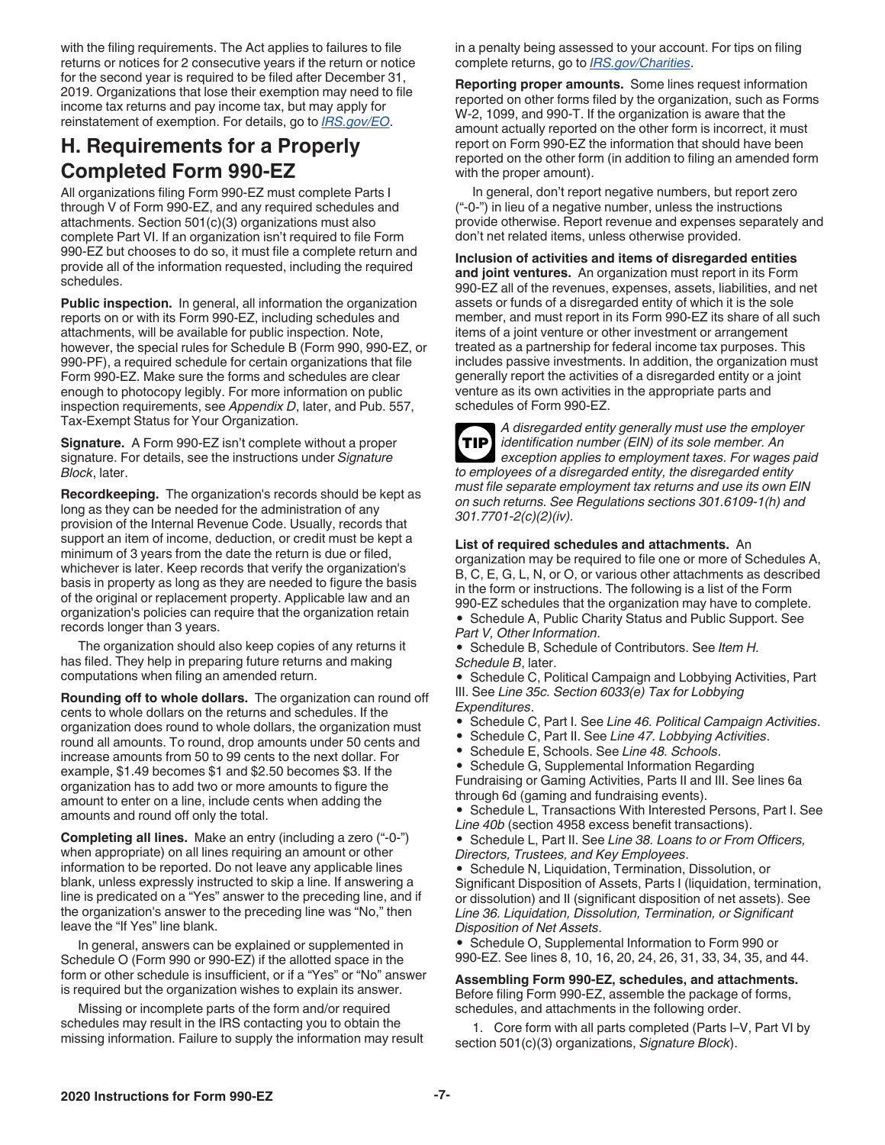<span id="page-6-0"></span>with the filing requirements. The Act applies to failures to file returns or notices for 2 consecutive years if the return or notice for the second year is required to be filed after December 31, 2019. Organizations that lose their exemption may need to file income tax returns and pay income tax, but may apply for reinstatement of exemption. For details, go to *[IRS.gov/EO](https://www.irs.gov/eo)*.

# **H. Requirements for a Properly Completed Form 990-EZ**

All organizations filing Form 990-EZ must complete Parts I through V of Form 990-EZ, and any required schedules and attachments. Section 501(c)(3) organizations must also complete Part VI. If an organization isn't required to file Form 990-EZ but chooses to do so, it must file a complete return and provide all of the information requested, including the required schedules.

**Public inspection.** In general, all information the organization reports on or with its Form 990-EZ, including schedules and attachments, will be available for public inspection. Note, however, the special rules for Schedule B (Form 990, 990-EZ, or 990-PF), a required schedule for certain organizations that file Form 990-EZ. Make sure the forms and schedules are clear enough to photocopy legibly. For more information on public inspection requirements, see *Appendix D*, later, and Pub. 557, Tax-Exempt Status for Your Organization.

**Signature.** A Form 990-EZ isn't complete without a proper signature. For details, see the instructions under *Signature Block*, later.

**Recordkeeping.** The organization's records should be kept as long as they can be needed for the administration of any provision of the Internal Revenue Code. Usually, records that support an item of income, deduction, or credit must be kept a minimum of 3 years from the date the return is due or filed, whichever is later. Keep records that verify the organization's basis in property as long as they are needed to figure the basis of the original or replacement property. Applicable law and an organization's policies can require that the organization retain records longer than 3 years.

The organization should also keep copies of any returns it has filed. They help in preparing future returns and making computations when filing an amended return.

**Rounding off to whole dollars.** The organization can round off cents to whole dollars on the returns and schedules. If the organization does round to whole dollars, the organization must round all amounts. To round, drop amounts under 50 cents and increase amounts from 50 to 99 cents to the next dollar. For example, \$1.49 becomes \$1 and \$2.50 becomes \$3. If the organization has to add two or more amounts to figure the amount to enter on a line, include cents when adding the amounts and round off only the total.

**Completing all lines.** Make an entry (including a zero ("-0-") when appropriate) on all lines requiring an amount or other information to be reported. Do not leave any applicable lines blank, unless expressly instructed to skip a line. If answering a line is predicated on a "Yes" answer to the preceding line, and if the organization's answer to the preceding line was "No," then leave the "If Yes" line blank.

In general, answers can be explained or supplemented in Schedule O (Form 990 or 990-EZ) if the allotted space in the form or other schedule is insufficient, or if a "Yes" or "No" answer is required but the organization wishes to explain its answer.

Missing or incomplete parts of the form and/or required schedules may result in the IRS contacting you to obtain the missing information. Failure to supply the information may result in a penalty being assessed to your account. For tips on filing complete returns, go to *[IRS.gov/Charities](https://www.irs.gov/charities)*.

**Reporting proper amounts.** Some lines request information reported on other forms filed by the organization, such as Forms W-2, 1099, and 990-T. If the organization is aware that the amount actually reported on the other form is incorrect, it must report on Form 990-EZ the information that should have been reported on the other form (in addition to filing an amended form with the proper amount).

In general, don't report negative numbers, but report zero ("-0-") in lieu of a negative number, unless the instructions provide otherwise. Report revenue and expenses separately and don't net related items, unless otherwise provided.

**Inclusion of activities and items of disregarded entities and joint ventures.** An organization must report in its Form 990-EZ all of the revenues, expenses, assets, liabilities, and net assets or funds of a disregarded entity of which it is the sole member, and must report in its Form 990-EZ its share of all such items of a joint venture or other investment or arrangement treated as a partnership for federal income tax purposes. This includes passive investments. In addition, the organization must generally report the activities of a disregarded entity or a joint venture as its own activities in the appropriate parts and schedules of Form 990-EZ.



*A disregarded entity generally must use the employer identification number (EIN) of its sole member. An exception applies to employment taxes. For wages paid to employees of a disregarded entity, the disregarded entity must file separate employment tax returns and use its own EIN on such returns. See Regulations sections 301.6109-1(h) and 301.7701-2(c)(2)(iv).*

**List of required schedules and attachments.** An

organization may be required to file one or more of Schedules A, B, C, E, G, L, N, or O, or various other attachments as described in the form or instructions. The following is a list of the Form 990-EZ schedules that the organization may have to complete.

• Schedule A, Public Charity Status and Public Support. See *Part V, Other Information*.

• Schedule B, Schedule of Contributors. See *Item H. Schedule B*, later.

• Schedule C, Political Campaign and Lobbying Activities, Part III. See *Line 35c. Section 6033(e) Tax for Lobbying Expenditures*.

• Schedule C, Part I. See *Line 46. Political Campaign Activities*.

- Schedule C, Part II. See *Line 47. Lobbying Activities*.
- Schedule E, Schools. See *Line 48. Schools*.
- Schedule G, Supplemental Information Regarding

Fundraising or Gaming Activities, Parts II and III. See lines 6a through 6d (gaming and fundraising events).

• Schedule L, Transactions With Interested Persons, Part I. See *Line 40b* (section 4958 excess benefit transactions).

• Schedule L, Part II. See *Line 38. Loans to or From Officers, Directors, Trustees, and Key Employees*.

• Schedule N, Liquidation, Termination, Dissolution, or Significant Disposition of Assets, Parts I (liquidation, termination, or dissolution) and II (significant disposition of net assets). See *Line 36. Liquidation, Dissolution, Termination, or Significant Disposition of Net Assets*.

• Schedule O, Supplemental Information to Form 990 or 990-EZ. See lines 8, 10, 16, 20, 24, 26, 31, 33, 34, 35, and 44.

**Assembling Form 990-EZ, schedules, and attachments.**  Before filing Form 990-EZ, assemble the package of forms, schedules, and attachments in the following order.

1. Core form with all parts completed (Parts I–V, Part VI by section 501(c)(3) organizations, *Signature Block*).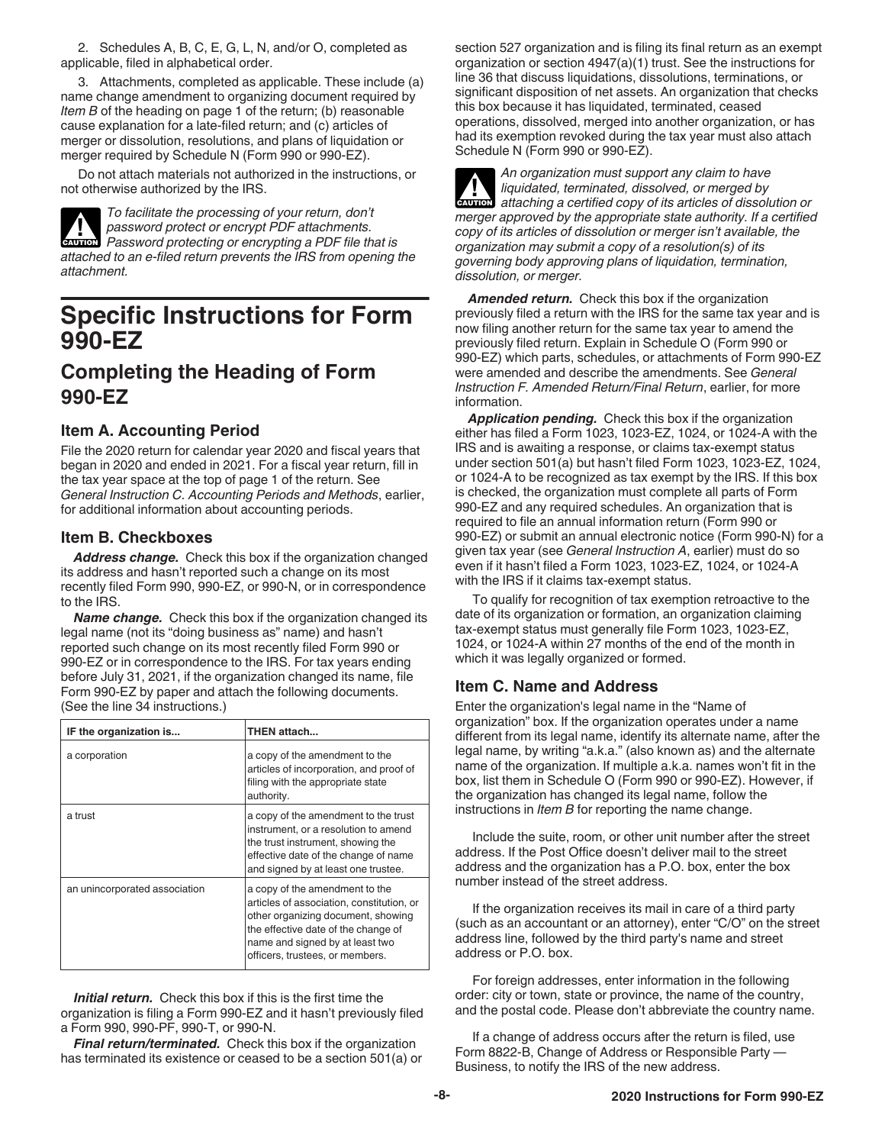<span id="page-7-0"></span>2. Schedules A, B, C, E, G, L, N, and/or O, completed as applicable, filed in alphabetical order.

3. Attachments, completed as applicable. These include (a) name change amendment to organizing document required by *Item B* of the heading on page 1 of the return; (b) reasonable cause explanation for a late-filed return; and (c) articles of merger or dissolution, resolutions, and plans of liquidation or merger required by Schedule N (Form 990 or 990-EZ).

Do not attach materials not authorized in the instructions, or not otherwise authorized by the IRS.

*To facilitate the processing of your return, don't password protect or encrypt PDF attachments.*  **Password protect or encrypt PDF attachments.**<br> **EAUTION** Password protecting or encrypting a PDF file that is *attached to an e-filed return prevents the IRS from opening the attachment.*

# **Specific Instructions for Form 990-EZ**

# **Completing the Heading of Form 990-EZ**

### **Item A. Accounting Period**

File the 2020 return for calendar year 2020 and fiscal years that began in 2020 and ended in 2021. For a fiscal year return, fill in the tax year space at the top of page 1 of the return. See *General Instruction C. Accounting Periods and Methods*, earlier, for additional information about accounting periods.

#### **Item B. Checkboxes**

*Address change.* Check this box if the organization changed its address and hasn't reported such a change on its most recently filed Form 990, 990-EZ, or 990-N, or in correspondence to the IRS.

*Name change.* Check this box if the organization changed its legal name (not its "doing business as" name) and hasn't reported such change on its most recently filed Form 990 or 990-EZ or in correspondence to the IRS. For tax years ending before July 31, 2021, if the organization changed its name, file Form 990-EZ by paper and attach the following documents. (See the line 34 instructions.)

| IF the organization is        | THEN attach                                                                                                                                                                                                                    |
|-------------------------------|--------------------------------------------------------------------------------------------------------------------------------------------------------------------------------------------------------------------------------|
| a corporation                 | a copy of the amendment to the<br>articles of incorporation, and proof of<br>filing with the appropriate state<br>authority.                                                                                                   |
| a trust                       | a copy of the amendment to the trust<br>instrument, or a resolution to amend<br>the trust instrument, showing the<br>effective date of the change of name<br>and signed by at least one trustee.                               |
| an unincorporated association | a copy of the amendment to the<br>articles of association, constitution, or<br>other organizing document, showing<br>the effective date of the change of<br>name and signed by at least two<br>officers, trustees, or members. |

*Initial return.* Check this box if this is the first time the organization is filing a Form 990-EZ and it hasn't previously filed a Form 990, 990-PF, 990-T, or 990-N.

*Final return/terminated.* Check this box if the organization has terminated its existence or ceased to be a section 501(a) or section 527 organization and is filing its final return as an exempt organization or section 4947(a)(1) trust. See the instructions for line 36 that discuss liquidations, dissolutions, terminations, or significant disposition of net assets. An organization that checks this box because it has liquidated, terminated, ceased operations, dissolved, merged into another organization, or has had its exemption revoked during the tax year must also attach Schedule N (Form 990 or 990-EZ).



*An organization must support any claim to have liquidated, terminated, dissolved, or merged by attaching a certified copy of its articles of dissolution or merger approved by the appropriate state authority. If a certified copy of its articles of dissolution or merger isn't available, the organization may submit a copy of a resolution(s) of its governing body approving plans of liquidation, termination, dissolution, or merger.* **CAUTION !**

*Amended return.* Check this box if the organization previously filed a return with the IRS for the same tax year and is now filing another return for the same tax year to amend the previously filed return. Explain in Schedule O (Form 990 or 990-EZ) which parts, schedules, or attachments of Form 990-EZ were amended and describe the amendments. See *General Instruction F. Amended Return/Final Return*, earlier, for more information.

*Application pending.* Check this box if the organization either has filed a Form 1023, 1023-EZ, 1024, or 1024-A with the IRS and is awaiting a response, or claims tax-exempt status under section 501(a) but hasn't filed Form 1023, 1023-EZ, 1024, or 1024-A to be recognized as tax exempt by the IRS. If this box is checked, the organization must complete all parts of Form 990-EZ and any required schedules. An organization that is required to file an annual information return (Form 990 or 990-EZ) or submit an annual electronic notice (Form 990-N) for a given tax year (see *General Instruction A*, earlier) must do so even if it hasn't filed a Form 1023, 1023-EZ, 1024, or 1024-A with the IRS if it claims tax-exempt status.

To qualify for recognition of tax exemption retroactive to the date of its organization or formation, an organization claiming tax-exempt status must generally file Form 1023, 1023-EZ, 1024, or 1024-A within 27 months of the end of the month in which it was legally organized or formed.

#### **Item C. Name and Address**

Enter the organization's legal name in the "Name of organization" box. If the organization operates under a name different from its legal name, identify its alternate name, after the legal name, by writing "a.k.a." (also known as) and the alternate name of the organization. If multiple a.k.a. names won't fit in the box, list them in Schedule O (Form 990 or 990-EZ). However, if the organization has changed its legal name, follow the instructions in *Item B* for reporting the name change.

Include the suite, room, or other unit number after the street address. If the Post Office doesn't deliver mail to the street address and the organization has a P.O. box, enter the box number instead of the street address.

If the organization receives its mail in care of a third party (such as an accountant or an attorney), enter "C/O" on the street address line, followed by the third party's name and street address or P.O. box.

For foreign addresses, enter information in the following order: city or town, state or province, the name of the country, and the postal code. Please don't abbreviate the country name.

If a change of address occurs after the return is filed, use Form 8822-B, Change of Address or Responsible Party -Business, to notify the IRS of the new address.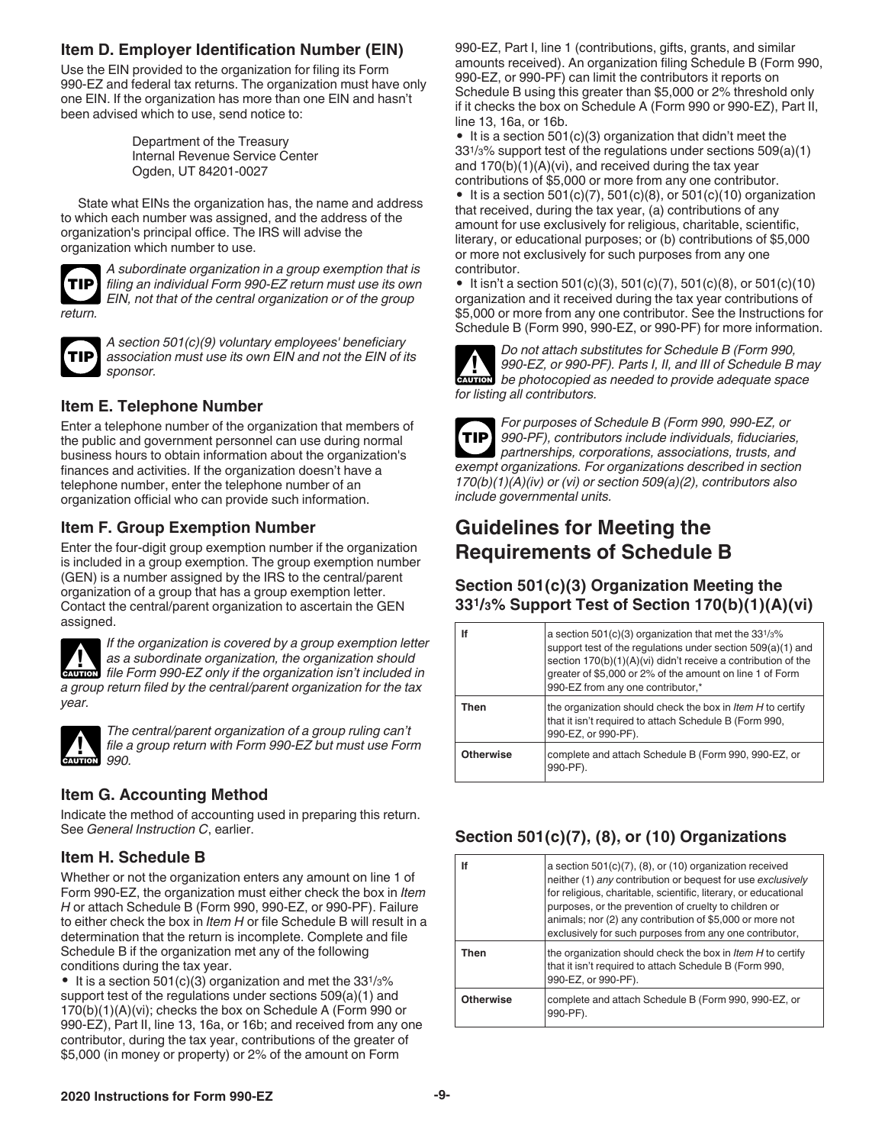## <span id="page-8-0"></span>**Item D. Employer Identification Number (EIN)**

Use the EIN provided to the organization for filing its Form 990-EZ and federal tax returns. The organization must have only one EIN. If the organization has more than one EIN and hasn't been advised which to use, send notice to:

> Department of the Treasury Internal Revenue Service Center Ogden, UT 84201-0027

State what EINs the organization has, the name and address to which each number was assigned, and the address of the organization's principal office. The IRS will advise the organization which number to use.



*return.*

*A subordinate organization in a group exemption that is filing an individual Form 990-EZ return must use its own EIN, not that of the central organization or of the group* 



*A section 501(c)(9) voluntary employees' beneficiary association must use its own EIN and not the EIN of its sponsor.*

### **Item E. Telephone Number**

Enter a telephone number of the organization that members of the public and government personnel can use during normal business hours to obtain information about the organization's finances and activities. If the organization doesn't have a telephone number, enter the telephone number of an organization official who can provide such information.

# **Item F. Group Exemption Number**

Enter the four-digit group exemption number if the organization is included in a group exemption. The group exemption number (GEN) is a number assigned by the IRS to the central/parent organization of a group that has a group exemption letter. Contact the central/parent organization to ascertain the GEN assigned.



*If the organization is covered by a group exemption letter as a subordinate organization, the organization should file Form 990-EZ only if the organization should* $\frac{1}{2}$ *file Form 990-EZ only if the organization isn't included in a group return filed by the central/parent organization for the tax year.*



*The central/parent organization of a group ruling can't file a group return with Form 990-EZ but must use Form* 

# **Item G. Accounting Method**

Indicate the method of accounting used in preparing this return. See *General Instruction C*, earlier.

# **Item H. Schedule B**

Whether or not the organization enters any amount on line 1 of Form 990-EZ, the organization must either check the box in *Item H* or attach Schedule B (Form 990, 990-EZ, or 990-PF). Failure to either check the box in *Item H* or file Schedule B will result in a determination that the return is incomplete. Complete and file Schedule B if the organization met any of the following conditions during the tax year.

• It is a section  $501(c)(3)$  organization and met the  $33<sup>1</sup>/3%$ support test of the regulations under sections 509(a)(1) and 170(b)(1)(A)(vi); checks the box on Schedule A (Form 990 or 990-EZ), Part II, line 13, 16a, or 16b; and received from any one contributor, during the tax year, contributions of the greater of \$5,000 (in money or property) or 2% of the amount on Form

990-EZ, Part I, line 1 (contributions, gifts, grants, and similar amounts received). An organization filing Schedule B (Form 990, 990-EZ, or 990-PF) can limit the contributors it reports on Schedule B using this greater than \$5,000 or 2% threshold only if it checks the box on Schedule A (Form 990 or 990-EZ), Part II, line 13, 16a, or 16b.

• It is a section 501(c)(3) organization that didn't meet the 331/3% support test of the regulations under sections 509(a)(1) and 170(b)(1)(A)(vi), and received during the tax year contributions of \$5,000 or more from any one contributor.

• It is a section  $501(c)(7)$ ,  $501(c)(8)$ , or  $501(c)(10)$  organization that received, during the tax year, (a) contributions of any amount for use exclusively for religious, charitable, scientific, literary, or educational purposes; or (b) contributions of \$5,000 or more not exclusively for such purposes from any one contributor.

• It isn't a section  $501(c)(3)$ ,  $501(c)(7)$ ,  $501(c)(8)$ , or  $501(c)(10)$ organization and it received during the tax year contributions of \$5,000 or more from any one contributor. See the Instructions for Schedule B (Form 990, 990-EZ, or 990-PF) for more information.

*Do not attach substitutes for Schedule B (Form 990, 990-EZ, or 990-PF). Parts I, II, and III of Schedule B may*  **b**e photocopied as needed to provide adequate space **caution** be photocopied as needed to provide adequate space *for listing all contributors.*



*For purposes of Schedule B (Form 990, 990-EZ, or 990-PF), contributors include individuals, fiduciaries, partnerships, corporations, associations, trusts, and exempt organizations. For organizations described in section 170(b)(1)(A)(iv) or (vi) or section 509(a)(2), contributors also include governmental units.*

# **Guidelines for Meeting the Requirements of Schedule B**

### **Section 501(c)(3) Organization Meeting the 331/3% Support Test of Section 170(b)(1)(A)(vi)**

| lf               | a section $501(c)(3)$ organization that met the $331/3\%$<br>support test of the regulations under section 509(a)(1) and<br>section 170(b)(1)(A)(vi) didn't receive a contribution of the<br>greater of \$5,000 or 2% of the amount on line 1 of Form<br>990-EZ from any one contributor,* |
|------------------|--------------------------------------------------------------------------------------------------------------------------------------------------------------------------------------------------------------------------------------------------------------------------------------------|
| Then             | the organization should check the box in <i>Item H</i> to certify<br>that it isn't required to attach Schedule B (Form 990,<br>990-EZ, or 990-PF).                                                                                                                                         |
| <b>Otherwise</b> | complete and attach Schedule B (Form 990, 990-EZ, or<br>990-PF).                                                                                                                                                                                                                           |

# **Section 501(c)(7), (8), or (10) Organizations**

| lf               | a section $501(c)(7)$ , (8), or (10) organization received<br>neither (1) any contribution or bequest for use exclusively<br>for religious, charitable, scientific, literary, or educational<br>purposes, or the prevention of cruelty to children or<br>animals; nor (2) any contribution of \$5,000 or more not<br>exclusively for such purposes from any one contributor, |
|------------------|------------------------------------------------------------------------------------------------------------------------------------------------------------------------------------------------------------------------------------------------------------------------------------------------------------------------------------------------------------------------------|
| Then             | the organization should check the box in <i>Item H</i> to certify<br>that it isn't required to attach Schedule B (Form 990,<br>990-EZ, or 990-PF).                                                                                                                                                                                                                           |
| <b>Otherwise</b> | complete and attach Schedule B (Form 990, 990-EZ, or<br>990-PF).                                                                                                                                                                                                                                                                                                             |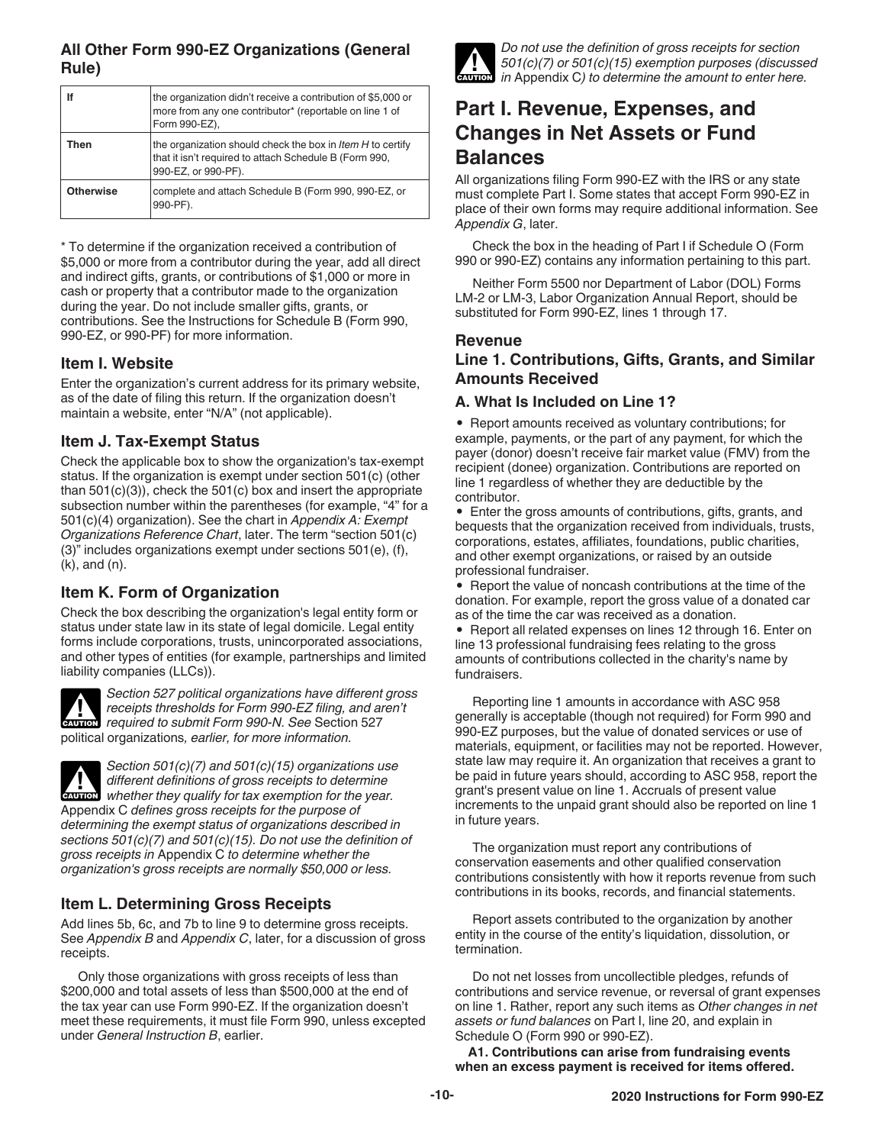### <span id="page-9-0"></span>**All Other Form 990-EZ Organizations (General Rule)**

| lf               | the organization didn't receive a contribution of \$5,000 or<br>more from any one contributor* (reportable on line 1 of<br>Form 990-EZ),           |
|------------------|----------------------------------------------------------------------------------------------------------------------------------------------------|
| Then             | the organization should check the box in <i>Item H</i> to certify<br>that it isn't required to attach Schedule B (Form 990,<br>990-EZ, or 990-PF). |
| <b>Otherwise</b> | complete and attach Schedule B (Form 990, 990-EZ, or<br>990-PF).                                                                                   |

\* To determine if the organization received a contribution of \$5,000 or more from a contributor during the year, add all direct and indirect gifts, grants, or contributions of \$1,000 or more in cash or property that a contributor made to the organization during the year. Do not include smaller gifts, grants, or contributions. See the Instructions for Schedule B (Form 990, 990-EZ, or 990-PF) for more information.

#### **Item I. Website**

Enter the organization's current address for its primary website, as of the date of filing this return. If the organization doesn't maintain a website, enter "N/A" (not applicable).

### **Item J. Tax-Exempt Status**

Check the applicable box to show the organization's tax-exempt status. If the organization is exempt under section 501(c) (other than  $501(c)(3)$ , check the  $501(c)$  box and insert the appropriate subsection number within the parentheses (for example, "4" for a 501(c)(4) organization). See the chart in *Appendix A: Exempt Organizations Reference Chart*, later. The term "section 501(c) (3)" includes organizations exempt under sections 501(e), (f), (k), and (n).

# **Item K. Form of Organization**

Check the box describing the organization's legal entity form or status under state law in its state of legal domicile. Legal entity forms include corporations, trusts, unincorporated associations, and other types of entities (for example, partnerships and limited liability companies (LLCs)).



*Section 527 political organizations have different gross receipts thresholds for Form 990-EZ filing, and aren't*  **PERITMENT ASSEMBLY THE PROPERTY REGULAR PROPERTY REQUIRED THE PROPERTY REQUIRED TO SUBMIT FORM 990-N. See Section 527** political organizations*, earlier, for more information.*



*Section 501(c)(7) and 501(c)(15) organizations use different definitions of gross receipts to determine whether they qualify for tax exemption for the year.* Appendix C *defines gross receipts for the purpose of determining the exempt status of organizations described in sections 501(c)(7) and 501(c)(15). Do not use the definition of gross receipts in* Appendix C *to determine whether the organization's gross receipts are normally \$50,000 or less.*

### **Item L. Determining Gross Receipts**

Add lines 5b, 6c, and 7b to line 9 to determine gross receipts. See *Appendix B* and *Appendix C*, later, for a discussion of gross receipts.

Only those organizations with gross receipts of less than \$200,000 and total assets of less than \$500,000 at the end of the tax year can use Form 990-EZ. If the organization doesn't meet these requirements, it must file Form 990, unless excepted under *General Instruction B*, earlier.



*Do not use the definition of gross receipts for section 501(c)(7) or 501(c)(15) exemption purposes (discussed in* Appendix C*) to determine the amount to enter here.*

# **Part I. Revenue, Expenses, and Changes in Net Assets or Fund Balances**

All organizations filing Form 990-EZ with the IRS or any state must complete Part I. Some states that accept Form 990-EZ in place of their own forms may require additional information. See *Appendix G*, later.

Check the box in the heading of Part I if Schedule O (Form 990 or 990-EZ) contains any information pertaining to this part.

Neither Form 5500 nor Department of Labor (DOL) Forms LM-2 or LM-3, Labor Organization Annual Report, should be substituted for Form 990-EZ, lines 1 through 17.

#### **Revenue**

#### **Line 1. Contributions, Gifts, Grants, and Similar Amounts Received**

#### **A. What Is Included on Line 1?**

• Report amounts received as voluntary contributions; for example, payments, or the part of any payment, for which the payer (donor) doesn't receive fair market value (FMV) from the recipient (donee) organization. Contributions are reported on line 1 regardless of whether they are deductible by the contributor.

• Enter the gross amounts of contributions, gifts, grants, and bequests that the organization received from individuals, trusts, corporations, estates, affiliates, foundations, public charities, and other exempt organizations, or raised by an outside professional fundraiser.

• Report the value of noncash contributions at the time of the donation. For example, report the gross value of a donated car as of the time the car was received as a donation.

• Report all related expenses on lines 12 through 16. Enter on line 13 professional fundraising fees relating to the gross amounts of contributions collected in the charity's name by fundraisers.

Reporting line 1 amounts in accordance with ASC 958 generally is acceptable (though not required) for Form 990 and 990-EZ purposes, but the value of donated services or use of materials, equipment, or facilities may not be reported. However, state law may require it. An organization that receives a grant to be paid in future years should, according to ASC 958, report the grant's present value on line 1. Accruals of present value increments to the unpaid grant should also be reported on line 1 in future years.

The organization must report any contributions of conservation easements and other qualified conservation contributions consistently with how it reports revenue from such contributions in its books, records, and financial statements.

Report assets contributed to the organization by another entity in the course of the entity's liquidation, dissolution, or termination.

Do not net losses from uncollectible pledges, refunds of contributions and service revenue, or reversal of grant expenses on line 1. Rather, report any such items as *Other changes in net assets or fund balances* on Part I, line 20, and explain in Schedule O (Form 990 or 990-EZ).

**A1. Contributions can arise from fundraising events when an excess payment is received for items offered.**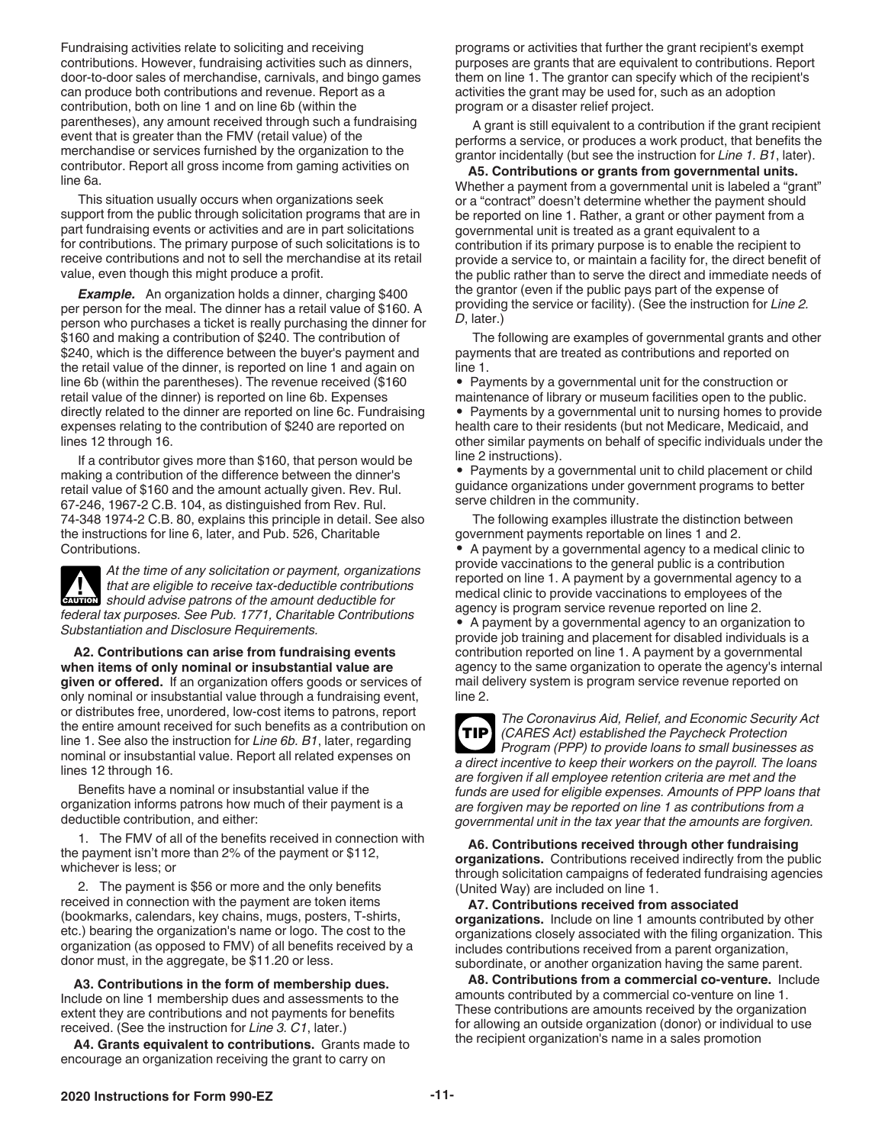<span id="page-10-0"></span>Fundraising activities relate to soliciting and receiving contributions. However, fundraising activities such as dinners, door-to-door sales of merchandise, carnivals, and bingo games can produce both contributions and revenue. Report as a contribution, both on line 1 and on line 6b (within the parentheses), any amount received through such a fundraising event that is greater than the FMV (retail value) of the merchandise or services furnished by the organization to the contributor. Report all gross income from gaming activities on line 6a.

This situation usually occurs when organizations seek support from the public through solicitation programs that are in part fundraising events or activities and are in part solicitations for contributions. The primary purpose of such solicitations is to receive contributions and not to sell the merchandise at its retail value, even though this might produce a profit.

**Example.** An organization holds a dinner, charging \$400 per person for the meal. The dinner has a retail value of \$160. A person who purchases a ticket is really purchasing the dinner for \$160 and making a contribution of \$240. The contribution of \$240, which is the difference between the buyer's payment and the retail value of the dinner, is reported on line 1 and again on line 6b (within the parentheses). The revenue received (\$160 retail value of the dinner) is reported on line 6b. Expenses directly related to the dinner are reported on line 6c. Fundraising expenses relating to the contribution of \$240 are reported on lines 12 through 16.

If a contributor gives more than \$160, that person would be making a contribution of the difference between the dinner's retail value of \$160 and the amount actually given. Rev. Rul. 67-246, 1967-2 C.B. 104, as distinguished from Rev. Rul. 74-348 1974-2 C.B. 80, explains this principle in detail. See also the instructions for line 6, later, and Pub. 526, Charitable Contributions.

*At the time of any solicitation or payment, organizations that are eligible to receive tax-deductible contributions should advise patrons of the amount deductible for federal tax purposes. See Pub. 1771, Charitable Contributions Substantiation and Disclosure Requirements.*  **CAUTION !**

**A2. Contributions can arise from fundraising events when items of only nominal or insubstantial value are given or offered.** If an organization offers goods or services of only nominal or insubstantial value through a fundraising event, or distributes free, unordered, low-cost items to patrons, report the entire amount received for such benefits as a contribution on line 1. See also the instruction for *Line 6b. B1*, later, regarding nominal or insubstantial value. Report all related expenses on lines 12 through 16.

Benefits have a nominal or insubstantial value if the organization informs patrons how much of their payment is a deductible contribution, and either:

1. The FMV of all of the benefits received in connection with the payment isn't more than 2% of the payment or \$112, whichever is less; or

2. The payment is \$56 or more and the only benefits received in connection with the payment are token items (bookmarks, calendars, key chains, mugs, posters, T-shirts, etc.) bearing the organization's name or logo. The cost to the organization (as opposed to FMV) of all benefits received by a donor must, in the aggregate, be \$11.20 or less.

**A3. Contributions in the form of membership dues.** Include on line 1 membership dues and assessments to the extent they are contributions and not payments for benefits received. (See the instruction for *Line 3. C1*, later.)

**A4. Grants equivalent to contributions.** Grants made to encourage an organization receiving the grant to carry on

programs or activities that further the grant recipient's exempt purposes are grants that are equivalent to contributions. Report them on line 1. The grantor can specify which of the recipient's activities the grant may be used for, such as an adoption program or a disaster relief project.

A grant is still equivalent to a contribution if the grant recipient performs a service, or produces a work product, that benefits the grantor incidentally (but see the instruction for *Line 1. B1*, later).

**A5. Contributions or grants from governmental units.**  Whether a payment from a governmental unit is labeled a "grant" or a "contract" doesn't determine whether the payment should be reported on line 1. Rather, a grant or other payment from a governmental unit is treated as a grant equivalent to a contribution if its primary purpose is to enable the recipient to provide a service to, or maintain a facility for, the direct benefit of the public rather than to serve the direct and immediate needs of the grantor (even if the public pays part of the expense of providing the service or facility). (See the instruction for *Line 2. D*, later.)

The following are examples of governmental grants and other payments that are treated as contributions and reported on line 1.

• Payments by a governmental unit for the construction or maintenance of library or museum facilities open to the public. • Payments by a governmental unit to nursing homes to provide health care to their residents (but not Medicare, Medicaid, and other similar payments on behalf of specific individuals under the line 2 instructions).

• Payments by a governmental unit to child placement or child guidance organizations under government programs to better serve children in the community.

The following examples illustrate the distinction between government payments reportable on lines 1 and 2. • A payment by a governmental agency to a medical clinic to provide vaccinations to the general public is a contribution reported on line 1. A payment by a governmental agency to a medical clinic to provide vaccinations to employees of the agency is program service revenue reported on line 2. • A payment by a governmental agency to an organization to provide job training and placement for disabled individuals is a contribution reported on line 1. A payment by a governmental

agency to the same organization to operate the agency's internal mail delivery system is program service revenue reported on line 2.



**A6. Contributions received through other fundraising organizations.** Contributions received indirectly from the public through solicitation campaigns of federated fundraising agencies (United Way) are included on line 1.

*governmental unit in the tax year that the amounts are forgiven.*

#### **A7. Contributions received from associated**

**organizations.** Include on line 1 amounts contributed by other organizations closely associated with the filing organization. This includes contributions received from a parent organization, subordinate, or another organization having the same parent.

**A8. Contributions from a commercial co-venture.** Include amounts contributed by a commercial co-venture on line 1. These contributions are amounts received by the organization for allowing an outside organization (donor) or individual to use the recipient organization's name in a sales promotion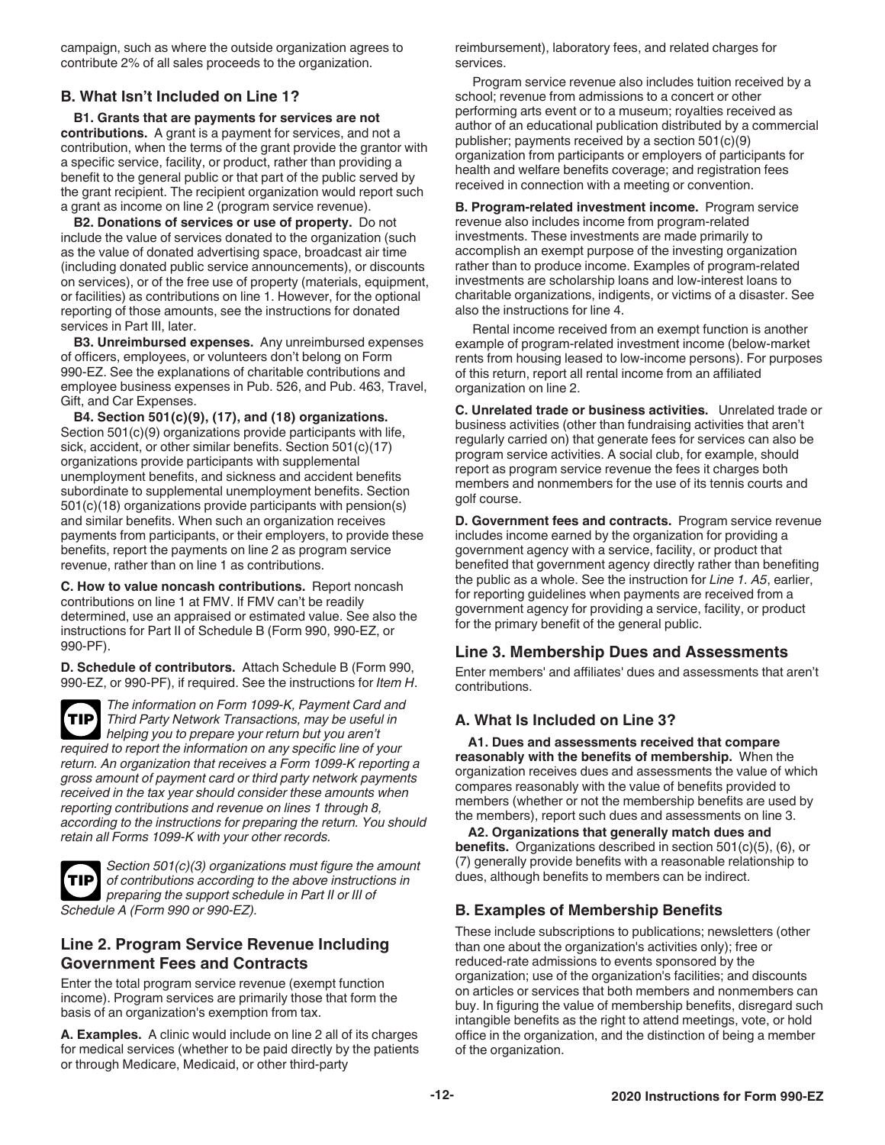<span id="page-11-0"></span>campaign, such as where the outside organization agrees to contribute 2% of all sales proceeds to the organization.

#### **B. What Isn't Included on Line 1?**

**B1. Grants that are payments for services are not contributions.** A grant is a payment for services, and not a contribution, when the terms of the grant provide the grantor with a specific service, facility, or product, rather than providing a benefit to the general public or that part of the public served by the grant recipient. The recipient organization would report such a grant as income on line 2 (program service revenue).

**B2. Donations of services or use of property.** Do not include the value of services donated to the organization (such as the value of donated advertising space, broadcast air time (including donated public service announcements), or discounts on services), or of the free use of property (materials, equipment, or facilities) as contributions on line 1. However, for the optional reporting of those amounts, see the instructions for donated services in Part III, later.

**B3. Unreimbursed expenses.** Any unreimbursed expenses of officers, employees, or volunteers don't belong on Form 990-EZ. See the explanations of charitable contributions and employee business expenses in Pub. 526, and Pub. 463, Travel, Gift, and Car Expenses.

**B4. Section 501(c)(9), (17), and (18) organizations.**  Section 501(c)(9) organizations provide participants with life, sick, accident, or other similar benefits. Section 501(c)(17) organizations provide participants with supplemental unemployment benefits, and sickness and accident benefits subordinate to supplemental unemployment benefits. Section 501(c)(18) organizations provide participants with pension(s) and similar benefits. When such an organization receives payments from participants, or their employers, to provide these benefits, report the payments on line 2 as program service revenue, rather than on line 1 as contributions.

**C. How to value noncash contributions.** Report noncash contributions on line 1 at FMV. If FMV can't be readily determined, use an appraised or estimated value. See also the instructions for Part II of Schedule B (Form 990, 990-EZ, or 990-PF).

**D. Schedule of contributors.** Attach Schedule B (Form 990, 990-EZ, or 990-PF), if required. See the instructions for *Item H*.

*The information on Form 1099-K, Payment Card and Third Party Network Transactions, may be useful in helping you to prepare your return but you aren't required to report the information on any specific line of your return. An organization that receives a Form 1099-K reporting a gross amount of payment card or third party network payments received in the tax year should consider these amounts when reporting contributions and revenue on lines 1 through 8, according to the instructions for preparing the return. You should retain all Forms 1099-K with your other records.* **TIP**



*Section 501(c)(3) organizations must figure the amount of contributions according to the above instructions in preparing the support schedule in Part II or III of Schedule A (Form 990 or 990-EZ).*

#### **Line 2. Program Service Revenue Including Government Fees and Contracts**

Enter the total program service revenue (exempt function income). Program services are primarily those that form the basis of an organization's exemption from tax.

**A. Examples.** A clinic would include on line 2 all of its charges for medical services (whether to be paid directly by the patients or through Medicare, Medicaid, or other third-party

reimbursement), laboratory fees, and related charges for services.

Program service revenue also includes tuition received by a school; revenue from admissions to a concert or other performing arts event or to a museum; royalties received as author of an educational publication distributed by a commercial publisher; payments received by a section 501(c)(9) organization from participants or employers of participants for health and welfare benefits coverage; and registration fees received in connection with a meeting or convention.

**B. Program-related investment income.** Program service revenue also includes income from program-related investments. These investments are made primarily to accomplish an exempt purpose of the investing organization rather than to produce income. Examples of program-related investments are scholarship loans and low-interest loans to charitable organizations, indigents, or victims of a disaster. See also the instructions for line 4.

Rental income received from an exempt function is another example of program-related investment income (below-market rents from housing leased to low-income persons). For purposes of this return, report all rental income from an affiliated organization on line 2.

**C. Unrelated trade or business activities.** Unrelated trade or business activities (other than fundraising activities that aren't regularly carried on) that generate fees for services can also be program service activities. A social club, for example, should report as program service revenue the fees it charges both members and nonmembers for the use of its tennis courts and golf course.

**D. Government fees and contracts.** Program service revenue includes income earned by the organization for providing a government agency with a service, facility, or product that benefited that government agency directly rather than benefiting the public as a whole. See the instruction for *Line 1. A5*, earlier, for reporting guidelines when payments are received from a government agency for providing a service, facility, or product for the primary benefit of the general public.

#### **Line 3. Membership Dues and Assessments**

Enter members' and affiliates' dues and assessments that aren't contributions.

### **A. What Is Included on Line 3?**

**A1. Dues and assessments received that compare reasonably with the benefits of membership.** When the organization receives dues and assessments the value of which compares reasonably with the value of benefits provided to members (whether or not the membership benefits are used by the members), report such dues and assessments on line 3.

**A2. Organizations that generally match dues and benefits.** Organizations described in section 501(c)(5), (6), or (7) generally provide benefits with a reasonable relationship to dues, although benefits to members can be indirect.

### **B. Examples of Membership Benefits**

These include subscriptions to publications; newsletters (other than one about the organization's activities only); free or reduced-rate admissions to events sponsored by the organization; use of the organization's facilities; and discounts on articles or services that both members and nonmembers can buy. In figuring the value of membership benefits, disregard such intangible benefits as the right to attend meetings, vote, or hold office in the organization, and the distinction of being a member of the organization.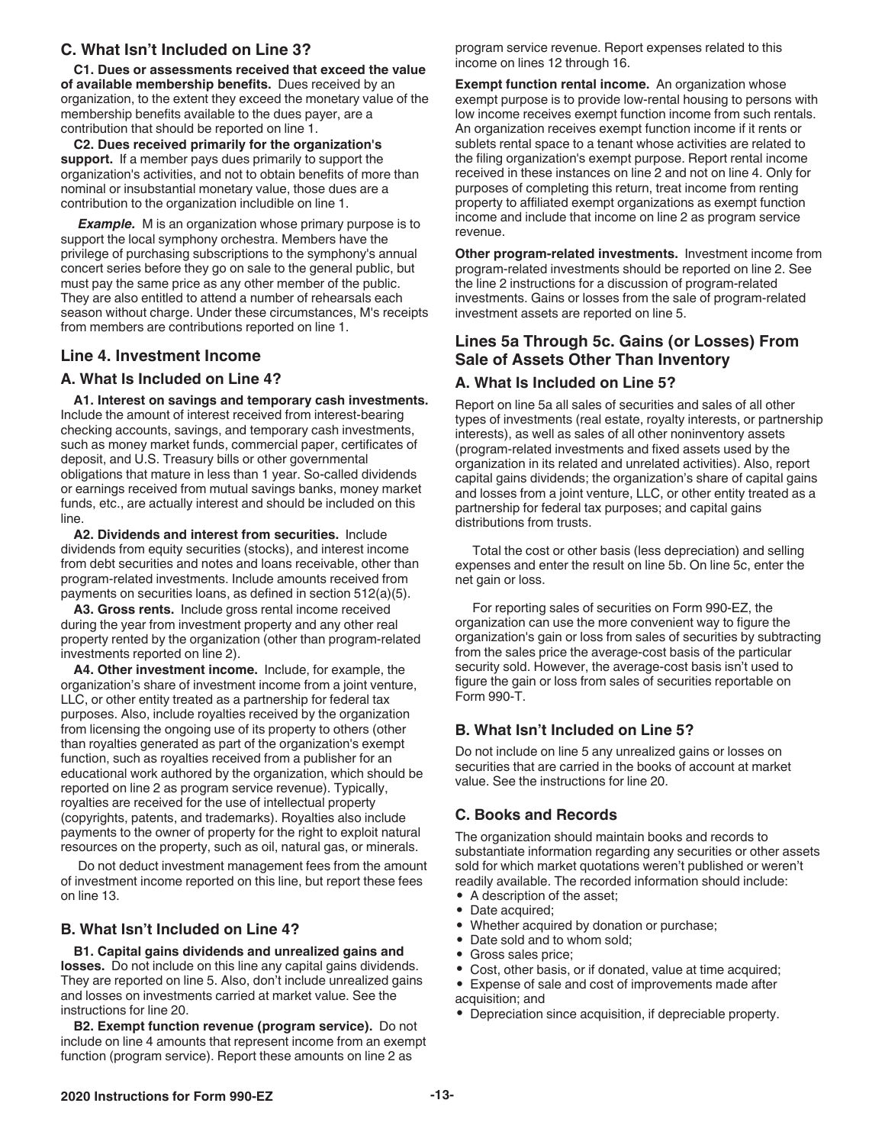#### <span id="page-12-0"></span>**C. What Isn't Included on Line 3?**

**C1. Dues or assessments received that exceed the value of available membership benefits.** Dues received by an organization, to the extent they exceed the monetary value of the membership benefits available to the dues payer, are a contribution that should be reported on line 1.

**C2. Dues received primarily for the organization's support.** If a member pays dues primarily to support the organization's activities, and not to obtain benefits of more than nominal or insubstantial monetary value, those dues are a contribution to the organization includible on line 1.

*Example.* M is an organization whose primary purpose is to support the local symphony orchestra. Members have the privilege of purchasing subscriptions to the symphony's annual concert series before they go on sale to the general public, but must pay the same price as any other member of the public. They are also entitled to attend a number of rehearsals each season without charge. Under these circumstances, M's receipts from members are contributions reported on line 1.

#### **Line 4. Investment Income**

#### **A. What Is Included on Line 4?**

**A1. Interest on savings and temporary cash investments.** Include the amount of interest received from interest-bearing checking accounts, savings, and temporary cash investments, such as money market funds, commercial paper, certificates of deposit, and U.S. Treasury bills or other governmental obligations that mature in less than 1 year. So-called dividends or earnings received from mutual savings banks, money market funds, etc., are actually interest and should be included on this line.

**A2. Dividends and interest from securities.** Include dividends from equity securities (stocks), and interest income from debt securities and notes and loans receivable, other than program-related investments. Include amounts received from payments on securities loans, as defined in section 512(a)(5).

**A3. Gross rents.** Include gross rental income received during the year from investment property and any other real property rented by the organization (other than program-related investments reported on line 2).

**A4. Other investment income.** Include, for example, the organization's share of investment income from a joint venture, LLC, or other entity treated as a partnership for federal tax purposes. Also, include royalties received by the organization from licensing the ongoing use of its property to others (other than royalties generated as part of the organization's exempt function, such as royalties received from a publisher for an educational work authored by the organization, which should be reported on line 2 as program service revenue). Typically, royalties are received for the use of intellectual property (copyrights, patents, and trademarks). Royalties also include payments to the owner of property for the right to exploit natural resources on the property, such as oil, natural gas, or minerals.

Do not deduct investment management fees from the amount of investment income reported on this line, but report these fees on line 13.

#### **B. What Isn't Included on Line 4?**

**B1. Capital gains dividends and unrealized gains and losses.** Do not include on this line any capital gains dividends. They are reported on line 5. Also, don't include unrealized gains and losses on investments carried at market value. See the instructions for line 20.

**B2. Exempt function revenue (program service).** Do not include on line 4 amounts that represent income from an exempt function (program service). Report these amounts on line 2 as

program service revenue. Report expenses related to this income on lines 12 through 16.

**Exempt function rental income.** An organization whose exempt purpose is to provide low-rental housing to persons with low income receives exempt function income from such rentals. An organization receives exempt function income if it rents or sublets rental space to a tenant whose activities are related to the filing organization's exempt purpose. Report rental income received in these instances on line 2 and not on line 4. Only for purposes of completing this return, treat income from renting property to affiliated exempt organizations as exempt function income and include that income on line 2 as program service revenue.

**Other program-related investments.** Investment income from program-related investments should be reported on line 2. See the line 2 instructions for a discussion of program-related investments. Gains or losses from the sale of program-related investment assets are reported on line 5.

#### **Lines 5a Through 5c. Gains (or Losses) From Sale of Assets Other Than Inventory**

#### **A. What Is Included on Line 5?**

Report on line 5a all sales of securities and sales of all other types of investments (real estate, royalty interests, or partnership interests), as well as sales of all other noninventory assets (program-related investments and fixed assets used by the organization in its related and unrelated activities). Also, report capital gains dividends; the organization's share of capital gains and losses from a joint venture, LLC, or other entity treated as a partnership for federal tax purposes; and capital gains distributions from trusts.

Total the cost or other basis (less depreciation) and selling expenses and enter the result on line 5b. On line 5c, enter the net gain or loss.

For reporting sales of securities on Form 990-EZ, the organization can use the more convenient way to figure the organization's gain or loss from sales of securities by subtracting from the sales price the average-cost basis of the particular security sold. However, the average-cost basis isn't used to figure the gain or loss from sales of securities reportable on Form 990-T.

#### **B. What Isn't Included on Line 5?**

Do not include on line 5 any unrealized gains or losses on securities that are carried in the books of account at market value. See the instructions for line 20.

#### **C. Books and Records**

The organization should maintain books and records to substantiate information regarding any securities or other assets sold for which market quotations weren't published or weren't readily available. The recorded information should include:

- A description of the asset;
- Date acquired;
- Whether acquired by donation or purchase;
- Date sold and to whom sold;<br>• Gross sales price:
- Gross sales price;<br>• Cost other basis
- Cost, other basis, or if donated, value at time acquired;
- Expense of sale and cost of improvements made after acquisition; and
- Depreciation since acquisition, if depreciable property.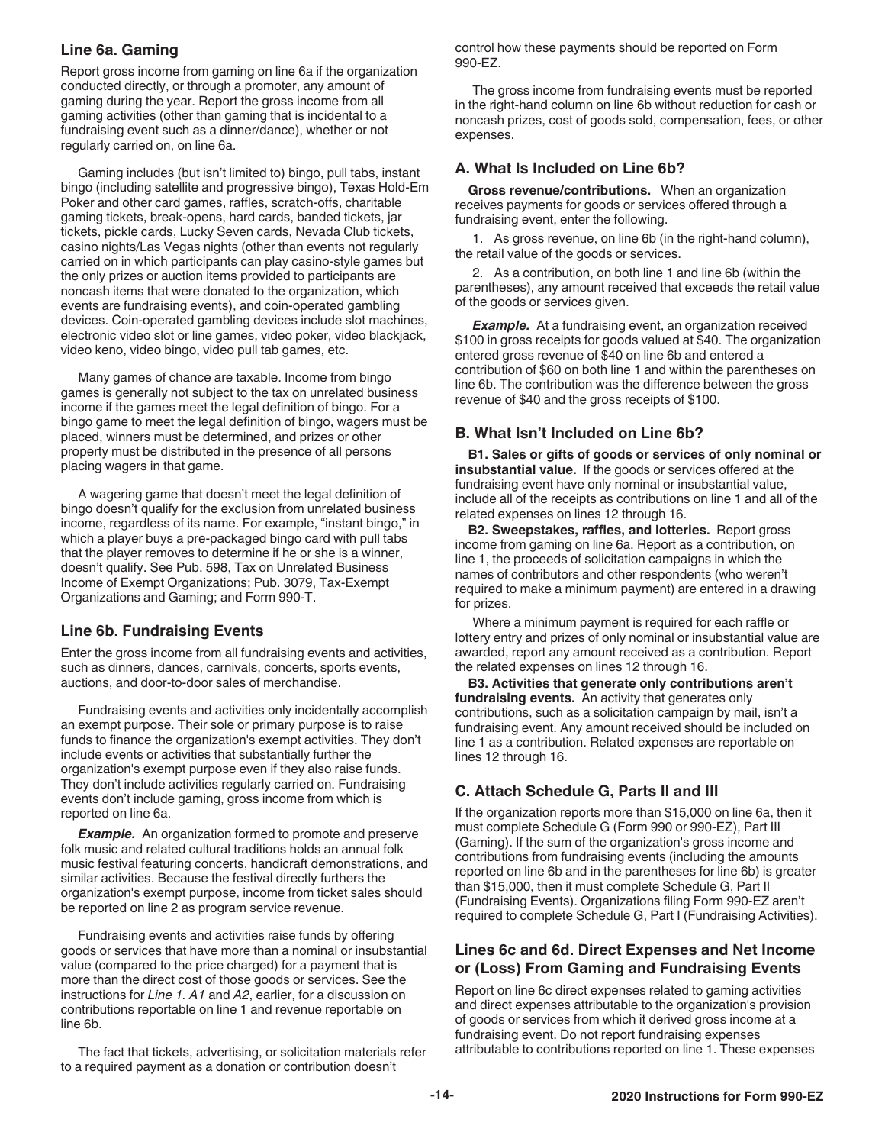#### <span id="page-13-0"></span>**Line 6a. Gaming**

Report gross income from gaming on line 6a if the organization conducted directly, or through a promoter, any amount of gaming during the year. Report the gross income from all gaming activities (other than gaming that is incidental to a fundraising event such as a dinner/dance), whether or not regularly carried on, on line 6a.

Gaming includes (but isn't limited to) bingo, pull tabs, instant bingo (including satellite and progressive bingo), Texas Hold-Em Poker and other card games, raffles, scratch-offs, charitable gaming tickets, break-opens, hard cards, banded tickets, jar tickets, pickle cards, Lucky Seven cards, Nevada Club tickets, casino nights/Las Vegas nights (other than events not regularly carried on in which participants can play casino-style games but the only prizes or auction items provided to participants are noncash items that were donated to the organization, which events are fundraising events), and coin-operated gambling devices. Coin-operated gambling devices include slot machines, electronic video slot or line games, video poker, video blackjack, video keno, video bingo, video pull tab games, etc.

Many games of chance are taxable. Income from bingo games is generally not subject to the tax on unrelated business income if the games meet the legal definition of bingo. For a bingo game to meet the legal definition of bingo, wagers must be placed, winners must be determined, and prizes or other property must be distributed in the presence of all persons placing wagers in that game.

A wagering game that doesn't meet the legal definition of bingo doesn't qualify for the exclusion from unrelated business income, regardless of its name. For example, "instant bingo," in which a player buys a pre-packaged bingo card with pull tabs that the player removes to determine if he or she is a winner, doesn't qualify. See Pub. 598, Tax on Unrelated Business Income of Exempt Organizations; Pub. 3079, Tax-Exempt Organizations and Gaming; and Form 990-T.

#### **Line 6b. Fundraising Events**

Enter the gross income from all fundraising events and activities, such as dinners, dances, carnivals, concerts, sports events, auctions, and door-to-door sales of merchandise.

Fundraising events and activities only incidentally accomplish an exempt purpose. Their sole or primary purpose is to raise funds to finance the organization's exempt activities. They don't include events or activities that substantially further the organization's exempt purpose even if they also raise funds. They don't include activities regularly carried on. Fundraising events don't include gaming, gross income from which is reported on line 6a.

**Example.** An organization formed to promote and preserve folk music and related cultural traditions holds an annual folk music festival featuring concerts, handicraft demonstrations, and similar activities. Because the festival directly furthers the organization's exempt purpose, income from ticket sales should be reported on line 2 as program service revenue.

Fundraising events and activities raise funds by offering goods or services that have more than a nominal or insubstantial value (compared to the price charged) for a payment that is more than the direct cost of those goods or services. See the instructions for *Line 1. A1* and *A2*, earlier, for a discussion on contributions reportable on line 1 and revenue reportable on line 6b.

The fact that tickets, advertising, or solicitation materials refer to a required payment as a donation or contribution doesn't

control how these payments should be reported on Form 990-EZ.

The gross income from fundraising events must be reported in the right-hand column on line 6b without reduction for cash or noncash prizes, cost of goods sold, compensation, fees, or other expenses.

#### **A. What Is Included on Line 6b?**

**Gross revenue/contributions.** When an organization receives payments for goods or services offered through a fundraising event, enter the following.

1. As gross revenue, on line 6b (in the right-hand column), the retail value of the goods or services.

2. As a contribution, on both line 1 and line 6b (within the parentheses), any amount received that exceeds the retail value of the goods or services given.

**Example.** At a fundraising event, an organization received \$100 in gross receipts for goods valued at \$40. The organization entered gross revenue of \$40 on line 6b and entered a contribution of \$60 on both line 1 and within the parentheses on line 6b. The contribution was the difference between the gross revenue of \$40 and the gross receipts of \$100.

#### **B. What Isn't Included on Line 6b?**

**B1. Sales or gifts of goods or services of only nominal or insubstantial value.** If the goods or services offered at the fundraising event have only nominal or insubstantial value, include all of the receipts as contributions on line 1 and all of the related expenses on lines 12 through 16.

**B2. Sweepstakes, raffles, and lotteries.** Report gross income from gaming on line 6a. Report as a contribution, on line 1, the proceeds of solicitation campaigns in which the names of contributors and other respondents (who weren't required to make a minimum payment) are entered in a drawing for prizes.

Where a minimum payment is required for each raffle or lottery entry and prizes of only nominal or insubstantial value are awarded, report any amount received as a contribution. Report the related expenses on lines 12 through 16.

**B3. Activities that generate only contributions aren't fundraising events.** An activity that generates only contributions, such as a solicitation campaign by mail, isn't a fundraising event. Any amount received should be included on line 1 as a contribution. Related expenses are reportable on lines 12 through 16.

### **C. Attach Schedule G, Parts II and III**

If the organization reports more than \$15,000 on line 6a, then it must complete Schedule G (Form 990 or 990-EZ), Part III (Gaming). If the sum of the organization's gross income and contributions from fundraising events (including the amounts reported on line 6b and in the parentheses for line 6b) is greater than \$15,000, then it must complete Schedule G, Part II (Fundraising Events). Organizations filing Form 990-EZ aren't required to complete Schedule G, Part I (Fundraising Activities).

#### **Lines 6c and 6d. Direct Expenses and Net Income or (Loss) From Gaming and Fundraising Events**

Report on line 6c direct expenses related to gaming activities and direct expenses attributable to the organization's provision of goods or services from which it derived gross income at a fundraising event. Do not report fundraising expenses attributable to contributions reported on line 1. These expenses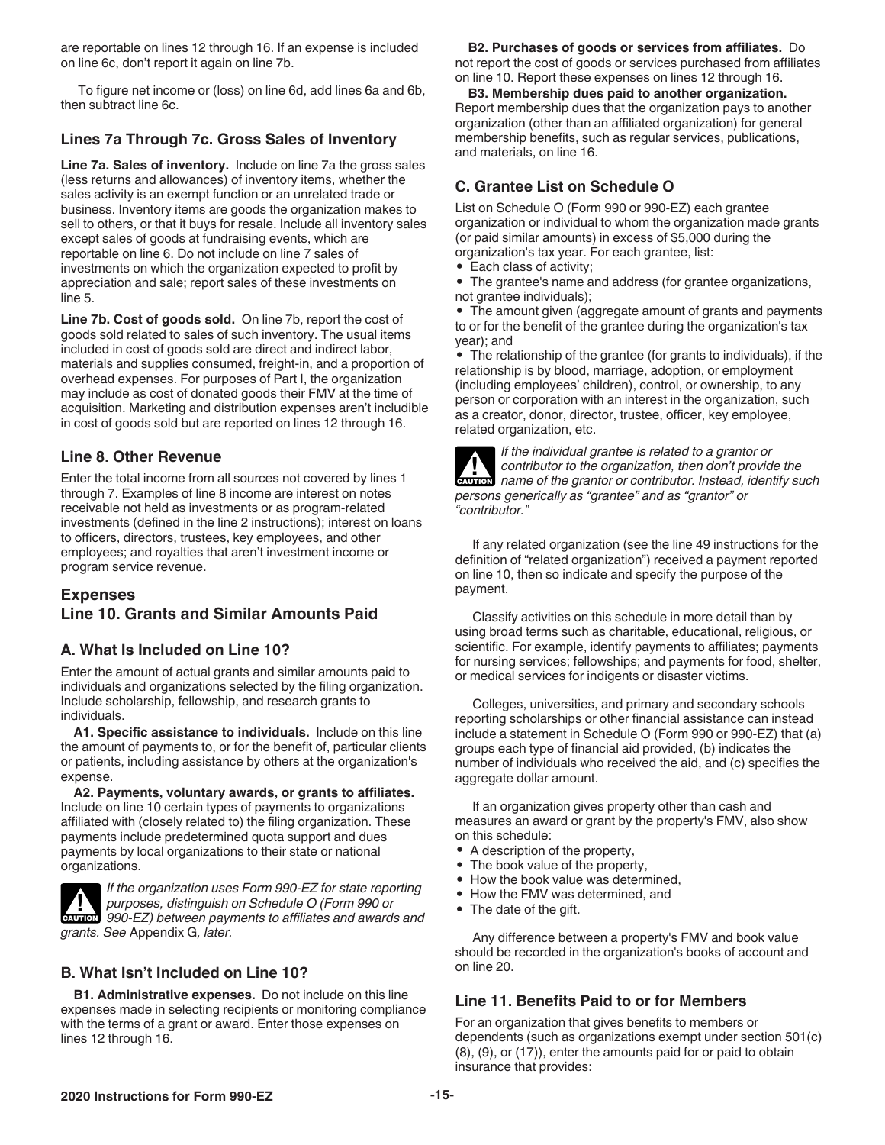<span id="page-14-0"></span>are reportable on lines 12 through 16. If an expense is included on line 6c, don't report it again on line 7b.

To figure net income or (loss) on line 6d, add lines 6a and 6b, then subtract line 6c.

#### **Lines 7a Through 7c. Gross Sales of Inventory**

**Line 7a. Sales of inventory.** Include on line 7a the gross sales (less returns and allowances) of inventory items, whether the sales activity is an exempt function or an unrelated trade or business. Inventory items are goods the organization makes to sell to others, or that it buys for resale. Include all inventory sales except sales of goods at fundraising events, which are reportable on line 6. Do not include on line 7 sales of investments on which the organization expected to profit by appreciation and sale; report sales of these investments on line 5.

**Line 7b. Cost of goods sold.** On line 7b, report the cost of goods sold related to sales of such inventory. The usual items included in cost of goods sold are direct and indirect labor, materials and supplies consumed, freight-in, and a proportion of overhead expenses. For purposes of Part I, the organization may include as cost of donated goods their FMV at the time of acquisition. Marketing and distribution expenses aren't includible in cost of goods sold but are reported on lines 12 through 16.

#### **Line 8. Other Revenue**

Enter the total income from all sources not covered by lines 1 through 7. Examples of line 8 income are interest on notes receivable not held as investments or as program-related investments (defined in the line 2 instructions); interest on loans to officers, directors, trustees, key employees, and other employees; and royalties that aren't investment income or program service revenue.

#### **Expenses Line 10. Grants and Similar Amounts Paid**

#### **A. What Is Included on Line 10?**

Enter the amount of actual grants and similar amounts paid to individuals and organizations selected by the filing organization. Include scholarship, fellowship, and research grants to individuals.

**A1. Specific assistance to individuals.** Include on this line the amount of payments to, or for the benefit of, particular clients or patients, including assistance by others at the organization's expense.

**A2. Payments, voluntary awards, or grants to affiliates.** Include on line 10 certain types of payments to organizations affiliated with (closely related to) the filing organization. These payments include predetermined quota support and dues payments by local organizations to their state or national organizations.

*If the organization uses Form 990-EZ for state reporting purposes, distinguish on Schedule O (Form 990 or*  **PERFECT:** purposes, distinguish on Schedule O (Form 990 or **CAUTION** 990-EZ) between payments to affiliates and awards and *grants. See* Appendix G*, later.*

### **B. What Isn't Included on Line 10?**

**B1. Administrative expenses.** Do not include on this line expenses made in selecting recipients or monitoring compliance with the terms of a grant or award. Enter those expenses on lines 12 through 16.

#### **B2. Purchases of goods or services from affiliates.** Do not report the cost of goods or services purchased from affiliates on line 10. Report these expenses on lines 12 through 16.

**B3. Membership dues paid to another organization.**  Report membership dues that the organization pays to another organization (other than an affiliated organization) for general membership benefits, such as regular services, publications, and materials, on line 16.

#### **C. Grantee List on Schedule O**

List on Schedule O (Form 990 or 990-EZ) each grantee organization or individual to whom the organization made grants (or paid similar amounts) in excess of \$5,000 during the organization's tax year. For each grantee, list:

- Each class of activity;
- The grantee's name and address (for grantee organizations, not grantee individuals);

• The amount given (aggregate amount of grants and payments to or for the benefit of the grantee during the organization's tax year); and

• The relationship of the grantee (for grants to individuals), if the relationship is by blood, marriage, adoption, or employment (including employees' children), control, or ownership, to any person or corporation with an interest in the organization, such as a creator, donor, director, trustee, officer, key employee, related organization, etc.

| <b>AV</b>      | If the individual grantee is related to a grantor or<br>contributor to the organization, then don't provide the |
|----------------|-----------------------------------------------------------------------------------------------------------------|
|                | <b>ENTION</b> name of the grantor or contributor. Instead, identify such                                        |
|                | persons generically as "grantee" and as "grantor" or                                                            |
| "contributor." |                                                                                                                 |

If any related organization (see the line 49 instructions for the definition of "related organization") received a payment reported on line 10, then so indicate and specify the purpose of the payment.

Classify activities on this schedule in more detail than by using broad terms such as charitable, educational, religious, or scientific. For example, identify payments to affiliates; payments for nursing services; fellowships; and payments for food, shelter, or medical services for indigents or disaster victims.

Colleges, universities, and primary and secondary schools reporting scholarships or other financial assistance can instead include a statement in Schedule O (Form 990 or 990-EZ) that (a) groups each type of financial aid provided, (b) indicates the number of individuals who received the aid, and (c) specifies the aggregate dollar amount.

If an organization gives property other than cash and measures an award or grant by the property's FMV, also show on this schedule:

- A description of the property,
- The book value of the property,
- How the book value was determined,
- How the FMV was determined, and
- The date of the gift.

Any difference between a property's FMV and book value should be recorded in the organization's books of account and on line 20.

#### **Line 11. Benefits Paid to or for Members**

For an organization that gives benefits to members or dependents (such as organizations exempt under section 501(c) (8), (9), or (17)), enter the amounts paid for or paid to obtain insurance that provides: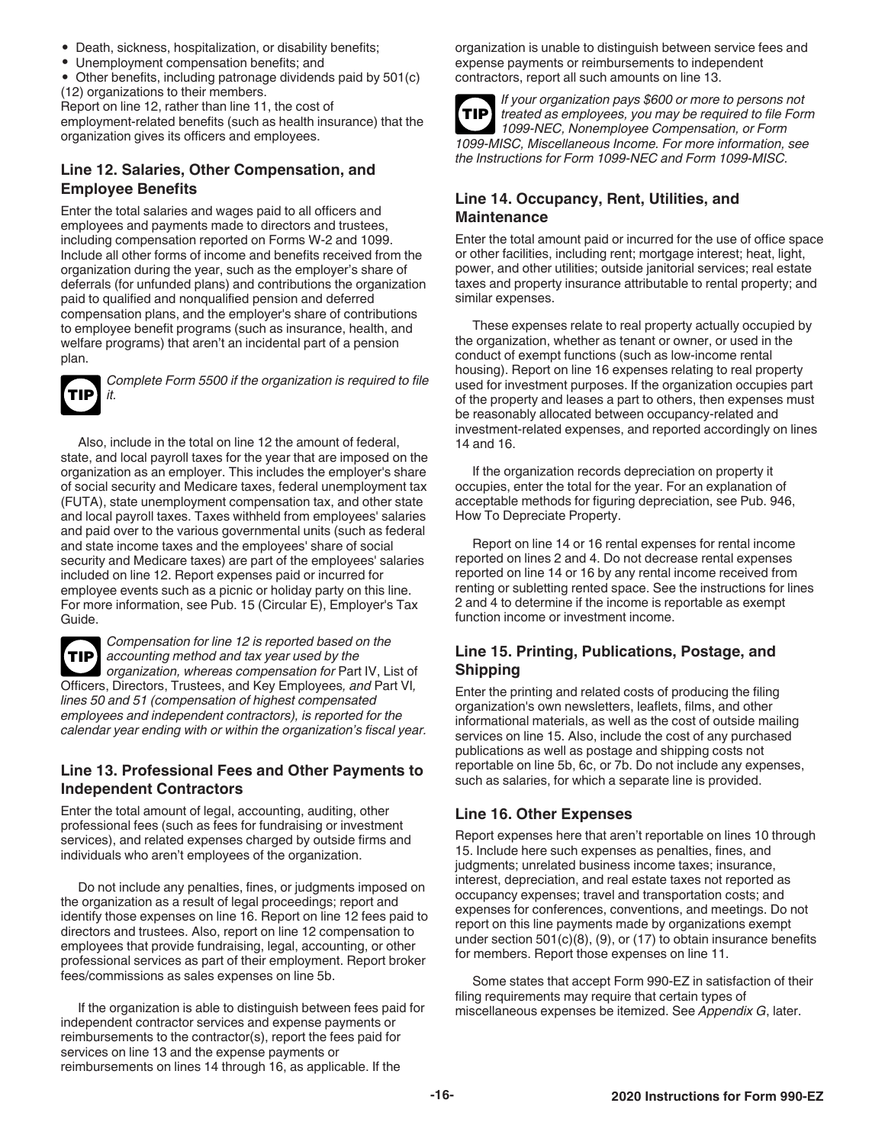- <span id="page-15-0"></span>• Death, sickness, hospitalization, or disability benefits;
- Unemployment compensation benefits; and
- Other benefits, including patronage dividends paid by 501(c) (12) organizations to their members.

Report on line 12, rather than line 11, the cost of

employment-related benefits (such as health insurance) that the organization gives its officers and employees.

#### **Line 12. Salaries, Other Compensation, and Employee Benefits**

Enter the total salaries and wages paid to all officers and employees and payments made to directors and trustees, including compensation reported on Forms W-2 and 1099. Include all other forms of income and benefits received from the organization during the year, such as the employer's share of deferrals (for unfunded plans) and contributions the organization paid to qualified and nonqualified pension and deferred compensation plans, and the employer's share of contributions to employee benefit programs (such as insurance, health, and welfare programs) that aren't an incidental part of a pension plan.

**TIP**

*Complete Form 5500 if the organization is required to file it.*

Also, include in the total on line 12 the amount of federal, state, and local payroll taxes for the year that are imposed on the organization as an employer. This includes the employer's share of social security and Medicare taxes, federal unemployment tax (FUTA), state unemployment compensation tax, and other state and local payroll taxes. Taxes withheld from employees' salaries and paid over to the various governmental units (such as federal and state income taxes and the employees' share of social security and Medicare taxes) are part of the employees' salaries included on line 12. Report expenses paid or incurred for employee events such as a picnic or holiday party on this line. For more information, see Pub. 15 (Circular E), Employer's Tax Guide.



*Compensation for line 12 is reported based on the accounting method and tax year used by the organization, whereas compensation for* Part IV, List of Officers, Directors, Trustees, and Key Employees*, and* Part VI*, lines 50 and 51 (compensation of highest compensated employees and independent contractors), is reported for the calendar year ending with or within the organization's fiscal year.*

#### **Line 13. Professional Fees and Other Payments to Independent Contractors**

Enter the total amount of legal, accounting, auditing, other professional fees (such as fees for fundraising or investment services), and related expenses charged by outside firms and individuals who aren't employees of the organization.

Do not include any penalties, fines, or judgments imposed on the organization as a result of legal proceedings; report and identify those expenses on line 16. Report on line 12 fees paid to directors and trustees. Also, report on line 12 compensation to employees that provide fundraising, legal, accounting, or other professional services as part of their employment. Report broker fees/commissions as sales expenses on line 5b.

If the organization is able to distinguish between fees paid for independent contractor services and expense payments or reimbursements to the contractor(s), report the fees paid for services on line 13 and the expense payments or reimbursements on lines 14 through 16, as applicable. If the

organization is unable to distinguish between service fees and expense payments or reimbursements to independent contractors, report all such amounts on line 13.



*If your organization pays \$600 or more to persons not treated as employees, you may be required to file Form 1099-NEC, Nonemployee Compensation, or Form 1099-MISC, Miscellaneous Income. For more information, see the Instructions for Form 1099-NEC and Form 1099-MISC.*

### **Line 14. Occupancy, Rent, Utilities, and Maintenance**

Enter the total amount paid or incurred for the use of office space or other facilities, including rent; mortgage interest; heat, light, power, and other utilities; outside janitorial services; real estate taxes and property insurance attributable to rental property; and similar expenses.

These expenses relate to real property actually occupied by the organization, whether as tenant or owner, or used in the conduct of exempt functions (such as low-income rental housing). Report on line 16 expenses relating to real property used for investment purposes. If the organization occupies part of the property and leases a part to others, then expenses must be reasonably allocated between occupancy-related and investment-related expenses, and reported accordingly on lines 14 and 16.

If the organization records depreciation on property it occupies, enter the total for the year. For an explanation of acceptable methods for figuring depreciation, see Pub. 946, How To Depreciate Property.

Report on line 14 or 16 rental expenses for rental income reported on lines 2 and 4. Do not decrease rental expenses reported on line 14 or 16 by any rental income received from renting or subletting rented space. See the instructions for lines 2 and 4 to determine if the income is reportable as exempt function income or investment income.

#### **Line 15. Printing, Publications, Postage, and Shipping**

Enter the printing and related costs of producing the filing organization's own newsletters, leaflets, films, and other informational materials, as well as the cost of outside mailing services on line 15. Also, include the cost of any purchased publications as well as postage and shipping costs not reportable on line 5b, 6c, or 7b. Do not include any expenses, such as salaries, for which a separate line is provided.

#### **Line 16. Other Expenses**

Report expenses here that aren't reportable on lines 10 through 15. Include here such expenses as penalties, fines, and judgments; unrelated business income taxes; insurance, interest, depreciation, and real estate taxes not reported as occupancy expenses; travel and transportation costs; and expenses for conferences, conventions, and meetings. Do not report on this line payments made by organizations exempt under section 501(c)(8), (9), or (17) to obtain insurance benefits for members. Report those expenses on line 11.

Some states that accept Form 990-EZ in satisfaction of their filing requirements may require that certain types of miscellaneous expenses be itemized. See *Appendix G*, later.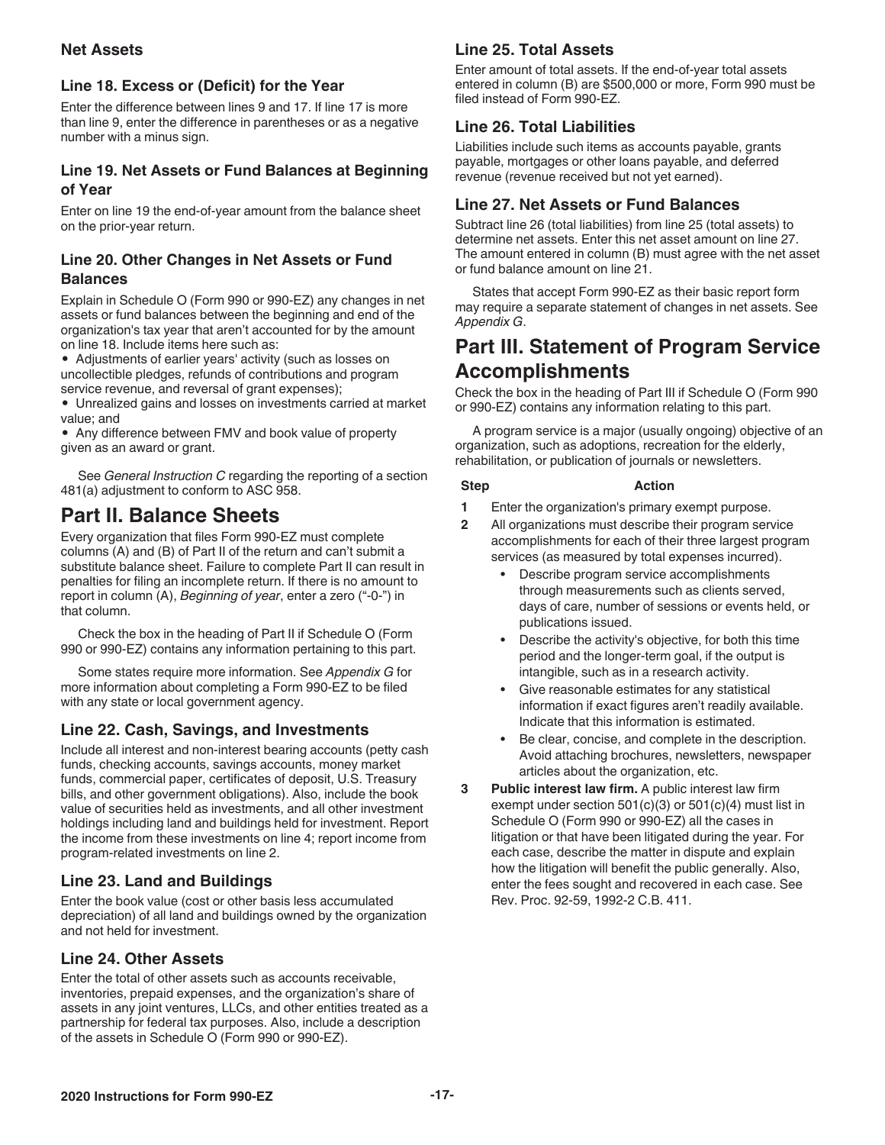#### <span id="page-16-0"></span>**Net Assets**

### **Line 18. Excess or (Deficit) for the Year**

Enter the difference between lines 9 and 17. If line 17 is more than line 9, enter the difference in parentheses or as a negative number with a minus sign.

### **Line 19. Net Assets or Fund Balances at Beginning of Year**

Enter on line 19 the end-of-year amount from the balance sheet on the prior-year return.

### **Line 20. Other Changes in Net Assets or Fund Balances**

Explain in Schedule O (Form 990 or 990-EZ) any changes in net assets or fund balances between the beginning and end of the organization's tax year that aren't accounted for by the amount on line 18. Include items here such as:

• Adjustments of earlier years' activity (such as losses on uncollectible pledges, refunds of contributions and program service revenue, and reversal of grant expenses);

• Unrealized gains and losses on investments carried at market value; and

• Any difference between FMV and book value of property given as an award or grant.

See *General Instruction C* regarding the reporting of a section 481(a) adjustment to conform to ASC 958.

# **Part II. Balance Sheets**

Every organization that files Form 990-EZ must complete columns (A) and (B) of Part II of the return and can't submit a substitute balance sheet. Failure to complete Part II can result in penalties for filing an incomplete return. If there is no amount to report in column (A), *Beginning of year*, enter a zero ("-0-") in that column.

Check the box in the heading of Part II if Schedule O (Form 990 or 990-EZ) contains any information pertaining to this part.

Some states require more information. See *Appendix G* for more information about completing a Form 990-EZ to be filed with any state or local government agency.

# **Line 22. Cash, Savings, and Investments**

Include all interest and non-interest bearing accounts (petty cash funds, checking accounts, savings accounts, money market funds, commercial paper, certificates of deposit, U.S. Treasury bills, and other government obligations). Also, include the book value of securities held as investments, and all other investment holdings including land and buildings held for investment. Report the income from these investments on line 4; report income from program-related investments on line 2.

# **Line 23. Land and Buildings**

Enter the book value (cost or other basis less accumulated depreciation) of all land and buildings owned by the organization and not held for investment.

# **Line 24. Other Assets**

Enter the total of other assets such as accounts receivable, inventories, prepaid expenses, and the organization's share of assets in any joint ventures, LLCs, and other entities treated as a partnership for federal tax purposes. Also, include a description of the assets in Schedule O (Form 990 or 990-EZ).

# **Line 25. Total Assets**

Enter amount of total assets. If the end-of-year total assets entered in column (B) are \$500,000 or more, Form 990 must be filed instead of Form 990-EZ.

# **Line 26. Total Liabilities**

Liabilities include such items as accounts payable, grants payable, mortgages or other loans payable, and deferred revenue (revenue received but not yet earned).

# **Line 27. Net Assets or Fund Balances**

Subtract line 26 (total liabilities) from line 25 (total assets) to determine net assets. Enter this net asset amount on line 27. The amount entered in column (B) must agree with the net asset or fund balance amount on line 21.

States that accept Form 990-EZ as their basic report form may require a separate statement of changes in net assets. See *Appendix G*.

# **Part III. Statement of Program Service Accomplishments**

Check the box in the heading of Part III if Schedule O (Form 990 or 990-EZ) contains any information relating to this part.

A program service is a major (usually ongoing) objective of an organization, such as adoptions, recreation for the elderly, rehabilitation, or publication of journals or newsletters.

#### **Step Action**

- **1** Enter the organization's primary exempt purpose.
- **2** All organizations must describe their program service accomplishments for each of their three largest program services (as measured by total expenses incurred).
	- **•** Describe program service accomplishments through measurements such as clients served, days of care, number of sessions or events held, or publications issued.
	- **•** Describe the activity's objective, for both this time period and the longer-term goal, if the output is intangible, such as in a research activity.
	- **•** Give reasonable estimates for any statistical information if exact figures aren't readily available. Indicate that this information is estimated.
	- **•** Be clear, concise, and complete in the description. Avoid attaching brochures, newsletters, newspaper articles about the organization, etc.
- **3 Public interest law firm.** A public interest law firm exempt under section 501(c)(3) or 501(c)(4) must list in Schedule O (Form 990 or 990-EZ) all the cases in litigation or that have been litigated during the year. For each case, describe the matter in dispute and explain how the litigation will benefit the public generally. Also, enter the fees sought and recovered in each case. See Rev. Proc. 92-59, 1992-2 C.B. 411.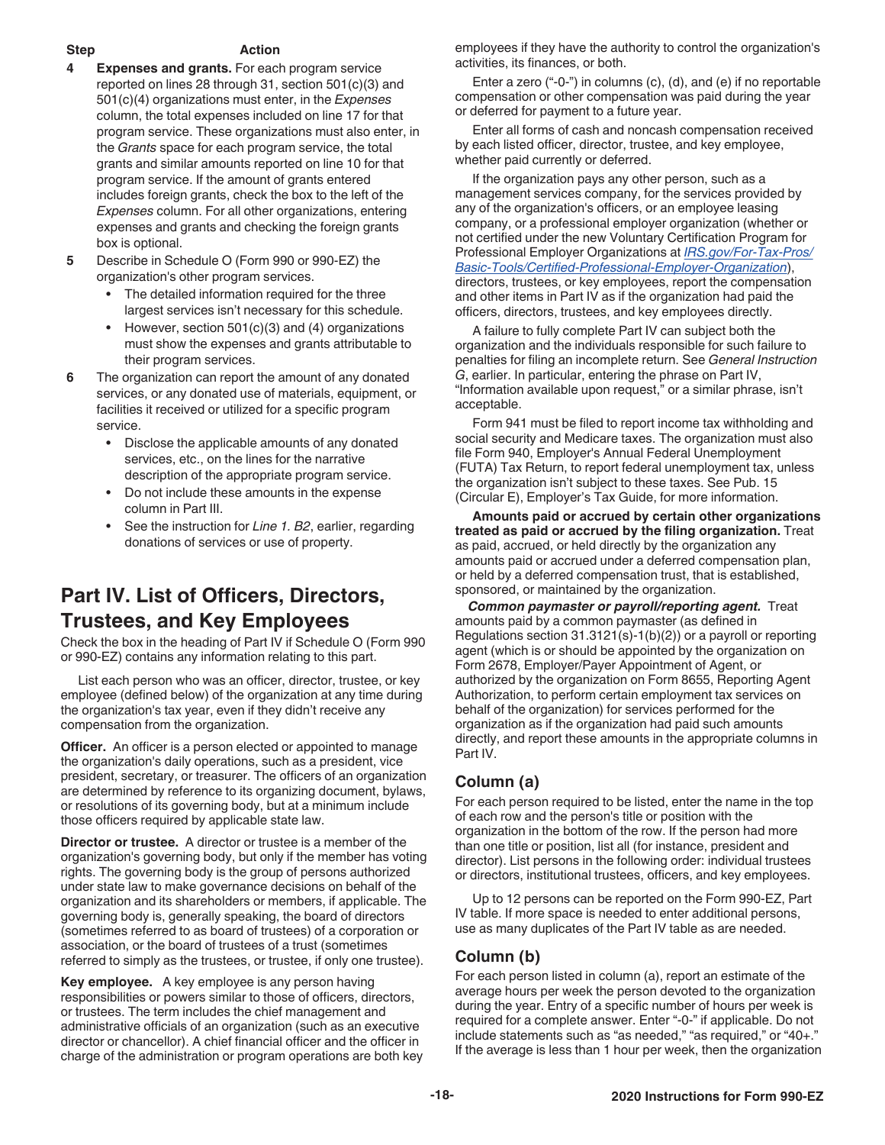#### <span id="page-17-0"></span>**Step Action**

- **4 Expenses and grants.** For each program service reported on lines 28 through 31, section 501(c)(3) and 501(c)(4) organizations must enter, in the *Expenses* column, the total expenses included on line 17 for that program service. These organizations must also enter, in the *Grants* space for each program service, the total grants and similar amounts reported on line 10 for that program service. If the amount of grants entered includes foreign grants, check the box to the left of the *Expenses* column. For all other organizations, entering expenses and grants and checking the foreign grants box is optional.
- **5** Describe in Schedule O (Form 990 or 990-EZ) the organization's other program services.
	- **•** The detailed information required for the three largest services isn't necessary for this schedule.
	- **•** However, section 501(c)(3) and (4) organizations must show the expenses and grants attributable to their program services.
- **6** The organization can report the amount of any donated services, or any donated use of materials, equipment, or facilities it received or utilized for a specific program service.
	- **•** Disclose the applicable amounts of any donated services, etc., on the lines for the narrative description of the appropriate program service.
	- **•** Do not include these amounts in the expense column in Part III.
	- **•** See the instruction for *Line 1. B2*, earlier, regarding donations of services or use of property.

# **Part IV. List of Officers, Directors, Trustees, and Key Employees**

Check the box in the heading of Part IV if Schedule O (Form 990 or 990-EZ) contains any information relating to this part.

List each person who was an officer, director, trustee, or key employee (defined below) of the organization at any time during the organization's tax year, even if they didn't receive any compensation from the organization.

**Officer.** An officer is a person elected or appointed to manage the organization's daily operations, such as a president, vice president, secretary, or treasurer. The officers of an organization are determined by reference to its organizing document, bylaws, or resolutions of its governing body, but at a minimum include those officers required by applicable state law.

**Director or trustee.** A director or trustee is a member of the organization's governing body, but only if the member has voting rights. The governing body is the group of persons authorized under state law to make governance decisions on behalf of the organization and its shareholders or members, if applicable. The governing body is, generally speaking, the board of directors (sometimes referred to as board of trustees) of a corporation or association, or the board of trustees of a trust (sometimes referred to simply as the trustees, or trustee, if only one trustee).

**Key employee.** A key employee is any person having responsibilities or powers similar to those of officers, directors, or trustees. The term includes the chief management and administrative officials of an organization (such as an executive director or chancellor). A chief financial officer and the officer in charge of the administration or program operations are both key employees if they have the authority to control the organization's activities, its finances, or both.

Enter a zero ("-0-") in columns (c), (d), and (e) if no reportable compensation or other compensation was paid during the year or deferred for payment to a future year.

Enter all forms of cash and noncash compensation received by each listed officer, director, trustee, and key employee, whether paid currently or deferred.

If the organization pays any other person, such as a management services company, for the services provided by any of the organization's officers, or an employee leasing company, or a professional employer organization (whether or not certified under the new Voluntary Certification Program for Professional Employer Organizations at *[IRS.gov/For-Tax-Pros/](https://www.irs.gov/for-tax-pros/basic-tools/certified-professional-employer-organization?_ga=1.143850288.445333279.1473687520) [Basic-Tools/Certified-Professional-Employer-Organization](https://www.irs.gov/for-tax-pros/basic-tools/certified-professional-employer-organization?_ga=1.143850288.445333279.1473687520)*), directors, trustees, or key employees, report the compensation and other items in Part IV as if the organization had paid the officers, directors, trustees, and key employees directly.

A failure to fully complete Part IV can subject both the organization and the individuals responsible for such failure to penalties for filing an incomplete return. See *General Instruction G*, earlier. In particular, entering the phrase on Part IV, "Information available upon request," or a similar phrase, isn't acceptable.

Form 941 must be filed to report income tax withholding and social security and Medicare taxes. The organization must also file Form 940, Employer's Annual Federal Unemployment (FUTA) Tax Return, to report federal unemployment tax, unless the organization isn't subject to these taxes. See Pub. 15 (Circular E), Employer's Tax Guide, for more information.

**Amounts paid or accrued by certain other organizations treated as paid or accrued by the filing organization.** Treat as paid, accrued, or held directly by the organization any amounts paid or accrued under a deferred compensation plan, or held by a deferred compensation trust, that is established, sponsored, or maintained by the organization.

*Common paymaster or payroll/reporting agent.* Treat amounts paid by a common paymaster (as defined in Regulations section 31.3121(s)-1(b)(2)) or a payroll or reporting agent (which is or should be appointed by the organization on Form 2678, Employer/Payer Appointment of Agent, or authorized by the organization on Form 8655, Reporting Agent Authorization, to perform certain employment tax services on behalf of the organization) for services performed for the organization as if the organization had paid such amounts directly, and report these amounts in the appropriate columns in Part IV.

# **Column (a)**

For each person required to be listed, enter the name in the top of each row and the person's title or position with the organization in the bottom of the row. If the person had more than one title or position, list all (for instance, president and director). List persons in the following order: individual trustees or directors, institutional trustees, officers, and key employees.

Up to 12 persons can be reported on the Form 990-EZ, Part IV table. If more space is needed to enter additional persons, use as many duplicates of the Part IV table as are needed.

# **Column (b)**

For each person listed in column (a), report an estimate of the average hours per week the person devoted to the organization during the year. Entry of a specific number of hours per week is required for a complete answer. Enter "-0-" if applicable. Do not include statements such as "as needed," "as required," or "40+." If the average is less than 1 hour per week, then the organization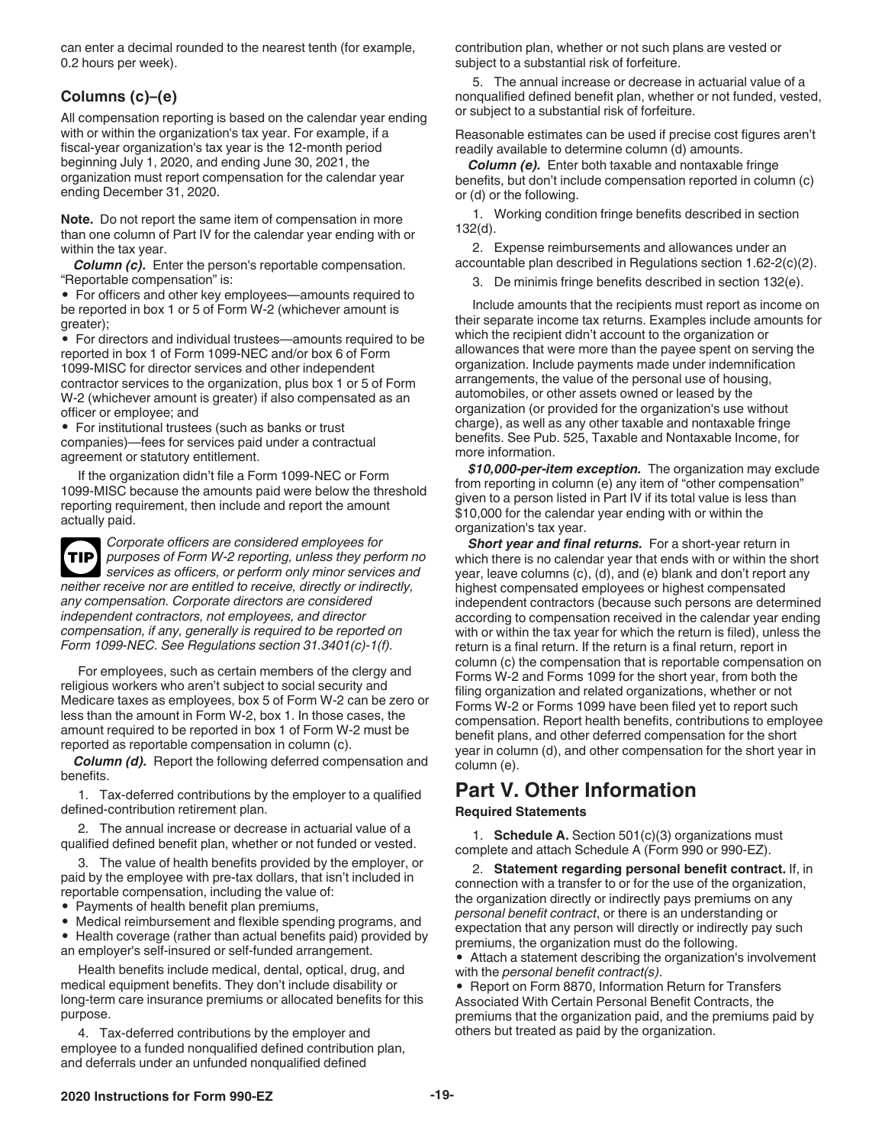<span id="page-18-0"></span>can enter a decimal rounded to the nearest tenth (for example, 0.2 hours per week).

### **Columns (c)–(e)**

All compensation reporting is based on the calendar year ending with or within the organization's tax year. For example, if a fiscal-year organization's tax year is the 12-month period beginning July 1, 2020, and ending June 30, 2021, the organization must report compensation for the calendar year ending December 31, 2020.

**Note.** Do not report the same item of compensation in more than one column of Part IV for the calendar year ending with or within the tax year.

*Column (c).* Enter the person's reportable compensation. "Reportable compensation" is:

• For officers and other key employees—amounts required to be reported in box 1 or 5 of Form W-2 (whichever amount is greater);

• For directors and individual trustees—amounts required to be reported in box 1 of Form 1099-NEC and/or box 6 of Form 1099-MISC for director services and other independent contractor services to the organization, plus box 1 or 5 of Form W-2 (whichever amount is greater) if also compensated as an officer or employee; and

• For institutional trustees (such as banks or trust companies)—fees for services paid under a contractual agreement or statutory entitlement.

If the organization didn't file a Form 1099-NEC or Form 1099-MISC because the amounts paid were below the threshold reporting requirement, then include and report the amount actually paid.

*Corporate officers are considered employees for purposes of Form W-2 reporting, unless they perform no services as officers, or perform only minor services and neither receive nor are entitled to receive, directly or indirectly, any compensation. Corporate directors are considered independent contractors, not employees, and director compensation, if any, generally is required to be reported on Form 1099-NEC. See Regulations section 31.3401(c)-1(f).* **TIP**

For employees, such as certain members of the clergy and religious workers who aren't subject to social security and Medicare taxes as employees, box 5 of Form W-2 can be zero or less than the amount in Form W-2, box 1. In those cases, the amount required to be reported in box 1 of Form W-2 must be reported as reportable compensation in column (c).

*Column (d).* Report the following deferred compensation and benefits.

1. Tax-deferred contributions by the employer to a qualified defined-contribution retirement plan.

2. The annual increase or decrease in actuarial value of a qualified defined benefit plan, whether or not funded or vested.

3. The value of health benefits provided by the employer, or paid by the employee with pre-tax dollars, that isn't included in reportable compensation, including the value of:

• Payments of health benefit plan premiums,

• Medical reimbursement and flexible spending programs, and

• Health coverage (rather than actual benefits paid) provided by an employer's self-insured or self-funded arrangement.

Health benefits include medical, dental, optical, drug, and medical equipment benefits. They don't include disability or long-term care insurance premiums or allocated benefits for this purpose.

4. Tax-deferred contributions by the employer and employee to a funded nonqualified defined contribution plan, and deferrals under an unfunded nonqualified defined

contribution plan, whether or not such plans are vested or subject to a substantial risk of forfeiture.

5. The annual increase or decrease in actuarial value of a nonqualified defined benefit plan, whether or not funded, vested, or subject to a substantial risk of forfeiture.

Reasonable estimates can be used if precise cost figures aren't readily available to determine column (d) amounts.

*Column (e).* Enter both taxable and nontaxable fringe benefits, but don't include compensation reported in column (c) or (d) or the following.

1. Working condition fringe benefits described in section 132(d).

2. Expense reimbursements and allowances under an accountable plan described in Regulations section 1.62-2(c)(2).

3. De minimis fringe benefits described in section 132(e).

Include amounts that the recipients must report as income on their separate income tax returns. Examples include amounts for which the recipient didn't account to the organization or allowances that were more than the payee spent on serving the organization. Include payments made under indemnification arrangements, the value of the personal use of housing, automobiles, or other assets owned or leased by the organization (or provided for the organization's use without charge), as well as any other taxable and nontaxable fringe benefits. See Pub. 525, Taxable and Nontaxable Income, for more information.

*\$10,000-per-item exception.* The organization may exclude from reporting in column (e) any item of "other compensation" given to a person listed in Part IV if its total value is less than \$10,000 for the calendar year ending with or within the organization's tax year.

**Short year and final returns.** For a short-year return in which there is no calendar year that ends with or within the short year, leave columns (c), (d), and (e) blank and don't report any highest compensated employees or highest compensated independent contractors (because such persons are determined according to compensation received in the calendar year ending with or within the tax year for which the return is filed), unless the return is a final return. If the return is a final return, report in column (c) the compensation that is reportable compensation on Forms W-2 and Forms 1099 for the short year, from both the filing organization and related organizations, whether or not Forms W-2 or Forms 1099 have been filed yet to report such compensation. Report health benefits, contributions to employee benefit plans, and other deferred compensation for the short year in column (d), and other compensation for the short year in column (e).

# **Part V. Other Information**

#### **Required Statements**

1. **Schedule A.** Section 501(c)(3) organizations must complete and attach Schedule A (Form 990 or 990-EZ).

2. **Statement regarding personal benefit contract.** If, in connection with a transfer to or for the use of the organization, the organization directly or indirectly pays premiums on any *personal benefit contract*, or there is an understanding or expectation that any person will directly or indirectly pay such premiums, the organization must do the following.

• Attach a statement describing the organization's involvement with the *personal benefit contract(s)*.

• Report on Form 8870, Information Return for Transfers Associated With Certain Personal Benefit Contracts, the premiums that the organization paid, and the premiums paid by others but treated as paid by the organization.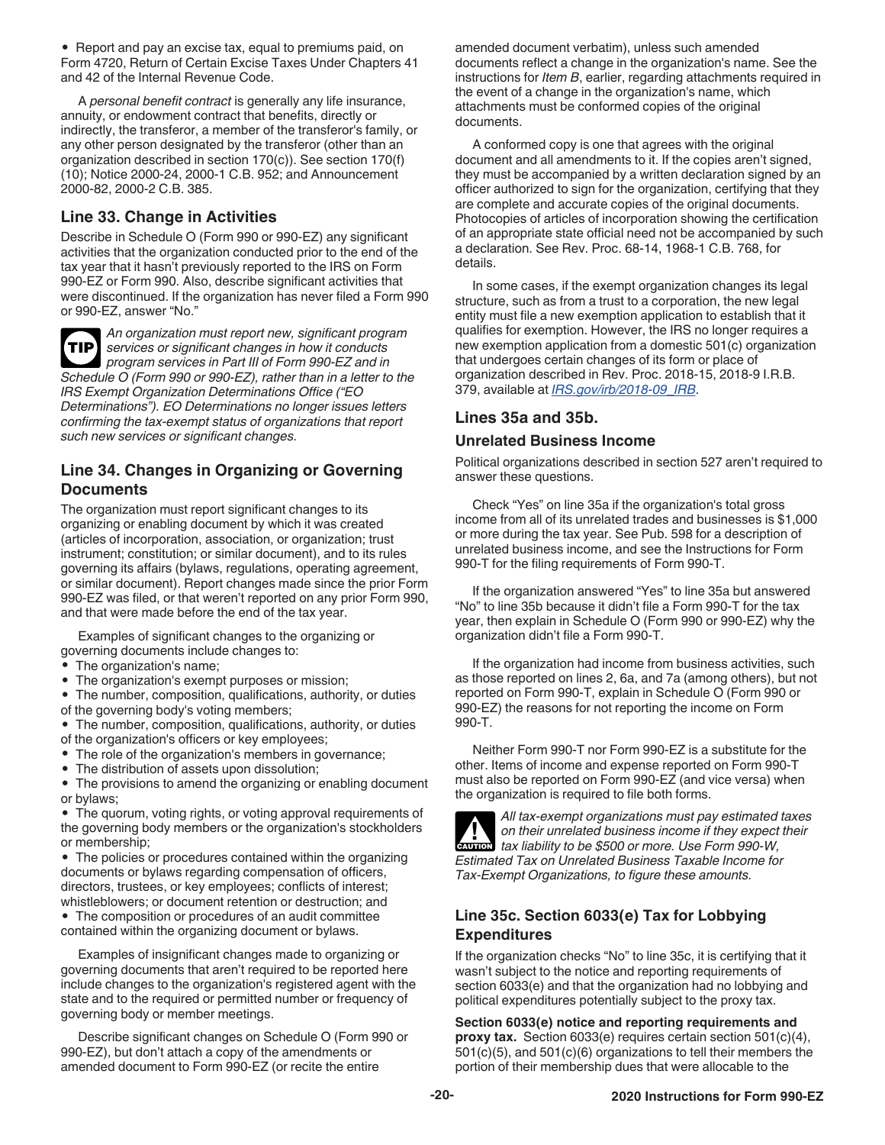<span id="page-19-0"></span>• Report and pay an excise tax, equal to premiums paid, on Form 4720, Return of Certain Excise Taxes Under Chapters 41 and 42 of the Internal Revenue Code.

A *personal benefit contract* is generally any life insurance, annuity, or endowment contract that benefits, directly or indirectly, the transferor, a member of the transferor's family, or any other person designated by the transferor (other than an organization described in section 170(c)). See section 170(f) (10); Notice 2000-24, 2000-1 C.B. 952; and Announcement 2000-82, 2000-2 C.B. 385.

### **Line 33. Change in Activities**

Describe in Schedule O (Form 990 or 990-EZ) any significant activities that the organization conducted prior to the end of the tax year that it hasn't previously reported to the IRS on Form 990-EZ or Form 990. Also, describe significant activities that were discontinued. If the organization has never filed a Form 990 or 990-EZ, answer "No."

**TIP**

*An organization must report new, significant program services or significant changes in how it conducts program services in Part III of Form 990-EZ and in Schedule O (Form 990 or 990-EZ), rather than in a letter to the IRS Exempt Organization Determinations Office ("EO* 

*Determinations"). EO Determinations no longer issues letters confirming the tax-exempt status of organizations that report such new services or significant changes.*

#### **Line 34. Changes in Organizing or Governing Documents**

The organization must report significant changes to its organizing or enabling document by which it was created (articles of incorporation, association, or organization; trust instrument; constitution; or similar document), and to its rules governing its affairs (bylaws, regulations, operating agreement, or similar document). Report changes made since the prior Form 990-EZ was filed, or that weren't reported on any prior Form 990, and that were made before the end of the tax year.

Examples of significant changes to the organizing or governing documents include changes to:

- The organization's name;
- The organization's exempt purposes or mission;
- The number, composition, qualifications, authority, or duties of the governing body's voting members;
- The number, composition, qualifications, authority, or duties of the organization's officers or key employees;
- The role of the organization's members in governance;
- The distribution of assets upon dissolution;

• The provisions to amend the organizing or enabling document or bylaws;

• The quorum, voting rights, or voting approval requirements of the governing body members or the organization's stockholders or membership;

• The policies or procedures contained within the organizing documents or bylaws regarding compensation of officers, directors, trustees, or key employees; conflicts of interest; whistleblowers; or document retention or destruction; and

• The composition or procedures of an audit committee contained within the organizing document or bylaws.

Examples of insignificant changes made to organizing or governing documents that aren't required to be reported here include changes to the organization's registered agent with the state and to the required or permitted number or frequency of governing body or member meetings.

Describe significant changes on Schedule O (Form 990 or 990-EZ), but don't attach a copy of the amendments or amended document to Form 990-EZ (or recite the entire

amended document verbatim), unless such amended documents reflect a change in the organization's name. See the instructions for *Item B*, earlier, regarding attachments required in the event of a change in the organization's name, which attachments must be conformed copies of the original documents.

A conformed copy is one that agrees with the original document and all amendments to it. If the copies aren't signed, they must be accompanied by a written declaration signed by an officer authorized to sign for the organization, certifying that they are complete and accurate copies of the original documents. Photocopies of articles of incorporation showing the certification of an appropriate state official need not be accompanied by such a declaration. See Rev. Proc. 68-14, 1968-1 C.B. 768, for details.

In some cases, if the exempt organization changes its legal structure, such as from a trust to a corporation, the new legal entity must file a new exemption application to establish that it qualifies for exemption. However, the IRS no longer requires a new exemption application from a domestic 501(c) organization that undergoes certain changes of its form or place of organization described in Rev. Proc. 2018-15, 2018-9 I.R.B. 379, available at *[IRS.gov/irb/2018-09\\_IRB](https://www.irs.gov/irb/2018-09_IRB)*.

#### **Lines 35a and 35b.**

#### **Unrelated Business Income**

Political organizations described in section 527 aren't required to answer these questions.

Check "Yes" on line 35a if the organization's total gross income from all of its unrelated trades and businesses is \$1,000 or more during the tax year. See Pub. 598 for a description of unrelated business income, and see the Instructions for Form 990-T for the filing requirements of Form 990-T.

If the organization answered "Yes" to line 35a but answered "No" to line 35b because it didn't file a Form 990-T for the tax year, then explain in Schedule O (Form 990 or 990-EZ) why the organization didn't file a Form 990-T.

If the organization had income from business activities, such as those reported on lines 2, 6a, and 7a (among others), but not reported on Form 990-T, explain in Schedule O (Form 990 or 990-EZ) the reasons for not reporting the income on Form 990-T.

Neither Form 990-T nor Form 990-EZ is a substitute for the other. Items of income and expense reported on Form 990-T must also be reported on Form 990-EZ (and vice versa) when the organization is required to file both forms.



*All tax-exempt organizations must pay estimated taxes on their unrelated business income if they expect their tax liability to be \$500 or more. Use Form 990-W, Estimated Tax on Unrelated Business Taxable Income for Tax-Exempt Organizations, to figure these amounts.*

#### **Line 35c. Section 6033(e) Tax for Lobbying Expenditures**

If the organization checks "No" to line 35c, it is certifying that it wasn't subject to the notice and reporting requirements of section 6033(e) and that the organization had no lobbying and political expenditures potentially subject to the proxy tax.

**Section 6033(e) notice and reporting requirements and proxy tax.** Section 6033(e) requires certain section 501(c)(4), 501(c)(5), and 501(c)(6) organizations to tell their members the portion of their membership dues that were allocable to the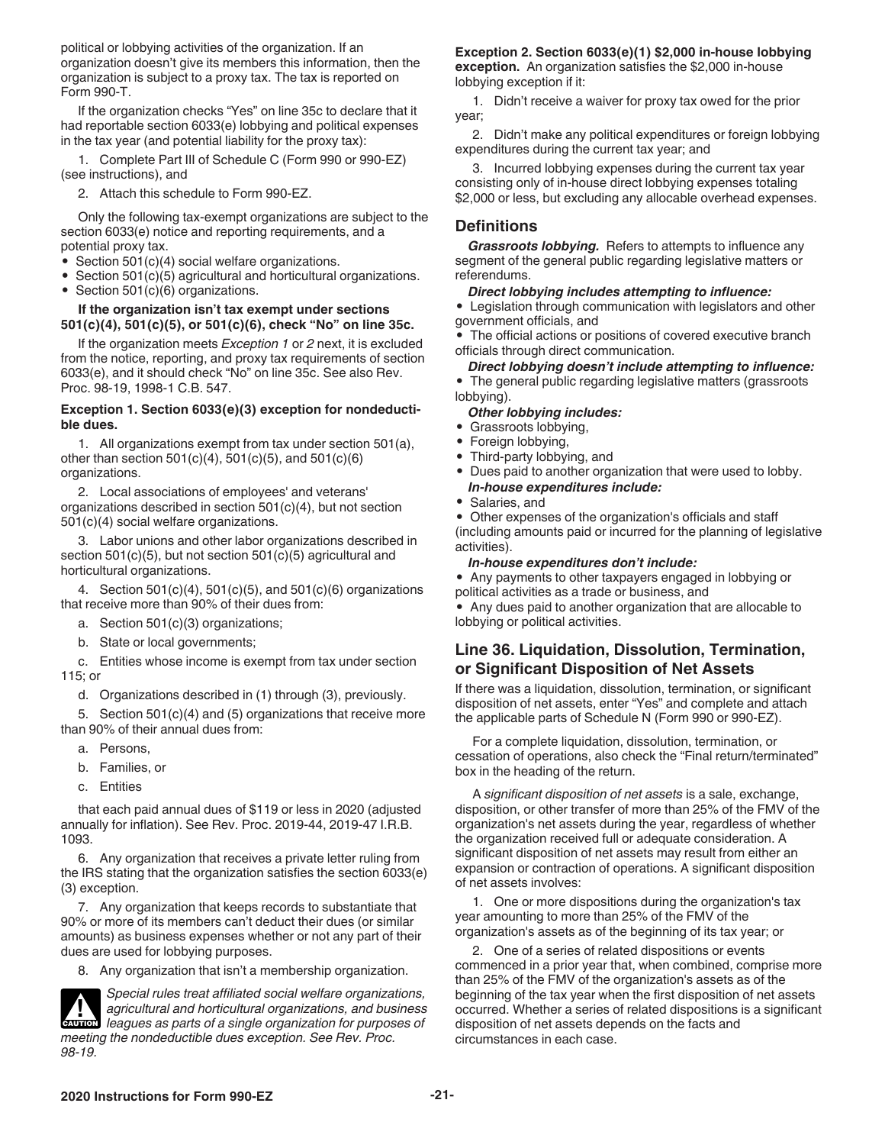<span id="page-20-0"></span>political or lobbying activities of the organization. If an organization doesn't give its members this information, then the organization is subject to a proxy tax. The tax is reported on Form 990-T.

If the organization checks "Yes" on line 35c to declare that it had reportable section 6033(e) lobbying and political expenses in the tax year (and potential liability for the proxy tax):

1. Complete Part III of Schedule C (Form 990 or 990-EZ) (see instructions), and

2. Attach this schedule to Form 990-EZ.

Only the following tax-exempt organizations are subject to the section 6033(e) notice and reporting requirements, and a potential proxy tax.

- Section 501(c)(4) social welfare organizations.
- Section 501(c)(5) agricultural and horticultural organizations.
- Section 501(c)(6) organizations.

#### **If the organization isn't tax exempt under sections 501(c)(4), 501(c)(5), or 501(c)(6), check "No" on line 35c.**

If the organization meets *Exception 1* or *2* next, it is excluded from the notice, reporting, and proxy tax requirements of section 6033(e), and it should check "No" on line 35c. See also Rev. Proc. 98-19, 1998-1 C.B. 547.

#### **Exception 1. Section 6033(e)(3) exception for nondeductible dues.**

1. All organizations exempt from tax under section 501(a), other than section  $501(c)(4)$ ,  $501(c)(5)$ , and  $501(c)(6)$ organizations.

2. Local associations of employees' and veterans' organizations described in section 501(c)(4), but not section 501(c)(4) social welfare organizations.

3. Labor unions and other labor organizations described in section 501(c)(5), but not section 501(c)(5) agricultural and horticultural organizations.

4. Section 501(c)(4), 501(c)(5), and 501(c)(6) organizations that receive more than 90% of their dues from:

a. Section 501(c)(3) organizations;

b. State or local governments;

c. Entities whose income is exempt from tax under section 115; or

d. Organizations described in (1) through (3), previously.

5. Section 501(c)(4) and (5) organizations that receive more than 90% of their annual dues from:

- a. Persons,
- b. Families, or
- c. Entities

that each paid annual dues of \$119 or less in 2020 (adjusted annually for inflation). See Rev. Proc. 2019-44, 2019-47 I.R.B. 1093.

6. Any organization that receives a private letter ruling from the IRS stating that the organization satisfies the section 6033(e) (3) exception.

7. Any organization that keeps records to substantiate that 90% or more of its members can't deduct their dues (or similar amounts) as business expenses whether or not any part of their dues are used for lobbying purposes.

8. Any organization that isn't a membership organization.



*98-19.*

*Special rules treat affiliated social welfare organizations, agricultural and horticultural organizations, and business*  **leagues as parts of a single organizations, and business<br>
<b>CAUTION** leagues as parts of a single organization for purposes of *meeting the nondeductible dues exception. See Rev. Proc.* 

#### **Exception 2. Section 6033(e)(1) \$2,000 in-house lobbying exception.** An organization satisfies the \$2,000 in-house

lobbying exception if it:

1. Didn't receive a waiver for proxy tax owed for the prior year;

2. Didn't make any political expenditures or foreign lobbying expenditures during the current tax year; and

3. Incurred lobbying expenses during the current tax year consisting only of in-house direct lobbying expenses totaling \$2,000 or less, but excluding any allocable overhead expenses.

#### **Definitions**

*Grassroots lobbying.* Refers to attempts to influence any segment of the general public regarding legislative matters or referendums.

#### *Direct lobbying includes attempting to influence:*

• Legislation through communication with legislators and other government officials, and

• The official actions or positions of covered executive branch officials through direct communication.

*Direct lobbying doesn't include attempting to influence:* 

• The general public regarding legislative matters (grassroots lobbying).

#### *Other lobbying includes:*

- Grassroots lobbying,
- Foreign lobbying,
- Third-party lobbying, and
- Dues paid to another organization that were used to lobby. *In-house expenditures include:*
- Salaries, and

• Other expenses of the organization's officials and staff (including amounts paid or incurred for the planning of legislative activities).

#### *In-house expenditures don't include:*

• Any payments to other taxpayers engaged in lobbying or political activities as a trade or business, and

• Any dues paid to another organization that are allocable to lobbying or political activities.

#### **Line 36. Liquidation, Dissolution, Termination, or Significant Disposition of Net Assets**

If there was a liquidation, dissolution, termination, or significant disposition of net assets, enter "Yes" and complete and attach the applicable parts of Schedule N (Form 990 or 990-EZ).

For a complete liquidation, dissolution, termination, or cessation of operations, also check the "Final return/terminated" box in the heading of the return.

A *significant disposition of net assets* is a sale, exchange, disposition, or other transfer of more than 25% of the FMV of the organization's net assets during the year, regardless of whether the organization received full or adequate consideration. A significant disposition of net assets may result from either an expansion or contraction of operations. A significant disposition of net assets involves:

1. One or more dispositions during the organization's tax year amounting to more than 25% of the FMV of the organization's assets as of the beginning of its tax year; or

2. One of a series of related dispositions or events commenced in a prior year that, when combined, comprise more than 25% of the FMV of the organization's assets as of the beginning of the tax year when the first disposition of net assets occurred. Whether a series of related dispositions is a significant disposition of net assets depends on the facts and circumstances in each case.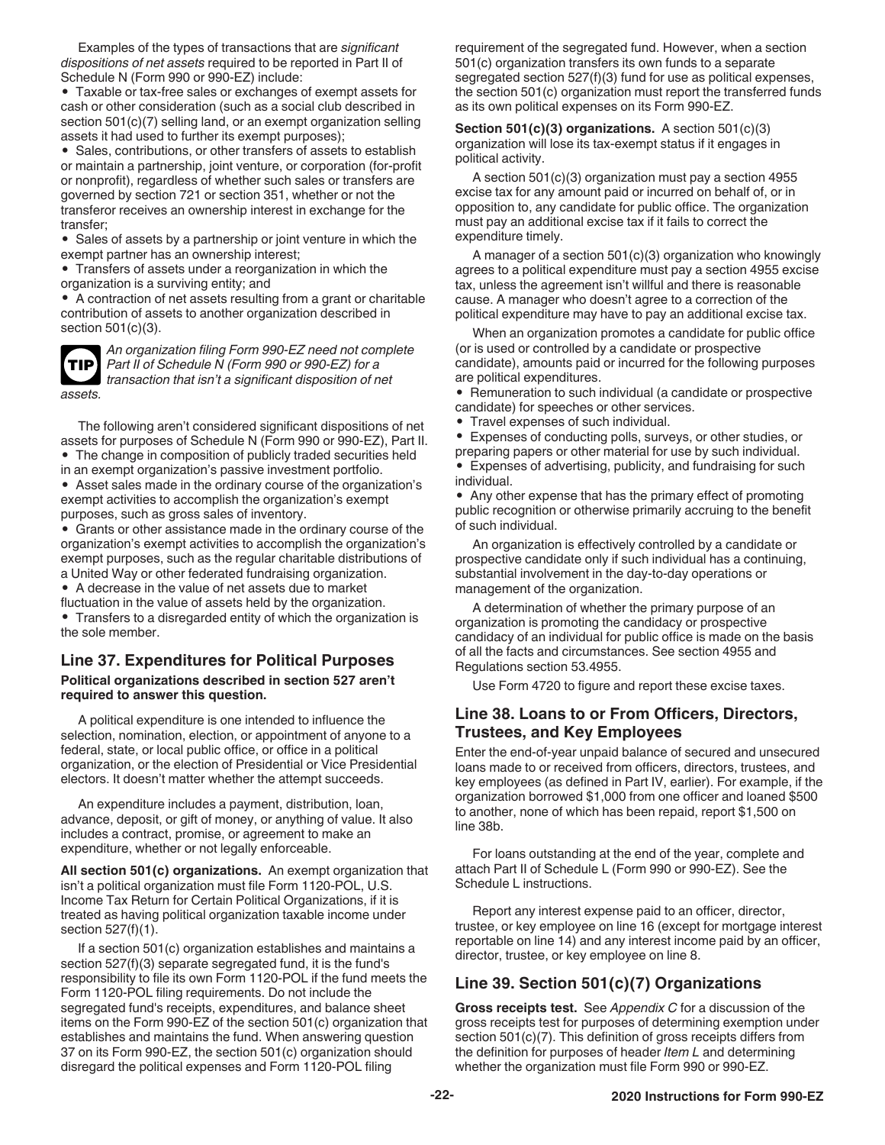<span id="page-21-0"></span>Examples of the types of transactions that are *significant dispositions of net assets* required to be reported in Part II of Schedule N (Form 990 or 990-EZ) include:

• Taxable or tax-free sales or exchanges of exempt assets for cash or other consideration (such as a social club described in section 501(c)(7) selling land, or an exempt organization selling assets it had used to further its exempt purposes);

• Sales, contributions, or other transfers of assets to establish or maintain a partnership, joint venture, or corporation (for-profit or nonprofit), regardless of whether such sales or transfers are governed by section 721 or section 351, whether or not the transferor receives an ownership interest in exchange for the transfer;

• Sales of assets by a partnership or joint venture in which the exempt partner has an ownership interest;

• Transfers of assets under a reorganization in which the

organization is a surviving entity; and

• A contraction of net assets resulting from a grant or charitable contribution of assets to another organization described in section 501(c)(3).

**TIP**

*An organization filing Form 990-EZ need not complete Part II of Schedule N (Form 990 or 990-EZ) for a transaction that isn't a significant disposition of net assets.*

The following aren't considered significant dispositions of net assets for purposes of Schedule N (Form 990 or 990-EZ), Part II.

• The change in composition of publicly traded securities held

in an exempt organization's passive investment portfolio. • Asset sales made in the ordinary course of the organization's

exempt activities to accomplish the organization's exempt purposes, such as gross sales of inventory.

- Grants or other assistance made in the ordinary course of the organization's exempt activities to accomplish the organization's exempt purposes, such as the regular charitable distributions of a United Way or other federated fundraising organization.
- A decrease in the value of net assets due to market

fluctuation in the value of assets held by the organization.

• Transfers to a disregarded entity of which the organization is the sole member.

# **Line 37. Expenditures for Political Purposes**

#### **Political organizations described in section 527 aren't required to answer this question.**

A political expenditure is one intended to influence the selection, nomination, election, or appointment of anyone to a federal, state, or local public office, or office in a political organization, or the election of Presidential or Vice Presidential electors. It doesn't matter whether the attempt succeeds.

An expenditure includes a payment, distribution, loan, advance, deposit, or gift of money, or anything of value. It also includes a contract, promise, or agreement to make an expenditure, whether or not legally enforceable.

**All section 501(c) organizations.** An exempt organization that isn't a political organization must file Form 1120-POL, U.S. Income Tax Return for Certain Political Organizations, if it is treated as having political organization taxable income under section 527(f)(1).

If a section 501(c) organization establishes and maintains a section 527(f)(3) separate segregated fund, it is the fund's responsibility to file its own Form 1120-POL if the fund meets the Form 1120-POL filing requirements. Do not include the segregated fund's receipts, expenditures, and balance sheet items on the Form 990-EZ of the section 501(c) organization that establishes and maintains the fund. When answering question 37 on its Form 990-EZ, the section 501(c) organization should disregard the political expenses and Form 1120-POL filing

requirement of the segregated fund. However, when a section 501(c) organization transfers its own funds to a separate segregated section 527(f)(3) fund for use as political expenses, the section 501(c) organization must report the transferred funds as its own political expenses on its Form 990-EZ.

**Section 501(c)(3) organizations.** A section 501(c)(3) organization will lose its tax-exempt status if it engages in political activity.

A section 501(c)(3) organization must pay a section 4955 excise tax for any amount paid or incurred on behalf of, or in opposition to, any candidate for public office. The organization must pay an additional excise tax if it fails to correct the expenditure timely.

A manager of a section 501(c)(3) organization who knowingly agrees to a political expenditure must pay a section 4955 excise tax, unless the agreement isn't willful and there is reasonable cause. A manager who doesn't agree to a correction of the political expenditure may have to pay an additional excise tax.

When an organization promotes a candidate for public office (or is used or controlled by a candidate or prospective candidate), amounts paid or incurred for the following purposes are political expenditures.

• Remuneration to such individual (a candidate or prospective candidate) for speeches or other services.

• Travel expenses of such individual.

• Expenses of conducting polls, surveys, or other studies, or preparing papers or other material for use by such individual. • Expenses of advertising, publicity, and fundraising for such

individual.

• Any other expense that has the primary effect of promoting public recognition or otherwise primarily accruing to the benefit of such individual.

An organization is effectively controlled by a candidate or prospective candidate only if such individual has a continuing, substantial involvement in the day-to-day operations or management of the organization.

A determination of whether the primary purpose of an organization is promoting the candidacy or prospective candidacy of an individual for public office is made on the basis of all the facts and circumstances. See section 4955 and Regulations section 53.4955.

Use Form 4720 to figure and report these excise taxes.

### **Line 38. Loans to or From Officers, Directors, Trustees, and Key Employees**

Enter the end-of-year unpaid balance of secured and unsecured loans made to or received from officers, directors, trustees, and key employees (as defined in Part IV, earlier). For example, if the organization borrowed \$1,000 from one officer and loaned \$500 to another, none of which has been repaid, report \$1,500 on line 38b.

For loans outstanding at the end of the year, complete and attach Part II of Schedule L (Form 990 or 990-EZ). See the Schedule L instructions.

Report any interest expense paid to an officer, director, trustee, or key employee on line 16 (except for mortgage interest reportable on line 14) and any interest income paid by an officer, director, trustee, or key employee on line 8.

### **Line 39. Section 501(c)(7) Organizations**

**Gross receipts test.** See *Appendix C* for a discussion of the gross receipts test for purposes of determining exemption under section 501(c)(7). This definition of gross receipts differs from the definition for purposes of header *Item L* and determining whether the organization must file Form 990 or 990-EZ.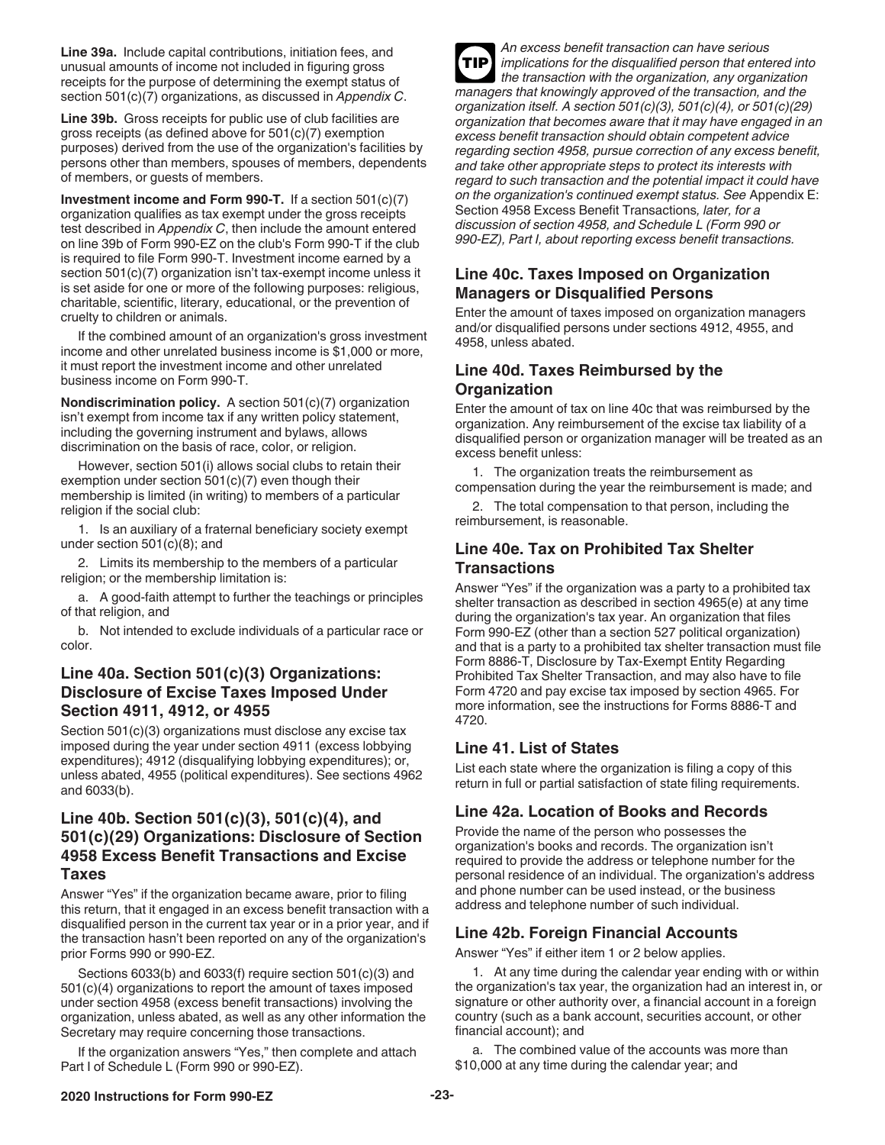<span id="page-22-0"></span>**Line 39a.** Include capital contributions, initiation fees, and unusual amounts of income not included in figuring gross receipts for the purpose of determining the exempt status of section 501(c)(7) organizations, as discussed in *Appendix C*.

**Line 39b.** Gross receipts for public use of club facilities are gross receipts (as defined above for 501(c)(7) exemption purposes) derived from the use of the organization's facilities by persons other than members, spouses of members, dependents of members, or guests of members.

**Investment income and Form 990-T.** If a section 501(c)(7) organization qualifies as tax exempt under the gross receipts test described in *Appendix C*, then include the amount entered on line 39b of Form 990-EZ on the club's Form 990-T if the club is required to file Form 990-T. Investment income earned by a section 501(c)(7) organization isn't tax-exempt income unless it is set aside for one or more of the following purposes: religious, charitable, scientific, literary, educational, or the prevention of cruelty to children or animals.

If the combined amount of an organization's gross investment income and other unrelated business income is \$1,000 or more, it must report the investment income and other unrelated business income on Form 990-T.

**Nondiscrimination policy.** A section 501(c)(7) organization isn't exempt from income tax if any written policy statement, including the governing instrument and bylaws, allows discrimination on the basis of race, color, or religion.

However, section 501(i) allows social clubs to retain their exemption under section 501(c)(7) even though their membership is limited (in writing) to members of a particular religion if the social club:

1. Is an auxiliary of a fraternal beneficiary society exempt under section 501(c)(8); and

2. Limits its membership to the members of a particular religion; or the membership limitation is:

a. A good-faith attempt to further the teachings or principles of that religion, and

b. Not intended to exclude individuals of a particular race or color.

#### **Line 40a. Section 501(c)(3) Organizations: Disclosure of Excise Taxes Imposed Under Section 4911, 4912, or 4955**

Section 501(c)(3) organizations must disclose any excise tax imposed during the year under section 4911 (excess lobbying expenditures); 4912 (disqualifying lobbying expenditures); or, unless abated, 4955 (political expenditures). See sections 4962 and 6033(b).

#### **Line 40b. Section 501(c)(3), 501(c)(4), and 501(c)(29) Organizations: Disclosure of Section 4958 Excess Benefit Transactions and Excise Taxes**

Answer "Yes" if the organization became aware, prior to filing this return, that it engaged in an excess benefit transaction with a disqualified person in the current tax year or in a prior year, and if the transaction hasn't been reported on any of the organization's prior Forms 990 or 990-EZ.

Sections 6033(b) and 6033(f) require section 501(c)(3) and 501(c)(4) organizations to report the amount of taxes imposed under section 4958 (excess benefit transactions) involving the organization, unless abated, as well as any other information the Secretary may require concerning those transactions.

If the organization answers "Yes," then complete and attach Part I of Schedule L (Form 990 or 990-EZ).

*An excess benefit transaction can have serious implications for the disqualified person that entered into the transaction with the organization, any organization managers that knowingly approved of the transaction, and the organization itself. A section 501(c)(3), 501(c)(4), or 501(c)(29) organization that becomes aware that it may have engaged in an excess benefit transaction should obtain competent advice regarding section 4958, pursue correction of any excess benefit, and take other appropriate steps to protect its interests with regard to such transaction and the potential impact it could have on the organization's continued exempt status. See* Appendix E: Section 4958 Excess Benefit Transactions*, later, for a discussion of section 4958, and Schedule L (Form 990 or 990-EZ), Part I, about reporting excess benefit transactions.* **TIP**

#### **Line 40c. Taxes Imposed on Organization Managers or Disqualified Persons**

Enter the amount of taxes imposed on organization managers and/or disqualified persons under sections 4912, 4955, and 4958, unless abated.

#### **Line 40d. Taxes Reimbursed by the Organization**

Enter the amount of tax on line 40c that was reimbursed by the organization. Any reimbursement of the excise tax liability of a disqualified person or organization manager will be treated as an excess benefit unless:

1. The organization treats the reimbursement as compensation during the year the reimbursement is made; and

2. The total compensation to that person, including the reimbursement, is reasonable.

#### **Line 40e. Tax on Prohibited Tax Shelter Transactions**

Answer "Yes" if the organization was a party to a prohibited tax shelter transaction as described in section 4965(e) at any time during the organization's tax year. An organization that files Form 990-EZ (other than a section 527 political organization) and that is a party to a prohibited tax shelter transaction must file Form 8886-T, Disclosure by Tax-Exempt Entity Regarding Prohibited Tax Shelter Transaction, and may also have to file Form 4720 and pay excise tax imposed by section 4965. For more information, see the instructions for Forms 8886-T and 4720.

#### **Line 41. List of States**

List each state where the organization is filing a copy of this return in full or partial satisfaction of state filing requirements.

### **Line 42a. Location of Books and Records**

Provide the name of the person who possesses the organization's books and records. The organization isn't required to provide the address or telephone number for the personal residence of an individual. The organization's address and phone number can be used instead, or the business address and telephone number of such individual.

### **Line 42b. Foreign Financial Accounts**

Answer "Yes" if either item 1 or 2 below applies.

1. At any time during the calendar year ending with or within the organization's tax year, the organization had an interest in, or signature or other authority over, a financial account in a foreign country (such as a bank account, securities account, or other financial account); and

a. The combined value of the accounts was more than \$10,000 at any time during the calendar year; and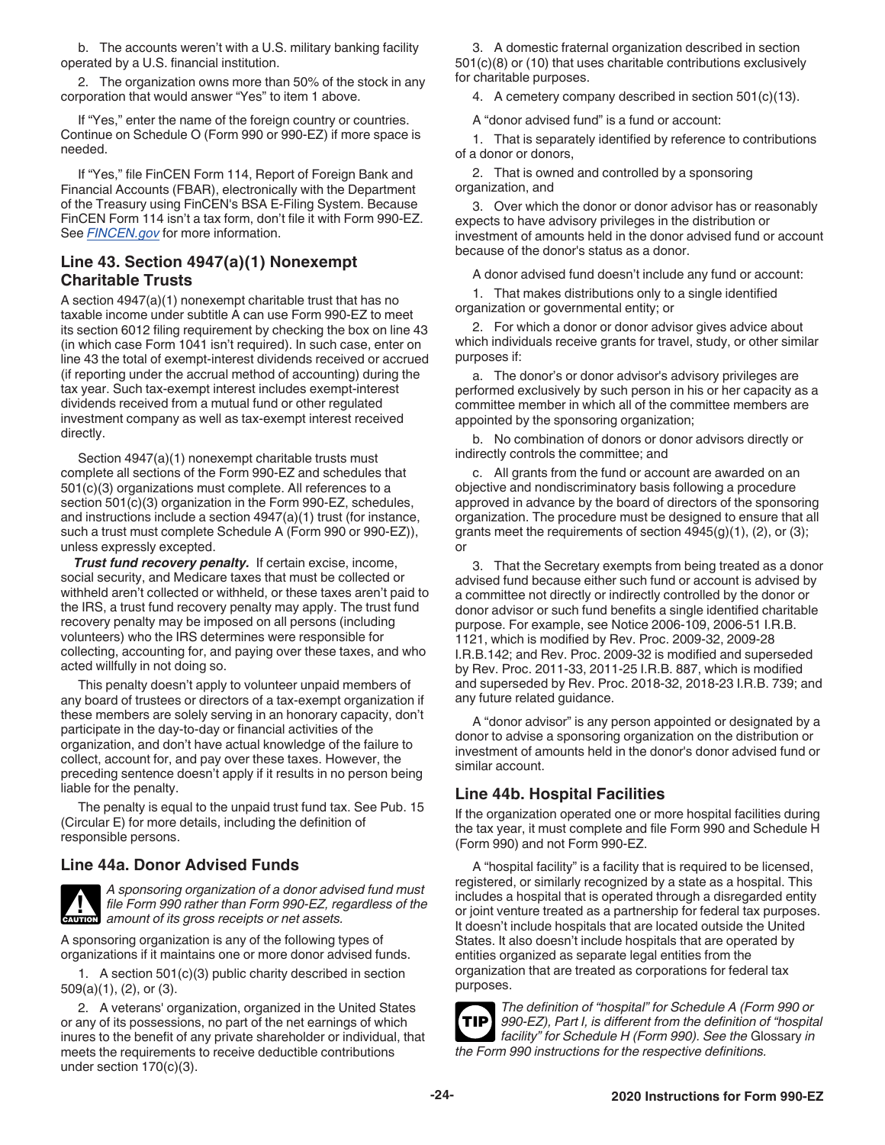<span id="page-23-0"></span>b. The accounts weren't with a U.S. military banking facility operated by a U.S. financial institution.

2. The organization owns more than 50% of the stock in any corporation that would answer "Yes" to item 1 above.

If "Yes," enter the name of the foreign country or countries. Continue on Schedule O (Form 990 or 990-EZ) if more space is needed.

If "Yes," file FinCEN Form 114, Report of Foreign Bank and Financial Accounts (FBAR), electronically with the Department of the Treasury using FinCEN's BSA E-Filing System. Because FinCEN Form 114 isn't a tax form, don't file it with Form 990-EZ. See *[FINCEN.gov](https://www.fincen.gov)* for more information.

#### **Line 43. Section 4947(a)(1) Nonexempt Charitable Trusts**

A section 4947(a)(1) nonexempt charitable trust that has no taxable income under subtitle A can use Form 990-EZ to meet its section 6012 filing requirement by checking the box on line 43 (in which case Form 1041 isn't required). In such case, enter on line 43 the total of exempt-interest dividends received or accrued (if reporting under the accrual method of accounting) during the tax year. Such tax-exempt interest includes exempt-interest dividends received from a mutual fund or other regulated investment company as well as tax-exempt interest received directly.

Section 4947(a)(1) nonexempt charitable trusts must complete all sections of the Form 990-EZ and schedules that 501(c)(3) organizations must complete. All references to a section 501(c)(3) organization in the Form 990-EZ, schedules, and instructions include a section 4947(a)(1) trust (for instance, such a trust must complete Schedule A (Form 990 or 990-EZ)), unless expressly excepted.

*Trust fund recovery penalty.* If certain excise, income, social security, and Medicare taxes that must be collected or withheld aren't collected or withheld, or these taxes aren't paid to the IRS, a trust fund recovery penalty may apply. The trust fund recovery penalty may be imposed on all persons (including volunteers) who the IRS determines were responsible for collecting, accounting for, and paying over these taxes, and who acted willfully in not doing so.

This penalty doesn't apply to volunteer unpaid members of any board of trustees or directors of a tax-exempt organization if these members are solely serving in an honorary capacity, don't participate in the day-to-day or financial activities of the organization, and don't have actual knowledge of the failure to collect, account for, and pay over these taxes. However, the preceding sentence doesn't apply if it results in no person being liable for the penalty.

The penalty is equal to the unpaid trust fund tax. See Pub. 15 (Circular E) for more details, including the definition of responsible persons.

### **Line 44a. Donor Advised Funds**



*A sponsoring organization of a donor advised fund must file Form 990 rather than Form 990-EZ, regardless of the*  **caution** *amount of its gross receipts or net assets.* 

A sponsoring organization is any of the following types of organizations if it maintains one or more donor advised funds.

1. A section 501(c)(3) public charity described in section 509(a)(1), (2), or (3).

2. A veterans' organization, organized in the United States or any of its possessions, no part of the net earnings of which inures to the benefit of any private shareholder or individual, that meets the requirements to receive deductible contributions under section 170(c)(3).

3. A domestic fraternal organization described in section 501(c)(8) or (10) that uses charitable contributions exclusively for charitable purposes.

4. A cemetery company described in section 501(c)(13).

A "donor advised fund" is a fund or account:

1. That is separately identified by reference to contributions of a donor or donors,

2. That is owned and controlled by a sponsoring organization, and

3. Over which the donor or donor advisor has or reasonably expects to have advisory privileges in the distribution or investment of amounts held in the donor advised fund or account because of the donor's status as a donor.

A donor advised fund doesn't include any fund or account:

1. That makes distributions only to a single identified organization or governmental entity; or

2. For which a donor or donor advisor gives advice about which individuals receive grants for travel, study, or other similar purposes if:

a. The donor's or donor advisor's advisory privileges are performed exclusively by such person in his or her capacity as a committee member in which all of the committee members are appointed by the sponsoring organization;

b. No combination of donors or donor advisors directly or indirectly controls the committee; and

c. All grants from the fund or account are awarded on an objective and nondiscriminatory basis following a procedure approved in advance by the board of directors of the sponsoring organization. The procedure must be designed to ensure that all grants meet the requirements of section 4945(g)(1), (2), or (3); or

3. That the Secretary exempts from being treated as a donor advised fund because either such fund or account is advised by a committee not directly or indirectly controlled by the donor or donor advisor or such fund benefits a single identified charitable purpose. For example, see Notice 2006-109, 2006-51 I.R.B. 1121, which is modified by Rev. Proc. 2009-32, 2009-28 I.R.B.142; and Rev. Proc. 2009-32 is modified and superseded by Rev. Proc. 2011-33, 2011-25 I.R.B. 887, which is modified and superseded by Rev. Proc. 2018-32, 2018-23 I.R.B. 739; and any future related guidance.

A "donor advisor" is any person appointed or designated by a donor to advise a sponsoring organization on the distribution or investment of amounts held in the donor's donor advised fund or similar account.

#### **Line 44b. Hospital Facilities**

If the organization operated one or more hospital facilities during the tax year, it must complete and file Form 990 and Schedule H (Form 990) and not Form 990-EZ.

A "hospital facility" is a facility that is required to be licensed, registered, or similarly recognized by a state as a hospital. This includes a hospital that is operated through a disregarded entity or joint venture treated as a partnership for federal tax purposes. It doesn't include hospitals that are located outside the United States. It also doesn't include hospitals that are operated by entities organized as separate legal entities from the organization that are treated as corporations for federal tax purposes.



*The definition of "hospital" for Schedule A (Form 990 or 990-EZ), Part I, is different from the definition of "hospital facility" for Schedule H (Form 990). See the* Glossary *in the Form 990 instructions for the respective definitions.*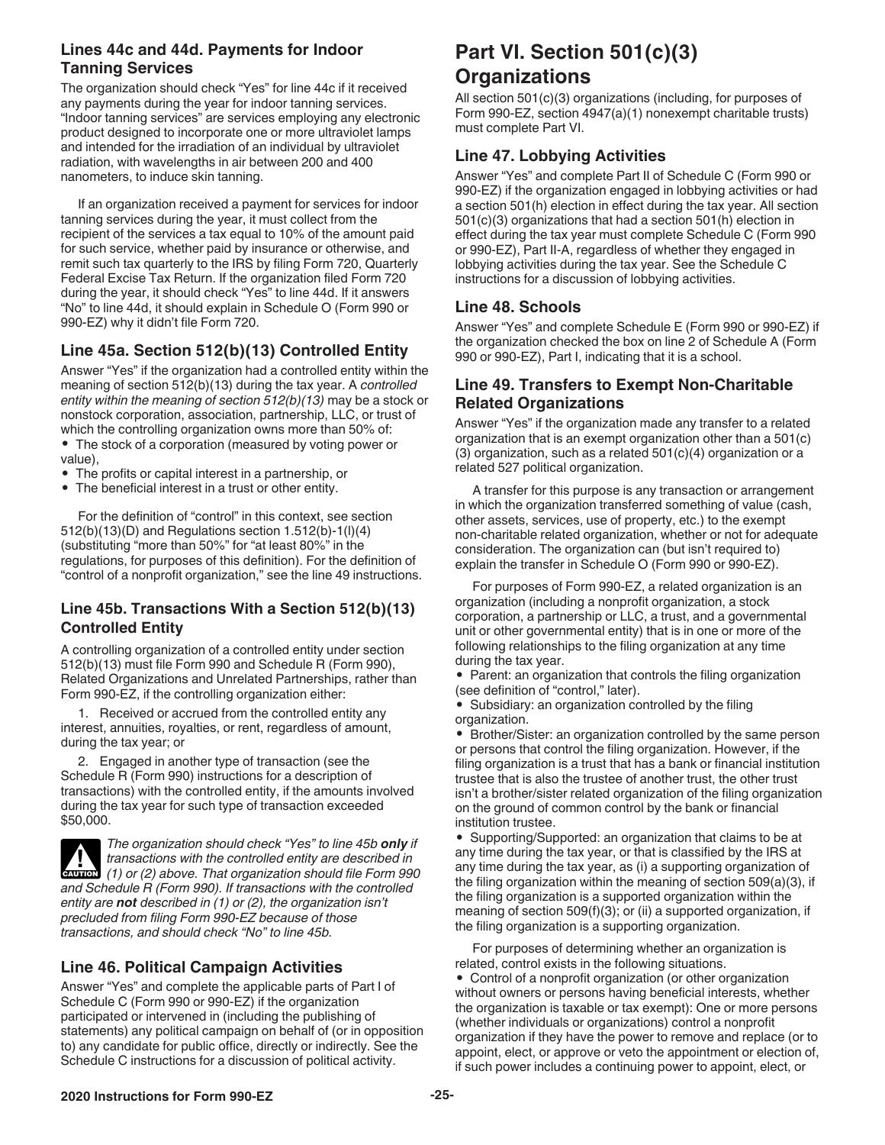### <span id="page-24-0"></span>**Lines 44c and 44d. Payments for Indoor Tanning Services**

The organization should check "Yes" for line 44c if it received any payments during the year for indoor tanning services. "Indoor tanning services" are services employing any electronic product designed to incorporate one or more ultraviolet lamps and intended for the irradiation of an individual by ultraviolet radiation, with wavelengths in air between 200 and 400 nanometers, to induce skin tanning.

If an organization received a payment for services for indoor tanning services during the year, it must collect from the recipient of the services a tax equal to 10% of the amount paid for such service, whether paid by insurance or otherwise, and remit such tax quarterly to the IRS by filing Form 720, Quarterly Federal Excise Tax Return. If the organization filed Form 720 during the year, it should check "Yes" to line 44d. If it answers "No" to line 44d, it should explain in Schedule O (Form 990 or 990-EZ) why it didn't file Form 720.

# **Line 45a. Section 512(b)(13) Controlled Entity**

Answer "Yes" if the organization had a controlled entity within the meaning of section 512(b)(13) during the tax year. A *controlled entity within the meaning of section 512(b)(13)* may be a stock or nonstock corporation, association, partnership, LLC, or trust of which the controlling organization owns more than 50% of:

• The stock of a corporation (measured by voting power or value),

- The profits or capital interest in a partnership, or
- The beneficial interest in a trust or other entity.

For the definition of "control" in this context, see section 512(b)(13)(D) and Regulations section 1.512(b)-1(l)(4) (substituting "more than 50%" for "at least 80%" in the regulations, for purposes of this definition). For the definition of "control of a nonprofit organization," see the line 49 instructions.

#### **Line 45b. Transactions With a Section 512(b)(13) Controlled Entity**

A controlling organization of a controlled entity under section 512(b)(13) must file Form 990 and Schedule R (Form 990), Related Organizations and Unrelated Partnerships, rather than Form 990-EZ, if the controlling organization either:

1. Received or accrued from the controlled entity any interest, annuities, royalties, or rent, regardless of amount, during the tax year; or

2. Engaged in another type of transaction (see the Schedule R (Form 990) instructions for a description of transactions) with the controlled entity, if the amounts involved during the tax year for such type of transaction exceeded \$50,000.

*The organization should check "Yes" to line 45b only if transactions with the controlled entity are described in*   $\frac{1}{\text{cauron}}$  (1) or (2) above. That organization should file Form 990 *and Schedule R (Form 990). If transactions with the controlled entity are not described in (1) or (2), the organization isn't precluded from filing Form 990-EZ because of those transactions, and should check "No" to line 45b.*

# **Line 46. Political Campaign Activities**

Answer "Yes" and complete the applicable parts of Part I of Schedule C (Form 990 or 990-EZ) if the organization participated or intervened in (including the publishing of statements) any political campaign on behalf of (or in opposition to) any candidate for public office, directly or indirectly. See the Schedule C instructions for a discussion of political activity.

# **Part VI. Section 501(c)(3) Organizations**

All section 501(c)(3) organizations (including, for purposes of Form 990-EZ, section 4947(a)(1) nonexempt charitable trusts) must complete Part VI.

#### **Line 47. Lobbying Activities**

Answer "Yes" and complete Part II of Schedule C (Form 990 or 990-EZ) if the organization engaged in lobbying activities or had a section 501(h) election in effect during the tax year. All section 501(c)(3) organizations that had a section 501(h) election in effect during the tax year must complete Schedule C (Form 990 or 990-EZ), Part II-A, regardless of whether they engaged in lobbying activities during the tax year. See the Schedule C instructions for a discussion of lobbying activities.

#### **Line 48. Schools**

Answer "Yes" and complete Schedule E (Form 990 or 990-EZ) if the organization checked the box on line 2 of Schedule A (Form 990 or 990-EZ), Part I, indicating that it is a school.

### **Line 49. Transfers to Exempt Non-Charitable Related Organizations**

Answer "Yes" if the organization made any transfer to a related organization that is an exempt organization other than a 501(c) (3) organization, such as a related 501(c)(4) organization or a related 527 political organization.

A transfer for this purpose is any transaction or arrangement in which the organization transferred something of value (cash, other assets, services, use of property, etc.) to the exempt non-charitable related organization, whether or not for adequate consideration. The organization can (but isn't required to) explain the transfer in Schedule O (Form 990 or 990-EZ).

For purposes of Form 990-EZ, a related organization is an organization (including a nonprofit organization, a stock corporation, a partnership or LLC, a trust, and a governmental unit or other governmental entity) that is in one or more of the following relationships to the filing organization at any time during the tax year.

• Parent: an organization that controls the filing organization (see definition of "control," later).

• Subsidiary: an organization controlled by the filing organization.

• Brother/Sister: an organization controlled by the same person or persons that control the filing organization. However, if the filing organization is a trust that has a bank or financial institution trustee that is also the trustee of another trust, the other trust isn't a brother/sister related organization of the filing organization on the ground of common control by the bank or financial institution trustee.

• Supporting/Supported: an organization that claims to be at any time during the tax year, or that is classified by the IRS at any time during the tax year, as (i) a supporting organization of the filing organization within the meaning of section 509(a)(3), if the filing organization is a supported organization within the meaning of section 509(f)(3); or (ii) a supported organization, if the filing organization is a supporting organization.

For purposes of determining whether an organization is related, control exists in the following situations.

• Control of a nonprofit organization (or other organization without owners or persons having beneficial interests, whether the organization is taxable or tax exempt): One or more persons (whether individuals or organizations) control a nonprofit organization if they have the power to remove and replace (or to appoint, elect, or approve or veto the appointment or election of, if such power includes a continuing power to appoint, elect, or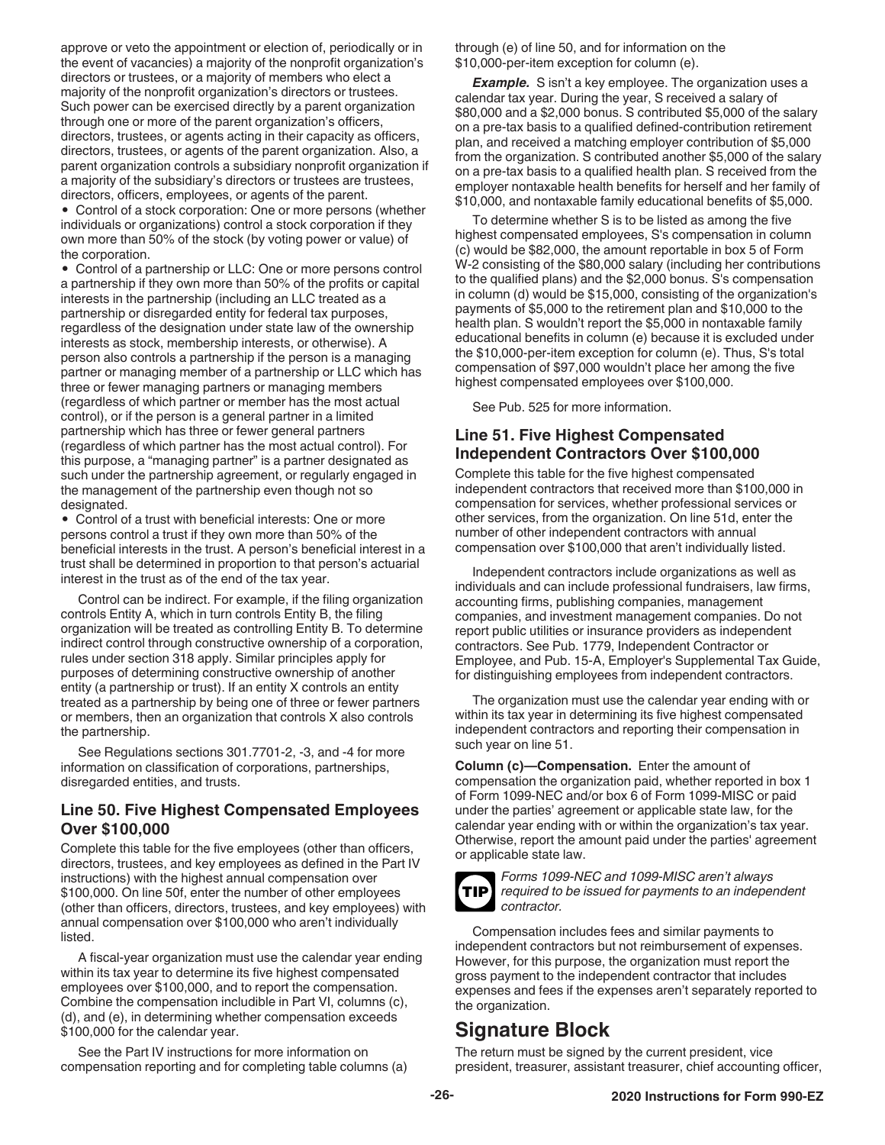<span id="page-25-0"></span>approve or veto the appointment or election of, periodically or in the event of vacancies) a majority of the nonprofit organization's directors or trustees, or a majority of members who elect a majority of the nonprofit organization's directors or trustees. Such power can be exercised directly by a parent organization through one or more of the parent organization's officers, directors, trustees, or agents acting in their capacity as officers, directors, trustees, or agents of the parent organization. Also, a parent organization controls a subsidiary nonprofit organization if a majority of the subsidiary's directors or trustees are trustees, directors, officers, employees, or agents of the parent.

• Control of a stock corporation: One or more persons (whether individuals or organizations) control a stock corporation if they own more than 50% of the stock (by voting power or value) of the corporation.

• Control of a partnership or LLC: One or more persons control a partnership if they own more than 50% of the profits or capital interests in the partnership (including an LLC treated as a partnership or disregarded entity for federal tax purposes, regardless of the designation under state law of the ownership interests as stock, membership interests, or otherwise). A person also controls a partnership if the person is a managing partner or managing member of a partnership or LLC which has three or fewer managing partners or managing members (regardless of which partner or member has the most actual control), or if the person is a general partner in a limited partnership which has three or fewer general partners (regardless of which partner has the most actual control). For this purpose, a "managing partner" is a partner designated as such under the partnership agreement, or regularly engaged in the management of the partnership even though not so designated.

• Control of a trust with beneficial interests: One or more persons control a trust if they own more than 50% of the beneficial interests in the trust. A person's beneficial interest in a trust shall be determined in proportion to that person's actuarial interest in the trust as of the end of the tax year.

Control can be indirect. For example, if the filing organization controls Entity A, which in turn controls Entity B, the filing organization will be treated as controlling Entity B. To determine indirect control through constructive ownership of a corporation, rules under section 318 apply. Similar principles apply for purposes of determining constructive ownership of another entity (a partnership or trust). If an entity X controls an entity treated as a partnership by being one of three or fewer partners or members, then an organization that controls X also controls the partnership.

See Regulations sections 301.7701-2, -3, and -4 for more information on classification of corporations, partnerships, disregarded entities, and trusts.

#### **Line 50. Five Highest Compensated Employees Over \$100,000**

Complete this table for the five employees (other than officers, directors, trustees, and key employees as defined in the Part IV instructions) with the highest annual compensation over \$100,000. On line 50f, enter the number of other employees (other than officers, directors, trustees, and key employees) with annual compensation over \$100,000 who aren't individually listed.

A fiscal-year organization must use the calendar year ending within its tax year to determine its five highest compensated employees over \$100,000, and to report the compensation. Combine the compensation includible in Part VI, columns (c), (d), and (e), in determining whether compensation exceeds \$100,000 for the calendar year.

See the Part IV instructions for more information on compensation reporting and for completing table columns (a) through (e) of line 50, and for information on the \$10,000-per-item exception for column (e).

**Example.** S isn't a key employee. The organization uses a calendar tax year. During the year, S received a salary of \$80,000 and a \$2,000 bonus. S contributed \$5,000 of the salary on a pre-tax basis to a qualified defined-contribution retirement plan, and received a matching employer contribution of \$5,000 from the organization. S contributed another \$5,000 of the salary on a pre-tax basis to a qualified health plan. S received from the employer nontaxable health benefits for herself and her family of \$10,000, and nontaxable family educational benefits of \$5,000.

To determine whether S is to be listed as among the five highest compensated employees, S's compensation in column (c) would be \$82,000, the amount reportable in box 5 of Form W-2 consisting of the \$80,000 salary (including her contributions to the qualified plans) and the \$2,000 bonus. S's compensation in column (d) would be \$15,000, consisting of the organization's payments of \$5,000 to the retirement plan and \$10,000 to the health plan. S wouldn't report the \$5,000 in nontaxable family educational benefits in column (e) because it is excluded under the \$10,000-per-item exception for column (e). Thus, S's total compensation of \$97,000 wouldn't place her among the five highest compensated employees over \$100,000.

See Pub. 525 for more information.

# **Line 51. Five Highest Compensated Independent Contractors Over \$100,000**

Complete this table for the five highest compensated independent contractors that received more than \$100,000 in compensation for services, whether professional services or other services, from the organization. On line 51d, enter the number of other independent contractors with annual compensation over \$100,000 that aren't individually listed.

Independent contractors include organizations as well as individuals and can include professional fundraisers, law firms, accounting firms, publishing companies, management companies, and investment management companies. Do not report public utilities or insurance providers as independent contractors. See Pub. 1779, Independent Contractor or Employee, and Pub. 15-A, Employer's Supplemental Tax Guide, for distinguishing employees from independent contractors.

The organization must use the calendar year ending with or within its tax year in determining its five highest compensated independent contractors and reporting their compensation in such year on line 51.

**Column (c)—Compensation.** Enter the amount of compensation the organization paid, whether reported in box 1 of Form 1099-NEC and/or box 6 of Form 1099-MISC or paid under the parties' agreement or applicable state law, for the calendar year ending with or within the organization's tax year. Otherwise, report the amount paid under the parties' agreement or applicable state law.



*Forms 1099-NEC and 1099-MISC aren't always required to be issued for payments to an independent contractor.*

Compensation includes fees and similar payments to independent contractors but not reimbursement of expenses. However, for this purpose, the organization must report the gross payment to the independent contractor that includes expenses and fees if the expenses aren't separately reported to the organization.

# **Signature Block**

The return must be signed by the current president, vice president, treasurer, assistant treasurer, chief accounting officer,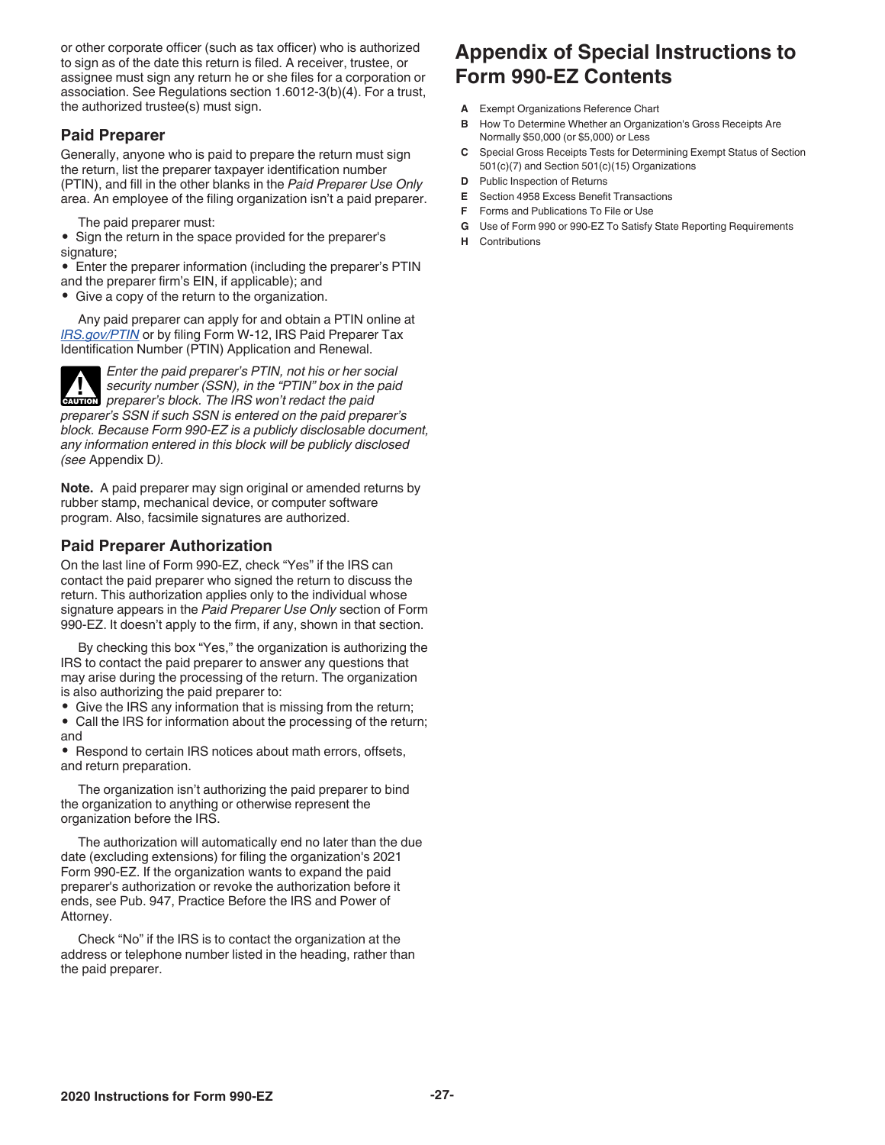<span id="page-26-0"></span>or other corporate officer (such as tax officer) who is authorized to sign as of the date this return is filed. A receiver, trustee, or assignee must sign any return he or she files for a corporation or association. See Regulations section 1.6012-3(b)(4). For a trust, the authorized trustee(s) must sign.

#### **Paid Preparer**

Generally, anyone who is paid to prepare the return must sign the return, list the preparer taxpayer identification number (PTIN), and fill in the other blanks in the *Paid Preparer Use Only*  area. An employee of the filing organization isn't a paid preparer.

The paid preparer must:

• Sign the return in the space provided for the preparer's signature;

- Enter the preparer information (including the preparer's PTIN
- and the preparer firm's EIN, if applicable); and
- Give a copy of the return to the organization.

Any paid preparer can apply for and obtain a PTIN online at *[IRS.gov/PTIN](https://www.irs.gov/Tax-Professionals/PTIN-Requirements-for-Tax-Return-Preparers)* or by filing Form W-12, IRS Paid Preparer Tax Identification Number (PTIN) Application and Renewal.

*Enter the paid preparer's PTIN, not his or her social security number (SSN), in the "PTIN" box in the paid*  **Preparer's block. The IRS won't redact the paid** *preparer's block. The IRS won't redact the paid preparer's SSN if such SSN is entered on the paid preparer's block. Because Form 990-EZ is a publicly disclosable document, any information entered in this block will be publicly disclosed (see* Appendix D*).*

**Note.** A paid preparer may sign original or amended returns by rubber stamp, mechanical device, or computer software program. Also, facsimile signatures are authorized.

### **Paid Preparer Authorization**

On the last line of Form 990-EZ, check "Yes" if the IRS can contact the paid preparer who signed the return to discuss the return. This authorization applies only to the individual whose signature appears in the *Paid Preparer Use Only* section of Form 990-EZ. It doesn't apply to the firm, if any, shown in that section.

By checking this box "Yes," the organization is authorizing the IRS to contact the paid preparer to answer any questions that may arise during the processing of the return. The organization is also authorizing the paid preparer to:

- Give the IRS any information that is missing from the return;
- Call the IRS for information about the processing of the return; and

• Respond to certain IRS notices about math errors, offsets, and return preparation.

The organization isn't authorizing the paid preparer to bind the organization to anything or otherwise represent the organization before the IRS.

The authorization will automatically end no later than the due date (excluding extensions) for filing the organization's 2021 Form 990-EZ. If the organization wants to expand the paid preparer's authorization or revoke the authorization before it ends, see Pub. 947, Practice Before the IRS and Power of Attorney.

Check "No" if the IRS is to contact the organization at the address or telephone number listed in the heading, rather than the paid preparer.

# **Appendix of Special Instructions to Form 990-EZ Contents**

- **A** Exempt Organizations Reference Chart
- **B** How To Determine Whether an Organization's Gross Receipts Are Normally \$50,000 (or \$5,000) or Less
- **C** Special Gross Receipts Tests for Determining Exempt Status of Section 501(c)(7) and Section 501(c)(15) Organizations
- **D** Public Inspection of Returns
- **E** Section 4958 Excess Benefit Transactions
- **F** Forms and Publications To File or Use
- **G** Use of Form 990 or 990-EZ To Satisfy State Reporting Requirements
- **H** Contributions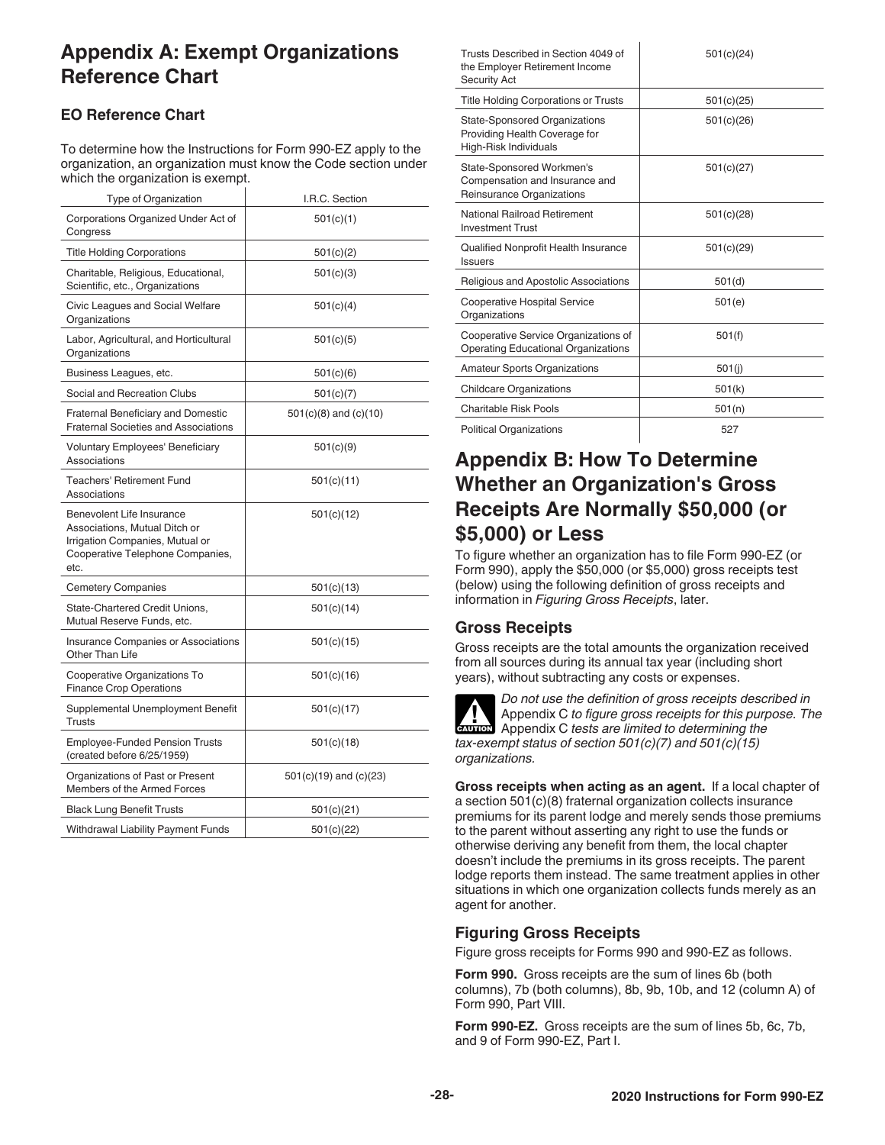# <span id="page-27-0"></span>**Appendix A: Exempt Organizations Reference Chart**

# **EO Reference Chart**

To determine how the Instructions for Form 990-EZ apply to the organization, an organization must know the Code section under which the organization is exempt.

| Type of Organization                                                                                                                      | I.R.C. Section             |
|-------------------------------------------------------------------------------------------------------------------------------------------|----------------------------|
| Corporations Organized Under Act of<br>Congress                                                                                           | 501(c)(1)                  |
| <b>Title Holding Corporations</b>                                                                                                         | 501(c)(2)                  |
| Charitable, Religious, Educational,<br>Scientific, etc., Organizations                                                                    | 501(c)(3)                  |
| Civic Leagues and Social Welfare<br>Organizations                                                                                         | 501(c)(4)                  |
| Labor, Agricultural, and Horticultural<br>Organizations                                                                                   | 501(c)(5)                  |
| Business Leagues, etc.                                                                                                                    | 501(c)(6)                  |
| Social and Recreation Clubs                                                                                                               | 501(c)(7)                  |
| <b>Fraternal Beneficiary and Domestic</b><br><b>Fraternal Societies and Associations</b>                                                  | $501(c)(8)$ and $(c)(10)$  |
| Voluntary Employees' Beneficiary<br><b>Associations</b>                                                                                   | 501(c)(9)                  |
| <b>Teachers' Retirement Fund</b><br>Associations                                                                                          | 501(c)(11)                 |
| Benevolent Life Insurance<br>Associations, Mutual Ditch or<br>Irrigation Companies, Mutual or<br>Cooperative Telephone Companies,<br>etc. | 501(c)(12)                 |
| <b>Cemetery Companies</b>                                                                                                                 | 501(c)(13)                 |
| State-Chartered Credit Unions,<br>Mutual Reserve Funds, etc.                                                                              | 501(c)(14)                 |
| <b>Insurance Companies or Associations</b><br>Other Than Life                                                                             | 501(c)(15)                 |
| Cooperative Organizations To<br><b>Finance Crop Operations</b>                                                                            | 501(c)(16)                 |
| Supplemental Unemployment Benefit<br>Trusts                                                                                               | 501(c)(17)                 |
| <b>Employee-Funded Pension Trusts</b><br>(created before 6/25/1959)                                                                       | 501(c)(18)                 |
| Organizations of Past or Present<br>Members of the Armed Forces                                                                           | $501(c)(19)$ and $(c)(23)$ |
| <b>Black Lung Benefit Trusts</b>                                                                                                          | 501(c)(21)                 |
| Withdrawal Liability Payment Funds                                                                                                        | 501(c)(22)                 |

| Trusts Described in Section 4049 of<br>the Employer Retirement Income<br><b>Security Act</b>   | 501(c)(24) |
|------------------------------------------------------------------------------------------------|------------|
| <b>Title Holding Corporations or Trusts</b>                                                    | 501(c)(25) |
| <b>State-Sponsored Organizations</b><br>Providing Health Coverage for<br>High-Risk Individuals | 501(c)(26) |
| State-Sponsored Workmen's<br>Compensation and Insurance and<br>Reinsurance Organizations       | 501(c)(27) |
| National Railroad Retirement<br><b>Investment Trust</b>                                        | 501(c)(28) |
| Qualified Nonprofit Health Insurance<br><b>Issuers</b>                                         | 501(c)(29) |
| Religious and Apostolic Associations                                                           | 501(d)     |
| <b>Cooperative Hospital Service</b><br>Organizations                                           | 501(e)     |
| Cooperative Service Organizations of<br><b>Operating Educational Organizations</b>             | 501(f)     |
| <b>Amateur Sports Organizations</b>                                                            | 501(i)     |
| <b>Childcare Organizations</b>                                                                 | 501(k)     |
| Charitable Risk Pools                                                                          | 501(n)     |
| <b>Political Organizations</b>                                                                 | 527        |

# **Appendix B: How To Determine Whether an Organization's Gross Receipts Are Normally \$50,000 (or \$5,000) or Less**

To figure whether an organization has to file Form 990-EZ (or Form 990), apply the \$50,000 (or \$5,000) gross receipts test (below) using the following definition of gross receipts and information in *Figuring Gross Receipts*, later.

### **Gross Receipts**

Gross receipts are the total amounts the organization received from all sources during its annual tax year (including short years), without subtracting any costs or expenses.



*Do not use the definition of gross receipts described in*  Appendix C *to figure gross receipts for this purpose. The*  Appendix C to figure gross receipts for this purpendix C tests are limited to determining the *tax-exempt status of section 501(c)(7) and 501(c)(15) organizations.*

**Gross receipts when acting as an agent.** If a local chapter of a section 501(c)(8) fraternal organization collects insurance premiums for its parent lodge and merely sends those premiums to the parent without asserting any right to use the funds or otherwise deriving any benefit from them, the local chapter doesn't include the premiums in its gross receipts. The parent lodge reports them instead. The same treatment applies in other situations in which one organization collects funds merely as an agent for another.

### **Figuring Gross Receipts**

Figure gross receipts for Forms 990 and 990-EZ as follows.

**Form 990.** Gross receipts are the sum of lines 6b (both columns), 7b (both columns), 8b, 9b, 10b, and 12 (column A) of Form 990, Part VIII.

**Form 990-EZ.** Gross receipts are the sum of lines 5b, 6c, 7b, and 9 of Form 990-EZ, Part I.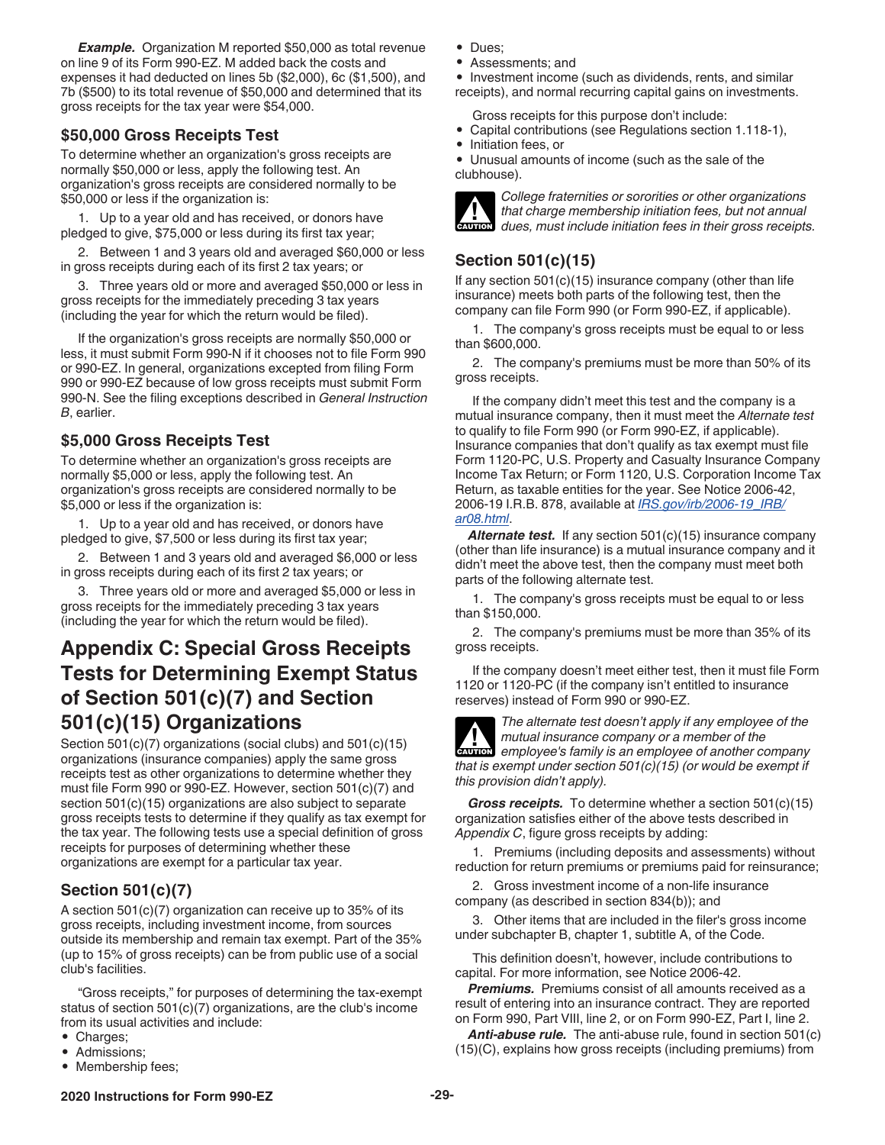<span id="page-28-0"></span>*Example.* Organization M reported \$50,000 as total revenue on line 9 of its Form 990-EZ. M added back the costs and expenses it had deducted on lines 5b (\$2,000), 6c (\$1,500), and 7b (\$500) to its total revenue of \$50,000 and determined that its gross receipts for the tax year were \$54,000.

### **\$50,000 Gross Receipts Test**

To determine whether an organization's gross receipts are normally \$50,000 or less, apply the following test. An organization's gross receipts are considered normally to be \$50,000 or less if the organization is:

1. Up to a year old and has received, or donors have pledged to give, \$75,000 or less during its first tax year;

2. Between 1 and 3 years old and averaged \$60,000 or less in gross receipts during each of its first 2 tax years; or

3. Three years old or more and averaged \$50,000 or less in gross receipts for the immediately preceding 3 tax years (including the year for which the return would be filed).

If the organization's gross receipts are normally \$50,000 or less, it must submit Form 990-N if it chooses not to file Form 990 or 990-EZ. In general, organizations excepted from filing Form 990 or 990-EZ because of low gross receipts must submit Form 990-N. See the filing exceptions described in *General Instruction B*, earlier.

### **\$5,000 Gross Receipts Test**

To determine whether an organization's gross receipts are normally \$5,000 or less, apply the following test. An organization's gross receipts are considered normally to be \$5,000 or less if the organization is:

1. Up to a year old and has received, or donors have pledged to give, \$7,500 or less during its first tax year;

2. Between 1 and 3 years old and averaged \$6,000 or less in gross receipts during each of its first 2 tax years; or

3. Three years old or more and averaged \$5,000 or less in gross receipts for the immediately preceding 3 tax years (including the year for which the return would be filed).

# **Appendix C: Special Gross Receipts Tests for Determining Exempt Status of Section 501(c)(7) and Section 501(c)(15) Organizations**

Section 501(c)(7) organizations (social clubs) and 501(c)(15) organizations (insurance companies) apply the same gross receipts test as other organizations to determine whether they must file Form 990 or 990-EZ. However, section 501(c)(7) and section 501(c)(15) organizations are also subject to separate gross receipts tests to determine if they qualify as tax exempt for the tax year. The following tests use a special definition of gross receipts for purposes of determining whether these organizations are exempt for a particular tax year.

# **Section 501(c)(7)**

A section 501(c)(7) organization can receive up to 35% of its gross receipts, including investment income, from sources outside its membership and remain tax exempt. Part of the 35% (up to 15% of gross receipts) can be from public use of a social club's facilities.

"Gross receipts," for purposes of determining the tax-exempt status of section 501(c)(7) organizations, are the club's income from its usual activities and include:

- Charges;
- Admissions;
- Membership fees;
- Dues;
- Assessments; and

• Investment income (such as dividends, rents, and similar receipts), and normal recurring capital gains on investments.

- Gross receipts for this purpose don't include:
- Capital contributions (see Regulations section 1.118-1),
- Initiation fees, or

• Unusual amounts of income (such as the sale of the clubhouse).



*College fraternities or sororities or other organizations that charge membership initiation fees, but not annual dues, must include initiation fees in their gross receipts.*

# **Section 501(c)(15)**

If any section  $501(c)(15)$  insurance company (other than life insurance) meets both parts of the following test, then the company can file Form 990 (or Form 990-EZ, if applicable).

1. The company's gross receipts must be equal to or less than \$600,000.

2. The company's premiums must be more than 50% of its gross receipts.

If the company didn't meet this test and the company is a mutual insurance company, then it must meet the *Alternate test*  to qualify to file Form 990 (or Form 990-EZ, if applicable). Insurance companies that don't qualify as tax exempt must file Form 1120-PC, U.S. Property and Casualty Insurance Company Income Tax Return; or Form 1120, U.S. Corporation Income Tax Return, as taxable entities for the year. See Notice 2006-42, 2006-19 I.R.B. 878, available at *[IRS.gov/irb/2006-19\\_IRB/](https://www.irs.gov/irb/2006-19_IRB/ar08.html) [ar08.html](https://www.irs.gov/irb/2006-19_IRB/ar08.html)*.

Alternate test. If any section 501(c)(15) insurance company (other than life insurance) is a mutual insurance company and it didn't meet the above test, then the company must meet both parts of the following alternate test.

1. The company's gross receipts must be equal to or less than \$150,000.

2. The company's premiums must be more than 35% of its gross receipts.

If the company doesn't meet either test, then it must file Form 1120 or 1120-PC (if the company isn't entitled to insurance reserves) instead of Form 990 or 990-EZ.



*The alternate test doesn't apply if any employee of the mutual insurance company or a member of the*  **EXECUTION** *employee's family is an employee of another company or a member of the that is exempt under section 501(c)(15) (or would be exempt if this provision didn't apply).*

*Gross receipts.* To determine whether a section 501(c)(15) organization satisfies either of the above tests described in *Appendix C*, figure gross receipts by adding:

1. Premiums (including deposits and assessments) without reduction for return premiums or premiums paid for reinsurance;

2. Gross investment income of a non-life insurance company (as described in section 834(b)); and

3. Other items that are included in the filer's gross income under subchapter B, chapter 1, subtitle A, of the Code.

This definition doesn't, however, include contributions to capital. For more information, see Notice 2006-42.

**Premiums.** Premiums consist of all amounts received as a result of entering into an insurance contract. They are reported on Form 990, Part VIII, line 2, or on Form 990-EZ, Part I, line 2.

*Anti-abuse rule.* The anti-abuse rule, found in section 501(c) (15)(C), explains how gross receipts (including premiums) from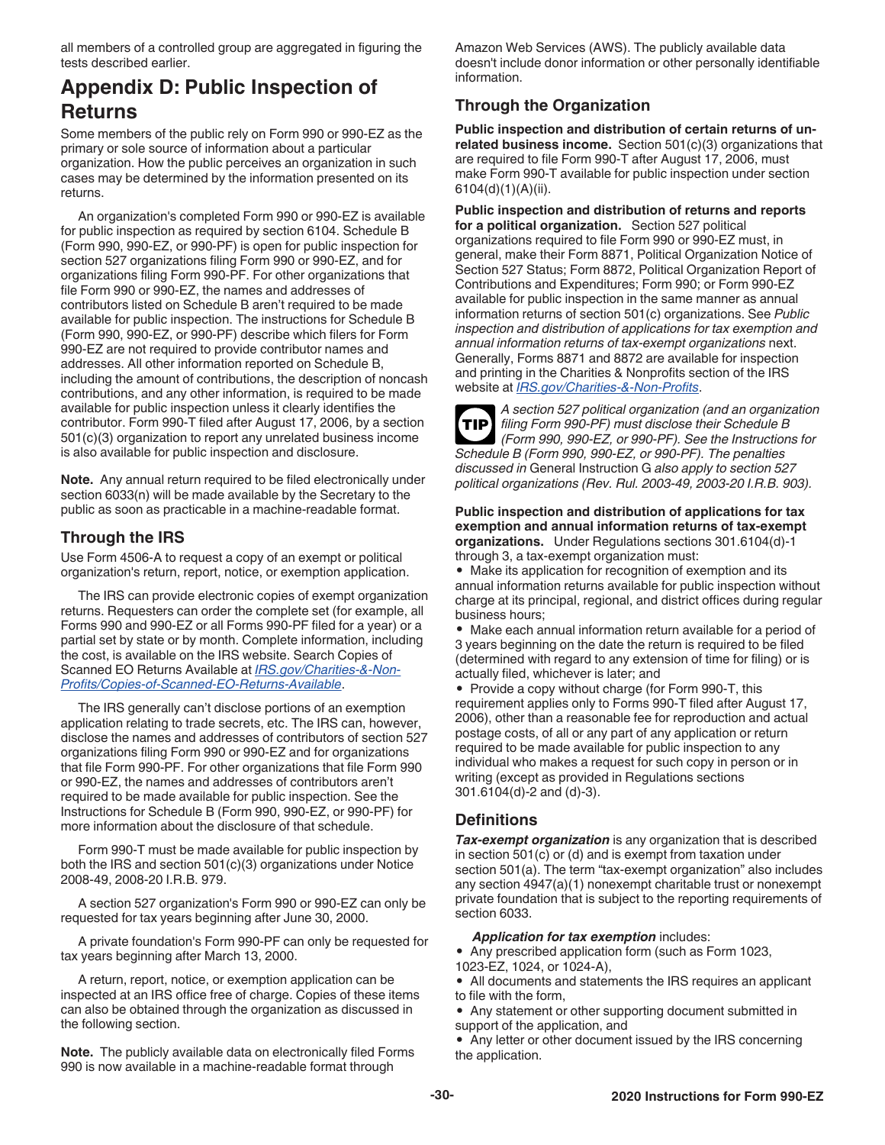<span id="page-29-0"></span>all members of a controlled group are aggregated in figuring the tests described earlier.

# **Appendix D: Public Inspection of Returns**

Some members of the public rely on Form 990 or 990-EZ as the primary or sole source of information about a particular organization. How the public perceives an organization in such cases may be determined by the information presented on its returns.

An organization's completed Form 990 or 990-EZ is available for public inspection as required by section 6104. Schedule B (Form 990, 990-EZ, or 990-PF) is open for public inspection for section 527 organizations filing Form 990 or 990-EZ, and for organizations filing Form 990-PF. For other organizations that file Form 990 or 990-EZ, the names and addresses of contributors listed on Schedule B aren't required to be made available for public inspection. The instructions for Schedule B (Form 990, 990-EZ, or 990-PF) describe which filers for Form 990-EZ are not required to provide contributor names and addresses. All other information reported on Schedule B, including the amount of contributions, the description of noncash contributions, and any other information, is required to be made available for public inspection unless it clearly identifies the contributor. Form 990-T filed after August 17, 2006, by a section 501(c)(3) organization to report any unrelated business income is also available for public inspection and disclosure.

**Note.** Any annual return required to be filed electronically under section 6033(n) will be made available by the Secretary to the public as soon as practicable in a machine-readable format.

# **Through the IRS**

Use Form 4506-A to request a copy of an exempt or political organization's return, report, notice, or exemption application.

The IRS can provide electronic copies of exempt organization returns. Requesters can order the complete set (for example, all Forms 990 and 990-EZ or all Forms 990-PF filed for a year) or a partial set by state or by month. Complete information, including the cost, is available on the IRS website. Search Copies of Scanned EO Returns Available at *[IRS.gov/Charities-&-Non-](https://www.irs.gov/Charities-&-Non-Profits/Copies-of-Scanned-EO-Returns-Available)[Profits/Copies-of-Scanned-EO-Returns-Available](https://www.irs.gov/Charities-&-Non-Profits/Copies-of-Scanned-EO-Returns-Available)*.

The IRS generally can't disclose portions of an exemption application relating to trade secrets, etc. The IRS can, however, disclose the names and addresses of contributors of section 527 organizations filing Form 990 or 990-EZ and for organizations that file Form 990-PF. For other organizations that file Form 990 or 990-EZ, the names and addresses of contributors aren't required to be made available for public inspection. See the Instructions for Schedule B (Form 990, 990-EZ, or 990-PF) for more information about the disclosure of that schedule.

Form 990-T must be made available for public inspection by both the IRS and section 501(c)(3) organizations under Notice 2008-49, 2008-20 I.R.B. 979.

A section 527 organization's Form 990 or 990-EZ can only be requested for tax years beginning after June 30, 2000.

A private foundation's Form 990-PF can only be requested for tax years beginning after March 13, 2000.

A return, report, notice, or exemption application can be inspected at an IRS office free of charge. Copies of these items can also be obtained through the organization as discussed in the following section.

**Note.** The publicly available data on electronically filed Forms 990 is now available in a machine-readable format through

Amazon Web Services (AWS). The publicly available data doesn't include donor information or other personally identifiable information.

# **Through the Organization**

**Public inspection and distribution of certain returns of unrelated business income.** Section 501(c)(3) organizations that are required to file Form 990-T after August 17, 2006, must make Form 990-T available for public inspection under section 6104(d)(1)(A)(ii).

**Public inspection and distribution of returns and reports for a political organization.** Section 527 political organizations required to file Form 990 or 990-EZ must, in general, make their Form 8871, Political Organization Notice of Section 527 Status; Form 8872, Political Organization Report of Contributions and Expenditures; Form 990; or Form 990-EZ available for public inspection in the same manner as annual information returns of section 501(c) organizations. See *Public inspection and distribution of applications for tax exemption and annual information returns of tax-exempt organizations* next. Generally, Forms 8871 and 8872 are available for inspection and printing in the Charities & Nonprofits section of the IRS website at *[IRS.gov/Charities-&-Non-Profits](https://www.irs.gov/charities-non-profits)*.

*A section 527 political organization (and an organization filing Form 990-PF) must disclose their Schedule B (Form 990, 990-EZ, or 990-PF). See the Instructions for Schedule B (Form 990, 990-EZ, or 990-PF). The penalties discussed in* General Instruction G *also apply to section 527 political organizations (Rev. Rul. 2003-49, 2003-20 I.R.B. 903).* **TIP**

**Public inspection and distribution of applications for tax exemption and annual information returns of tax-exempt organizations.** Under Regulations sections 301.6104(d)-1 through 3, a tax-exempt organization must:

• Make its application for recognition of exemption and its annual information returns available for public inspection without charge at its principal, regional, and district offices during regular business hours;

• Make each annual information return available for a period of 3 years beginning on the date the return is required to be filed (determined with regard to any extension of time for filing) or is actually filed, whichever is later; and

• Provide a copy without charge (for Form 990-T, this requirement applies only to Forms 990-T filed after August 17, 2006), other than a reasonable fee for reproduction and actual postage costs, of all or any part of any application or return required to be made available for public inspection to any individual who makes a request for such copy in person or in writing (except as provided in Regulations sections 301.6104(d)-2 and (d)-3).

### **Definitions**

*Tax-exempt organization* is any organization that is described in section 501(c) or (d) and is exempt from taxation under section 501(a). The term "tax-exempt organization" also includes any section 4947(a)(1) nonexempt charitable trust or nonexempt private foundation that is subject to the reporting requirements of section 6033.

*Application for tax exemption* includes:

• Any prescribed application form (such as Form 1023, 1023-EZ, 1024, or 1024-A),

- All documents and statements the IRS requires an applicant to file with the form,
- Any statement or other supporting document submitted in support of the application, and
- Any letter or other document issued by the IRS concerning the application.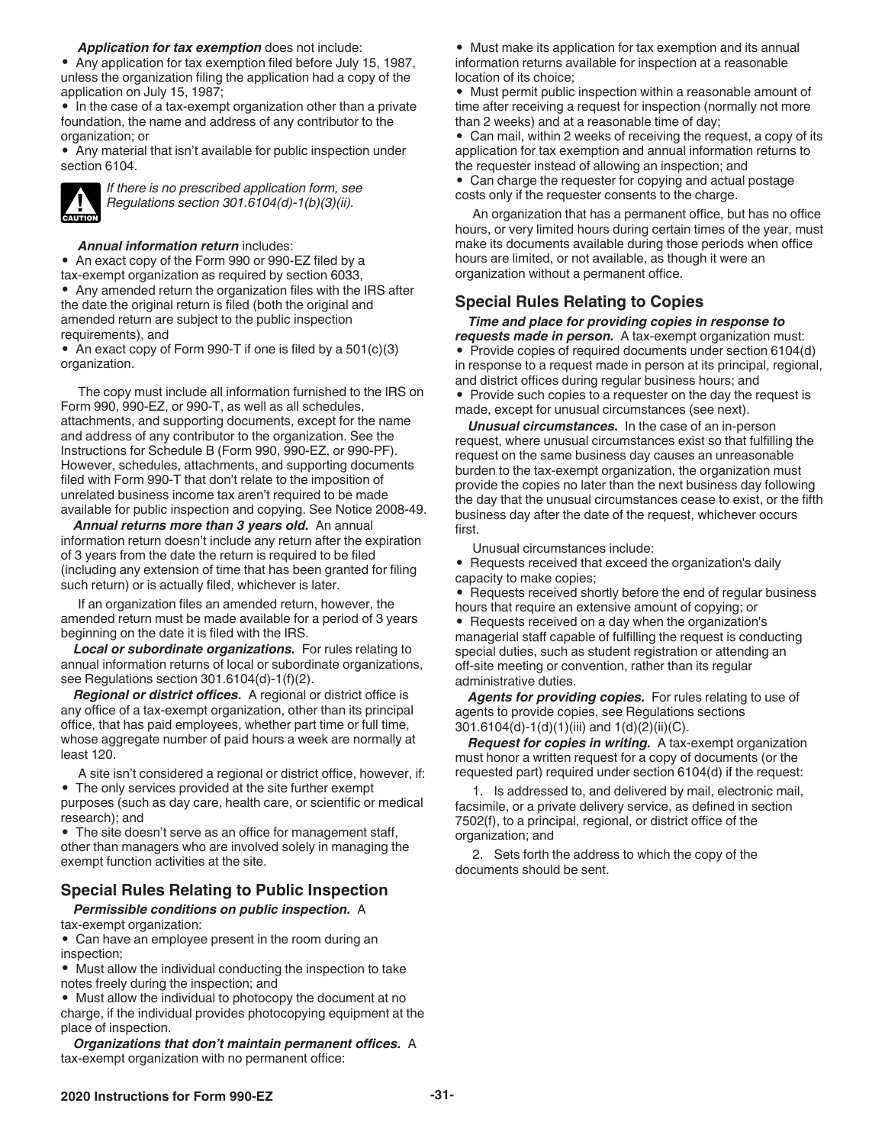*Application for tax exemption* does not include:

<span id="page-30-0"></span>• Any application for tax exemption filed before July 15, 1987, unless the organization filing the application had a copy of the application on July 15, 1987;

• In the case of a tax-exempt organization other than a private foundation, the name and address of any contributor to the organization; or

• Any material that isn't available for public inspection under section 6104.



*If there is no prescribed application form, see Regulations section 301.6104(d)-1(b)(3)(ii).*

#### *Annual information return* includes:

• An exact copy of the Form 990 or 990-EZ filed by a tax-exempt organization as required by section 6033, • Any amended return the organization files with the IRS after the date the original return is filed (both the original and amended return are subject to the public inspection requirements), and

• An exact copy of Form 990-T if one is filed by a 501(c)(3) organization.

The copy must include all information furnished to the IRS on Form 990, 990-EZ, or 990-T, as well as all schedules, attachments, and supporting documents, except for the name and address of any contributor to the organization. See the Instructions for Schedule B (Form 990, 990-EZ, or 990-PF). However, schedules, attachments, and supporting documents filed with Form 990-T that don't relate to the imposition of unrelated business income tax aren't required to be made available for public inspection and copying. See Notice 2008-49.

*Annual returns more than 3 years old.* An annual information return doesn't include any return after the expiration of 3 years from the date the return is required to be filed (including any extension of time that has been granted for filing such return) or is actually filed, whichever is later.

If an organization files an amended return, however, the amended return must be made available for a period of 3 years beginning on the date it is filed with the IRS.

*Local or subordinate organizations.* For rules relating to annual information returns of local or subordinate organizations, see Regulations section 301.6104(d)-1(f)(2).

*Regional or district offices.* A regional or district office is any office of a tax-exempt organization, other than its principal office, that has paid employees, whether part time or full time, whose aggregate number of paid hours a week are normally at least 120.

A site isn't considered a regional or district office, however, if: • The only services provided at the site further exempt purposes (such as day care, health care, or scientific or medical

research); and

• The site doesn't serve as an office for management staff, other than managers who are involved solely in managing the exempt function activities at the site.

#### **Special Rules Relating to Public Inspection**

*Permissible conditions on public inspection.* A tax-exempt organization:

• Can have an employee present in the room during an inspection;

• Must allow the individual conducting the inspection to take notes freely during the inspection; and

• Must allow the individual to photocopy the document at no charge, if the individual provides photocopying equipment at the place of inspection.

*Organizations that don't maintain permanent offices.* A tax-exempt organization with no permanent office:

• Must make its application for tax exemption and its annual information returns available for inspection at a reasonable location of its choice;

• Must permit public inspection within a reasonable amount of time after receiving a request for inspection (normally not more than 2 weeks) and at a reasonable time of day;

• Can mail, within 2 weeks of receiving the request, a copy of its application for tax exemption and annual information returns to the requester instead of allowing an inspection; and

• Can charge the requester for copying and actual postage costs only if the requester consents to the charge.

An organization that has a permanent office, but has no office hours, or very limited hours during certain times of the year, must make its documents available during those periods when office hours are limited, or not available, as though it were an organization without a permanent office.

#### **Special Rules Relating to Copies**

*Time and place for providing copies in response to requests made in person.* A tax-exempt organization must: • Provide copies of required documents under section 6104(d) in response to a request made in person at its principal, regional, and district offices during regular business hours; and

• Provide such copies to a requester on the day the request is made, except for unusual circumstances (see next).

*Unusual circumstances.* In the case of an in-person request, where unusual circumstances exist so that fulfilling the request on the same business day causes an unreasonable burden to the tax-exempt organization, the organization must provide the copies no later than the next business day following the day that the unusual circumstances cease to exist, or the fifth business day after the date of the request, whichever occurs first.

Unusual circumstances include:

• Requests received that exceed the organization's daily capacity to make copies;

• Requests received shortly before the end of regular business hours that require an extensive amount of copying; or

• Requests received on a day when the organization's managerial staff capable of fulfilling the request is conducting special duties, such as student registration or attending an off-site meeting or convention, rather than its regular administrative duties.

*Agents for providing copies.* For rules relating to use of agents to provide copies, see Regulations sections 301.6104(d)-1(d)(1)(iii) and 1(d)(2)(ii)(C).

*Request for copies in writing.* A tax-exempt organization must honor a written request for a copy of documents (or the requested part) required under section 6104(d) if the request:

1. Is addressed to, and delivered by mail, electronic mail, facsimile, or a private delivery service, as defined in section 7502(f), to a principal, regional, or district office of the organization; and

2. Sets forth the address to which the copy of the documents should be sent.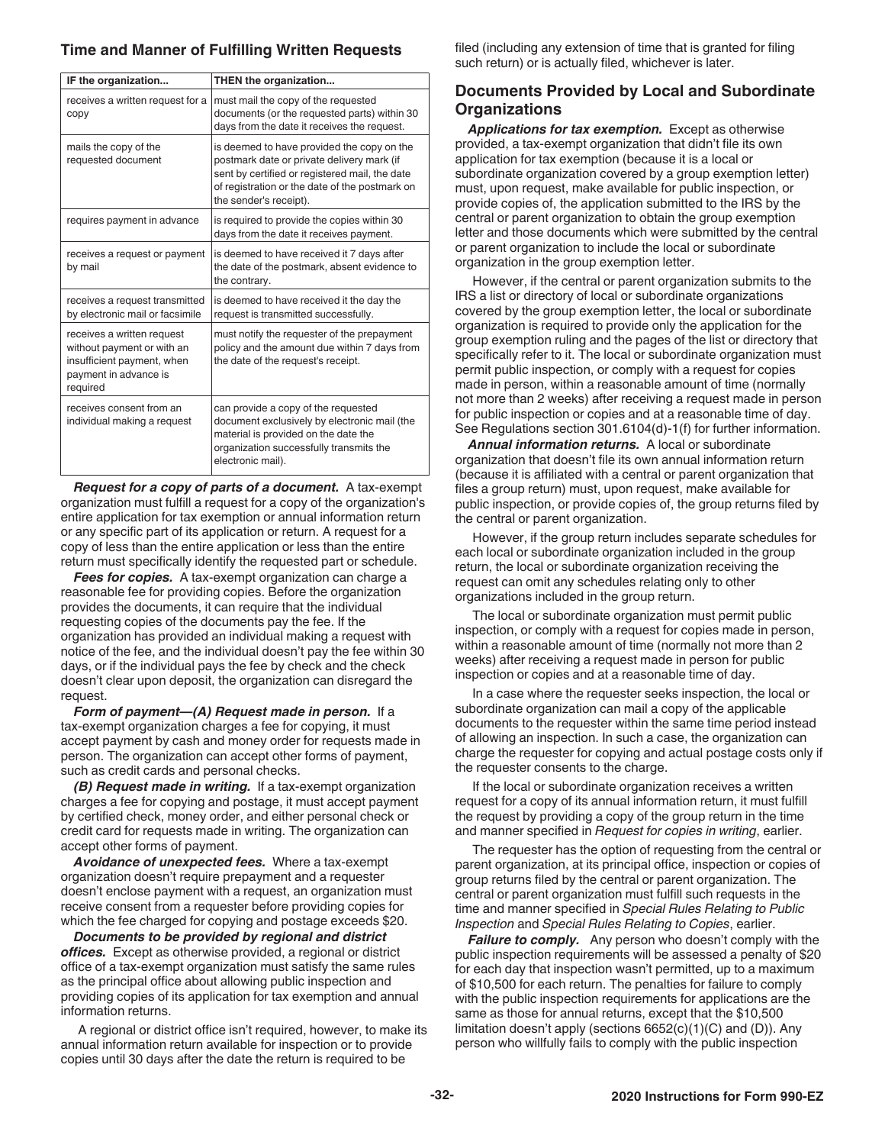#### <span id="page-31-0"></span>**Time and Manner of Fulfilling Written Requests**

| IF the organization                                                                                                         | THEN the organization                                                                                                                                                                                                  |
|-----------------------------------------------------------------------------------------------------------------------------|------------------------------------------------------------------------------------------------------------------------------------------------------------------------------------------------------------------------|
| receives a written request for a<br>copy                                                                                    | must mail the copy of the requested<br>documents (or the requested parts) within 30<br>days from the date it receives the request.                                                                                     |
| mails the copy of the<br>requested document                                                                                 | is deemed to have provided the copy on the<br>postmark date or private delivery mark (if<br>sent by certified or registered mail, the date<br>of registration or the date of the postmark on<br>the sender's receipt). |
| requires payment in advance                                                                                                 | is required to provide the copies within 30<br>days from the date it receives payment.                                                                                                                                 |
| receives a request or payment<br>by mail                                                                                    | is deemed to have received it 7 days after<br>the date of the postmark, absent evidence to<br>the contrary.                                                                                                            |
| receives a request transmitted<br>by electronic mail or facsimile                                                           | is deemed to have received it the day the<br>request is transmitted successfully.                                                                                                                                      |
| receives a written request<br>without payment or with an<br>insufficient payment, when<br>payment in advance is<br>required | must notify the requester of the prepayment<br>policy and the amount due within 7 days from<br>the date of the request's receipt.                                                                                      |
| receives consent from an<br>individual making a request                                                                     | can provide a copy of the requested<br>document exclusively by electronic mail (the<br>material is provided on the date the<br>organization successfully transmits the<br>electronic mail).                            |

*Request for a copy of parts of a document.* A tax-exempt organization must fulfill a request for a copy of the organization's entire application for tax exemption or annual information return or any specific part of its application or return. A request for a copy of less than the entire application or less than the entire return must specifically identify the requested part or schedule.

*Fees for copies.* A tax-exempt organization can charge a reasonable fee for providing copies. Before the organization provides the documents, it can require that the individual requesting copies of the documents pay the fee. If the organization has provided an individual making a request with notice of the fee, and the individual doesn't pay the fee within 30 days, or if the individual pays the fee by check and the check doesn't clear upon deposit, the organization can disregard the request.

*Form of payment—(A) Request made in person.* If a tax-exempt organization charges a fee for copying, it must accept payment by cash and money order for requests made in person. The organization can accept other forms of payment, such as credit cards and personal checks.

*(B) Request made in writing.* If a tax-exempt organization charges a fee for copying and postage, it must accept payment by certified check, money order, and either personal check or credit card for requests made in writing. The organization can accept other forms of payment.

*Avoidance of unexpected fees.* Where a tax-exempt organization doesn't require prepayment and a requester doesn't enclose payment with a request, an organization must receive consent from a requester before providing copies for which the fee charged for copying and postage exceeds \$20.

*Documents to be provided by regional and district offices.* Except as otherwise provided, a regional or district office of a tax-exempt organization must satisfy the same rules as the principal office about allowing public inspection and providing copies of its application for tax exemption and annual information returns.

A regional or district office isn't required, however, to make its annual information return available for inspection or to provide copies until 30 days after the date the return is required to be

filed (including any extension of time that is granted for filing such return) or is actually filed, whichever is later.

#### **Documents Provided by Local and Subordinate Organizations**

*Applications for tax exemption.* Except as otherwise provided, a tax-exempt organization that didn't file its own application for tax exemption (because it is a local or subordinate organization covered by a group exemption letter) must, upon request, make available for public inspection, or provide copies of, the application submitted to the IRS by the central or parent organization to obtain the group exemption letter and those documents which were submitted by the central or parent organization to include the local or subordinate organization in the group exemption letter.

However, if the central or parent organization submits to the IRS a list or directory of local or subordinate organizations covered by the group exemption letter, the local or subordinate organization is required to provide only the application for the group exemption ruling and the pages of the list or directory that specifically refer to it. The local or subordinate organization must permit public inspection, or comply with a request for copies made in person, within a reasonable amount of time (normally not more than 2 weeks) after receiving a request made in person for public inspection or copies and at a reasonable time of day. See Regulations section 301.6104(d)-1(f) for further information.

*Annual information returns.* A local or subordinate organization that doesn't file its own annual information return (because it is affiliated with a central or parent organization that files a group return) must, upon request, make available for public inspection, or provide copies of, the group returns filed by the central or parent organization.

However, if the group return includes separate schedules for each local or subordinate organization included in the group return, the local or subordinate organization receiving the request can omit any schedules relating only to other organizations included in the group return.

The local or subordinate organization must permit public inspection, or comply with a request for copies made in person, within a reasonable amount of time (normally not more than 2 weeks) after receiving a request made in person for public inspection or copies and at a reasonable time of day.

In a case where the requester seeks inspection, the local or subordinate organization can mail a copy of the applicable documents to the requester within the same time period instead of allowing an inspection. In such a case, the organization can charge the requester for copying and actual postage costs only if the requester consents to the charge.

If the local or subordinate organization receives a written request for a copy of its annual information return, it must fulfill the request by providing a copy of the group return in the time and manner specified in *Request for copies in writing*, earlier.

The requester has the option of requesting from the central or parent organization, at its principal office, inspection or copies of group returns filed by the central or parent organization. The central or parent organization must fulfill such requests in the time and manner specified in *Special Rules Relating to Public Inspection* and *Special Rules Relating to Copies*, earlier.

*Failure to comply.* Any person who doesn't comply with the public inspection requirements will be assessed a penalty of \$20 for each day that inspection wasn't permitted, up to a maximum of \$10,500 for each return. The penalties for failure to comply with the public inspection requirements for applications are the same as those for annual returns, except that the \$10,500 limitation doesn't apply (sections 6652(c)(1)(C) and (D)). Any person who willfully fails to comply with the public inspection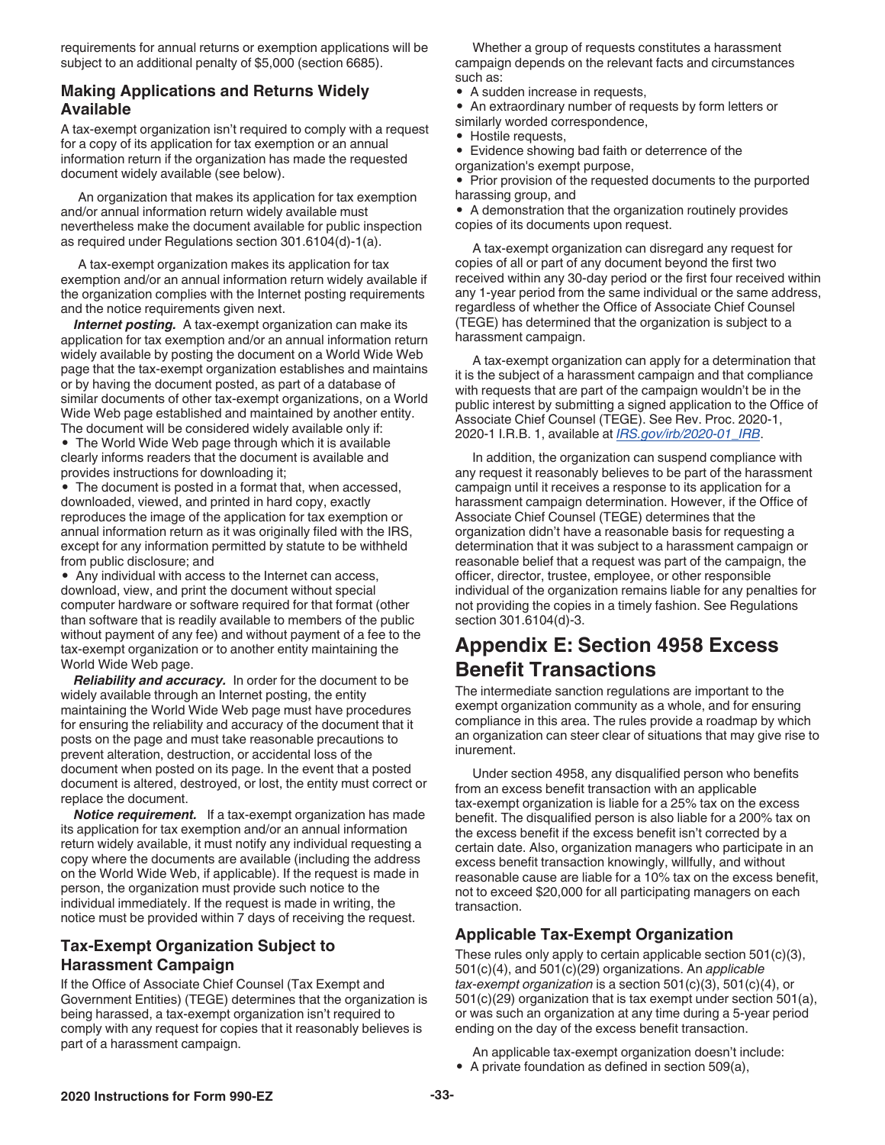<span id="page-32-0"></span>requirements for annual returns or exemption applications will be subject to an additional penalty of \$5,000 (section 6685).

#### **Making Applications and Returns Widely Available**

A tax-exempt organization isn't required to comply with a request for a copy of its application for tax exemption or an annual information return if the organization has made the requested document widely available (see below).

An organization that makes its application for tax exemption and/or annual information return widely available must nevertheless make the document available for public inspection as required under Regulations section 301.6104(d)-1(a).

A tax-exempt organization makes its application for tax exemption and/or an annual information return widely available if the organization complies with the Internet posting requirements and the notice requirements given next.

*Internet posting.* A tax-exempt organization can make its application for tax exemption and/or an annual information return widely available by posting the document on a World Wide Web page that the tax-exempt organization establishes and maintains or by having the document posted, as part of a database of similar documents of other tax-exempt organizations, on a World Wide Web page established and maintained by another entity. The document will be considered widely available only if:

• The World Wide Web page through which it is available clearly informs readers that the document is available and provides instructions for downloading it;

The document is posted in a format that, when accessed, downloaded, viewed, and printed in hard copy, exactly reproduces the image of the application for tax exemption or annual information return as it was originally filed with the IRS, except for any information permitted by statute to be withheld from public disclosure; and

• Any individual with access to the Internet can access, download, view, and print the document without special computer hardware or software required for that format (other than software that is readily available to members of the public without payment of any fee) and without payment of a fee to the tax-exempt organization or to another entity maintaining the World Wide Web page.

*Reliability and accuracy.* In order for the document to be widely available through an Internet posting, the entity maintaining the World Wide Web page must have procedures for ensuring the reliability and accuracy of the document that it posts on the page and must take reasonable precautions to prevent alteration, destruction, or accidental loss of the document when posted on its page. In the event that a posted document is altered, destroyed, or lost, the entity must correct or replace the document.

*Notice requirement.* If a tax-exempt organization has made its application for tax exemption and/or an annual information return widely available, it must notify any individual requesting a copy where the documents are available (including the address on the World Wide Web, if applicable). If the request is made in person, the organization must provide such notice to the individual immediately. If the request is made in writing, the notice must be provided within 7 days of receiving the request.

### **Tax-Exempt Organization Subject to Harassment Campaign**

If the Office of Associate Chief Counsel (Tax Exempt and Government Entities) (TEGE) determines that the organization is being harassed, a tax-exempt organization isn't required to comply with any request for copies that it reasonably believes is part of a harassment campaign.

Whether a group of requests constitutes a harassment campaign depends on the relevant facts and circumstances such as:

• A sudden increase in requests,

• An extraordinary number of requests by form letters or similarly worded correspondence,

• Hostile requests,

• Evidence showing bad faith or deterrence of the organization's exempt purpose,

• Prior provision of the requested documents to the purported harassing group, and

• A demonstration that the organization routinely provides copies of its documents upon request.

A tax-exempt organization can disregard any request for copies of all or part of any document beyond the first two received within any 30-day period or the first four received within any 1-year period from the same individual or the same address, regardless of whether the Office of Associate Chief Counsel (TEGE) has determined that the organization is subject to a harassment campaign.

A tax-exempt organization can apply for a determination that it is the subject of a harassment campaign and that compliance with requests that are part of the campaign wouldn't be in the public interest by submitting a signed application to the Office of Associate Chief Counsel (TEGE). See Rev. Proc. 2020-1, 2020-1 I.R.B. 1, available at *[IRS.gov/irb/2020-01\\_IRB](https://www.irs.gov/irb/2020-01_IRB)*.

In addition, the organization can suspend compliance with any request it reasonably believes to be part of the harassment campaign until it receives a response to its application for a harassment campaign determination. However, if the Office of Associate Chief Counsel (TEGE) determines that the organization didn't have a reasonable basis for requesting a determination that it was subject to a harassment campaign or reasonable belief that a request was part of the campaign, the officer, director, trustee, employee, or other responsible individual of the organization remains liable for any penalties for not providing the copies in a timely fashion. See Regulations section 301.6104(d)-3.

# **Appendix E: Section 4958 Excess Benefit Transactions**

The intermediate sanction regulations are important to the exempt organization community as a whole, and for ensuring compliance in this area. The rules provide a roadmap by which an organization can steer clear of situations that may give rise to inurement.

Under section 4958, any disqualified person who benefits from an excess benefit transaction with an applicable tax-exempt organization is liable for a 25% tax on the excess benefit. The disqualified person is also liable for a 200% tax on the excess benefit if the excess benefit isn't corrected by a certain date. Also, organization managers who participate in an excess benefit transaction knowingly, willfully, and without reasonable cause are liable for a 10% tax on the excess benefit, not to exceed \$20,000 for all participating managers on each transaction.

# **Applicable Tax-Exempt Organization**

These rules only apply to certain applicable section 501(c)(3), 501(c)(4), and 501(c)(29) organizations. An *applicable tax-exempt organization* is a section 501(c)(3), 501(c)(4), or 501(c)(29) organization that is tax exempt under section 501(a), or was such an organization at any time during a 5-year period ending on the day of the excess benefit transaction.

An applicable tax-exempt organization doesn't include: • A private foundation as defined in section 509(a),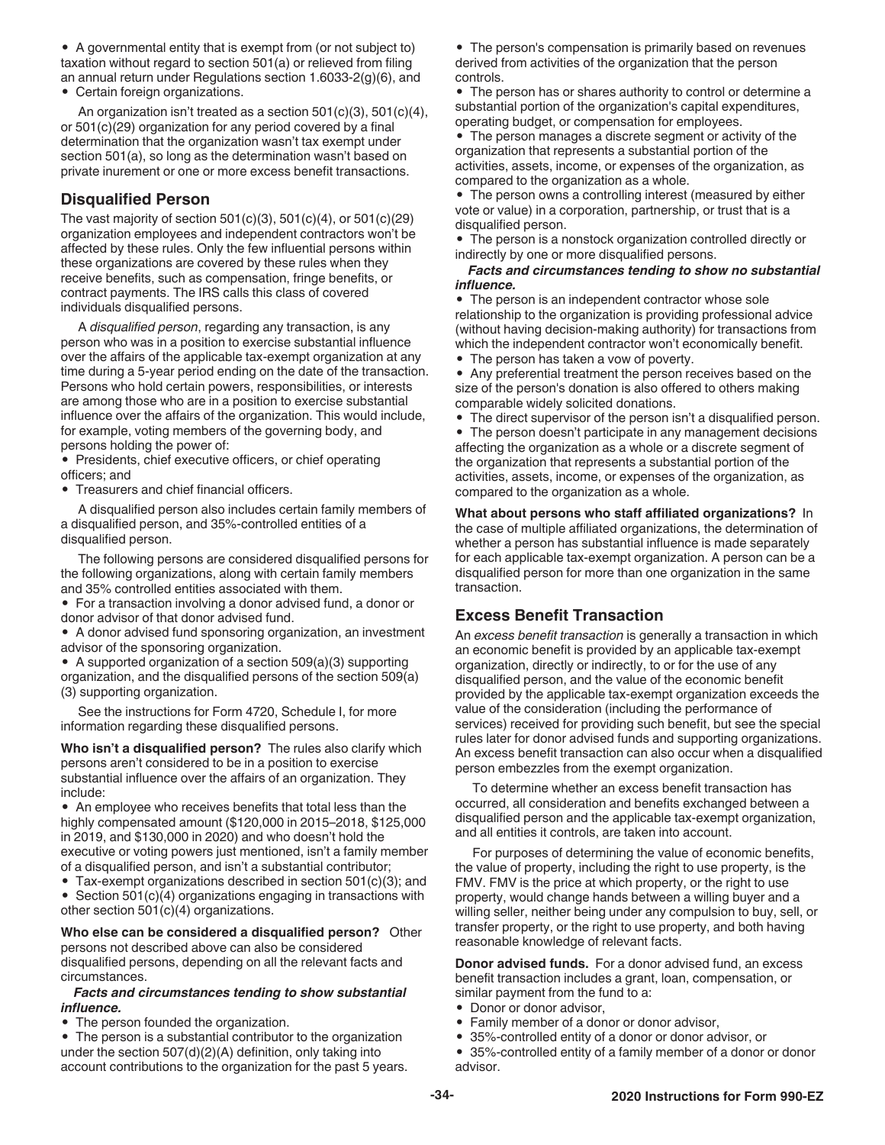<span id="page-33-0"></span>• A governmental entity that is exempt from (or not subject to) taxation without regard to section 501(a) or relieved from filing an annual return under Regulations section 1.6033-2(g)(6), and • Certain foreign organizations.

An organization isn't treated as a section 501(c)(3), 501(c)(4), or 501(c)(29) organization for any period covered by a final determination that the organization wasn't tax exempt under section 501(a), so long as the determination wasn't based on private inurement or one or more excess benefit transactions.

#### **Disqualified Person**

The vast majority of section  $501(c)(3)$ ,  $501(c)(4)$ , or  $501(c)(29)$ organization employees and independent contractors won't be affected by these rules. Only the few influential persons within these organizations are covered by these rules when they receive benefits, such as compensation, fringe benefits, or contract payments. The IRS calls this class of covered individuals disqualified persons.

A *disqualified person*, regarding any transaction, is any person who was in a position to exercise substantial influence over the affairs of the applicable tax-exempt organization at any time during a 5-year period ending on the date of the transaction. Persons who hold certain powers, responsibilities, or interests are among those who are in a position to exercise substantial influence over the affairs of the organization. This would include, for example, voting members of the governing body, and persons holding the power of:

• Presidents, chief executive officers, or chief operating officers; and

• Treasurers and chief financial officers.

A disqualified person also includes certain family members of a disqualified person, and 35%-controlled entities of a disqualified person.

The following persons are considered disqualified persons for the following organizations, along with certain family members and 35% controlled entities associated with them.

• For a transaction involving a donor advised fund, a donor or donor advisor of that donor advised fund.

• A donor advised fund sponsoring organization, an investment advisor of the sponsoring organization.

• A supported organization of a section 509(a)(3) supporting organization, and the disqualified persons of the section 509(a) (3) supporting organization.

See the instructions for Form 4720, Schedule I, for more information regarding these disqualified persons.

**Who isn't a disqualified person?** The rules also clarify which persons aren't considered to be in a position to exercise substantial influence over the affairs of an organization. They include:

• An employee who receives benefits that total less than the highly compensated amount (\$120,000 in 2015–2018, \$125,000 in 2019, and \$130,000 in 2020) and who doesn't hold the executive or voting powers just mentioned, isn't a family member of a disqualified person, and isn't a substantial contributor;

• Tax-exempt organizations described in section 501(c)(3); and

• Section 501(c)(4) organizations engaging in transactions with other section 501(c)(4) organizations.

**Who else can be considered a disqualified person?** Other persons not described above can also be considered disqualified persons, depending on all the relevant facts and circumstances.

#### *Facts and circumstances tending to show substantial influence.*

The person founded the organization.

• The person is a substantial contributor to the organization under the section 507(d)(2)(A) definition, only taking into account contributions to the organization for the past 5 years.

• The person's compensation is primarily based on revenues derived from activities of the organization that the person controls.

• The person has or shares authority to control or determine a substantial portion of the organization's capital expenditures, operating budget, or compensation for employees.

• The person manages a discrete segment or activity of the organization that represents a substantial portion of the activities, assets, income, or expenses of the organization, as compared to the organization as a whole.

• The person owns a controlling interest (measured by either vote or value) in a corporation, partnership, or trust that is a disqualified person.

• The person is a nonstock organization controlled directly or indirectly by one or more disqualified persons.

#### *Facts and circumstances tending to show no substantial influence.*

• The person is an independent contractor whose sole relationship to the organization is providing professional advice (without having decision-making authority) for transactions from which the independent contractor won't economically benefit.

• The person has taken a vow of poverty.

• Any preferential treatment the person receives based on the size of the person's donation is also offered to others making comparable widely solicited donations.

• The direct supervisor of the person isn't a disqualified person.

• The person doesn't participate in any management decisions affecting the organization as a whole or a discrete segment of the organization that represents a substantial portion of the activities, assets, income, or expenses of the organization, as compared to the organization as a whole.

**What about persons who staff affiliated organizations?** In the case of multiple affiliated organizations, the determination of whether a person has substantial influence is made separately for each applicable tax-exempt organization. A person can be a disqualified person for more than one organization in the same transaction.

### **Excess Benefit Transaction**

An *excess benefit transaction* is generally a transaction in which an economic benefit is provided by an applicable tax-exempt organization, directly or indirectly, to or for the use of any disqualified person, and the value of the economic benefit provided by the applicable tax-exempt organization exceeds the value of the consideration (including the performance of services) received for providing such benefit, but see the special rules later for donor advised funds and supporting organizations. An excess benefit transaction can also occur when a disqualified person embezzles from the exempt organization.

To determine whether an excess benefit transaction has occurred, all consideration and benefits exchanged between a disqualified person and the applicable tax-exempt organization, and all entities it controls, are taken into account.

For purposes of determining the value of economic benefits, the value of property, including the right to use property, is the FMV. FMV is the price at which property, or the right to use property, would change hands between a willing buyer and a willing seller, neither being under any compulsion to buy, sell, or transfer property, or the right to use property, and both having reasonable knowledge of relevant facts.

**Donor advised funds.** For a donor advised fund, an excess benefit transaction includes a grant, loan, compensation, or similar payment from the fund to a:

- Donor or donor advisor,
- Family member of a donor or donor advisor,
- 35%-controlled entity of a donor or donor advisor, or
- 35%-controlled entity of a family member of a donor or donor advisor.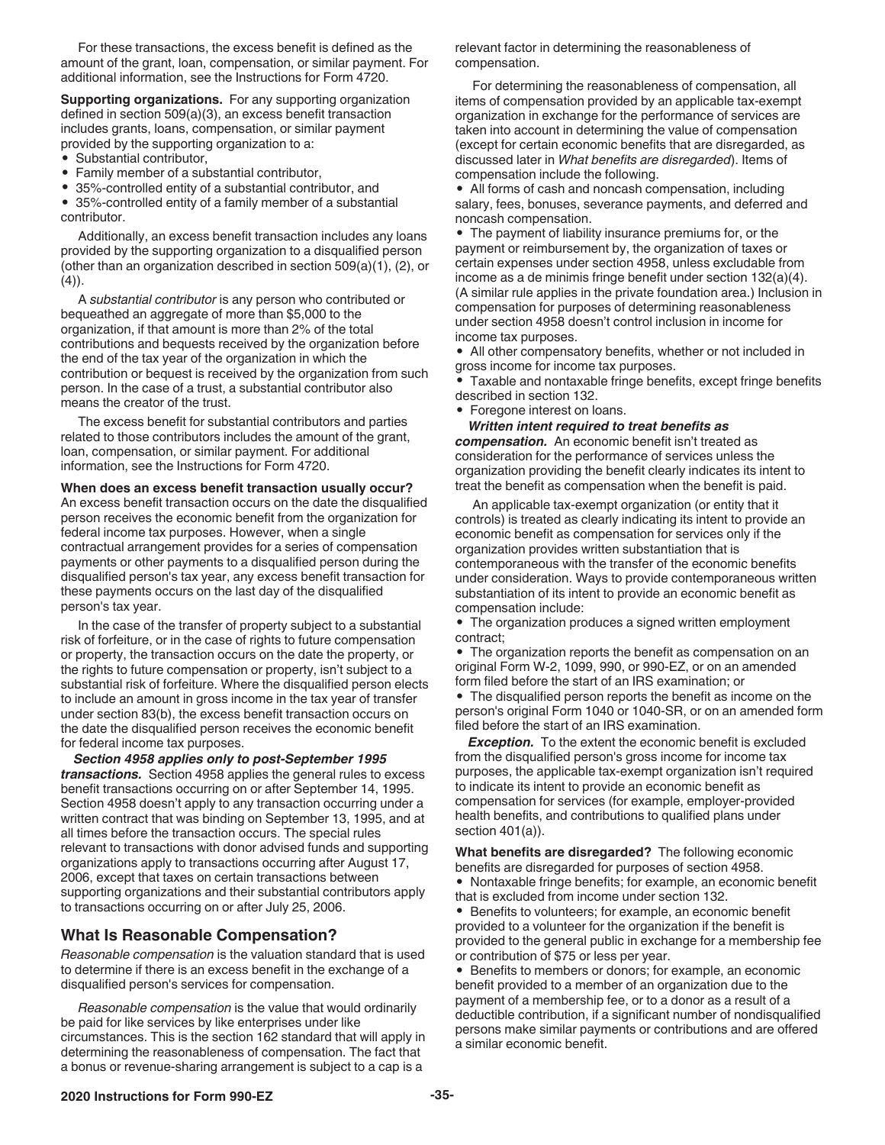<span id="page-34-0"></span>For these transactions, the excess benefit is defined as the amount of the grant, loan, compensation, or similar payment. For additional information, see the Instructions for Form 4720.

**Supporting organizations.** For any supporting organization defined in section 509(a)(3), an excess benefit transaction includes grants, loans, compensation, or similar payment provided by the supporting organization to a:

- Substantial contributor,
- Family member of a substantial contributor,

• 35%-controlled entity of a substantial contributor, and

• 35%-controlled entity of a family member of a substantial contributor.

Additionally, an excess benefit transaction includes any loans provided by the supporting organization to a disqualified person (other than an organization described in section 509(a)(1), (2), or  $(4)$ ).

A *substantial contributor* is any person who contributed or bequeathed an aggregate of more than \$5,000 to the organization, if that amount is more than 2% of the total contributions and bequests received by the organization before the end of the tax year of the organization in which the contribution or bequest is received by the organization from such person. In the case of a trust, a substantial contributor also means the creator of the trust.

The excess benefit for substantial contributors and parties related to those contributors includes the amount of the grant, loan, compensation, or similar payment. For additional information, see the Instructions for Form 4720.

**When does an excess benefit transaction usually occur?** 

An excess benefit transaction occurs on the date the disqualified person receives the economic benefit from the organization for federal income tax purposes. However, when a single contractual arrangement provides for a series of compensation payments or other payments to a disqualified person during the disqualified person's tax year, any excess benefit transaction for these payments occurs on the last day of the disqualified person's tax year.

In the case of the transfer of property subject to a substantial risk of forfeiture, or in the case of rights to future compensation or property, the transaction occurs on the date the property, or the rights to future compensation or property, isn't subject to a substantial risk of forfeiture. Where the disqualified person elects to include an amount in gross income in the tax year of transfer under section 83(b), the excess benefit transaction occurs on the date the disqualified person receives the economic benefit for federal income tax purposes.

*Section 4958 applies only to post-September 1995 transactions.* Section 4958 applies the general rules to excess benefit transactions occurring on or after September 14, 1995. Section 4958 doesn't apply to any transaction occurring under a written contract that was binding on September 13, 1995, and at all times before the transaction occurs. The special rules relevant to transactions with donor advised funds and supporting organizations apply to transactions occurring after August 17, 2006, except that taxes on certain transactions between supporting organizations and their substantial contributors apply to transactions occurring on or after July 25, 2006.

#### **What Is Reasonable Compensation?**

*Reasonable compensation* is the valuation standard that is used to determine if there is an excess benefit in the exchange of a disqualified person's services for compensation.

*Reasonable compensation* is the value that would ordinarily be paid for like services by like enterprises under like circumstances. This is the section 162 standard that will apply in determining the reasonableness of compensation. The fact that a bonus or revenue-sharing arrangement is subject to a cap is a

relevant factor in determining the reasonableness of compensation.

For determining the reasonableness of compensation, all items of compensation provided by an applicable tax-exempt organization in exchange for the performance of services are taken into account in determining the value of compensation (except for certain economic benefits that are disregarded, as discussed later in *What benefits are disregarded*). Items of compensation include the following.

• All forms of cash and noncash compensation, including salary, fees, bonuses, severance payments, and deferred and noncash compensation.

• The payment of liability insurance premiums for, or the payment or reimbursement by, the organization of taxes or certain expenses under section 4958, unless excludable from income as a de minimis fringe benefit under section 132(a)(4). (A similar rule applies in the private foundation area.) Inclusion in compensation for purposes of determining reasonableness under section 4958 doesn't control inclusion in income for income tax purposes.

• All other compensatory benefits, whether or not included in gross income for income tax purposes.

• Taxable and nontaxable fringe benefits, except fringe benefits described in section 132.

• Foregone interest on loans.

*Written intent required to treat benefits as compensation.* An economic benefit isn't treated as consideration for the performance of services unless the organization providing the benefit clearly indicates its intent to treat the benefit as compensation when the benefit is paid.

An applicable tax-exempt organization (or entity that it controls) is treated as clearly indicating its intent to provide an economic benefit as compensation for services only if the organization provides written substantiation that is contemporaneous with the transfer of the economic benefits under consideration. Ways to provide contemporaneous written substantiation of its intent to provide an economic benefit as compensation include:

• The organization produces a signed written employment contract;

• The organization reports the benefit as compensation on an original Form W-2, 1099, 990, or 990-EZ, or on an amended form filed before the start of an IRS examination; or • The disqualified person reports the benefit as income on the

person's original Form 1040 or 1040-SR, or on an amended form filed before the start of an IRS examination.

*Exception.* To the extent the economic benefit is excluded from the disqualified person's gross income for income tax purposes, the applicable tax-exempt organization isn't required to indicate its intent to provide an economic benefit as compensation for services (for example, employer-provided health benefits, and contributions to qualified plans under section 401(a)).

**What benefits are disregarded?** The following economic benefits are disregarded for purposes of section 4958. • Nontaxable fringe benefits; for example, an economic benefit that is excluded from income under section 132.

• Benefits to volunteers; for example, an economic benefit provided to a volunteer for the organization if the benefit is provided to the general public in exchange for a membership fee or contribution of \$75 or less per year.

• Benefits to members or donors; for example, an economic benefit provided to a member of an organization due to the payment of a membership fee, or to a donor as a result of a deductible contribution, if a significant number of nondisqualified persons make similar payments or contributions and are offered a similar economic benefit.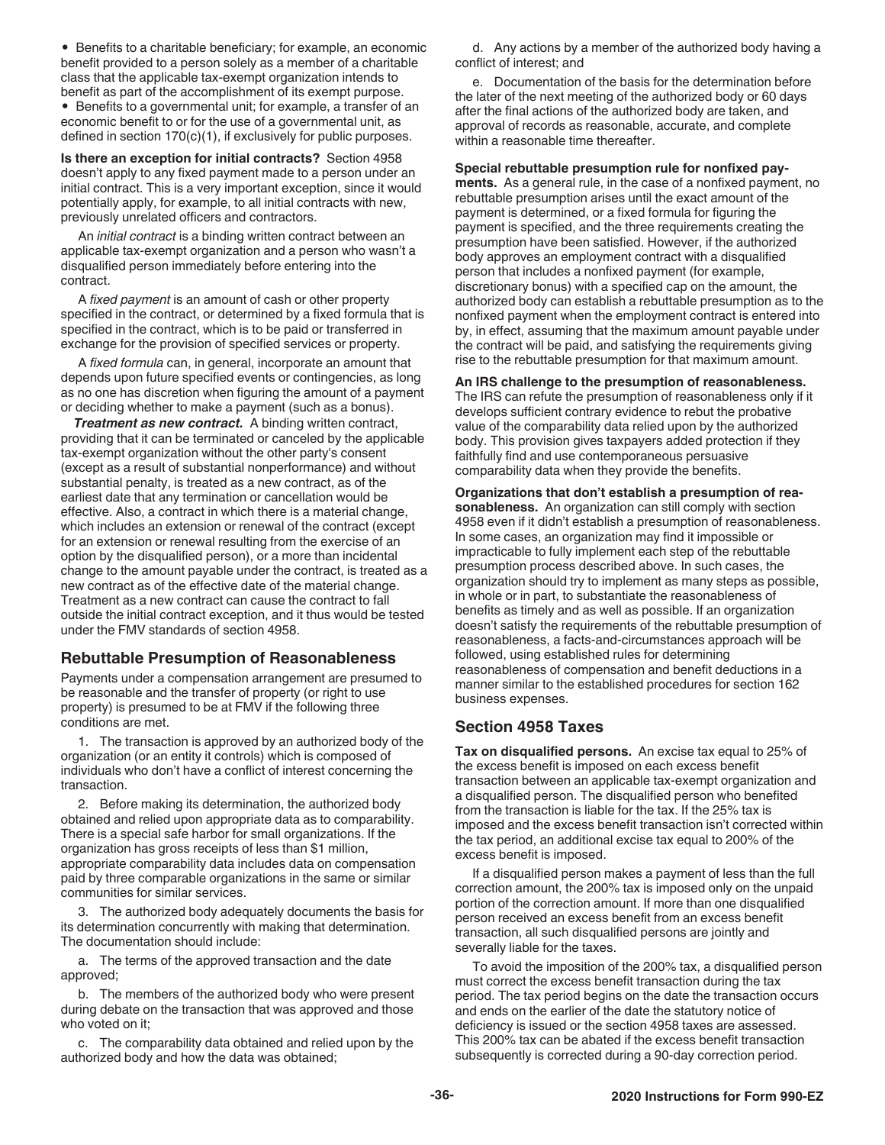<span id="page-35-0"></span>• Benefits to a charitable beneficiary; for example, an economic benefit provided to a person solely as a member of a charitable class that the applicable tax-exempt organization intends to benefit as part of the accomplishment of its exempt purpose. • Benefits to a governmental unit; for example, a transfer of an economic benefit to or for the use of a governmental unit, as defined in section 170(c)(1), if exclusively for public purposes.

**Is there an exception for initial contracts?** Section 4958 doesn't apply to any fixed payment made to a person under an initial contract. This is a very important exception, since it would potentially apply, for example, to all initial contracts with new, previously unrelated officers and contractors.

An *initial contract* is a binding written contract between an applicable tax-exempt organization and a person who wasn't a disqualified person immediately before entering into the contract.

A *fixed payment* is an amount of cash or other property specified in the contract, or determined by a fixed formula that is specified in the contract, which is to be paid or transferred in exchange for the provision of specified services or property.

A *fixed formula* can, in general, incorporate an amount that depends upon future specified events or contingencies, as long as no one has discretion when figuring the amount of a payment or deciding whether to make a payment (such as a bonus).

*Treatment as new contract.* A binding written contract, providing that it can be terminated or canceled by the applicable tax-exempt organization without the other party's consent (except as a result of substantial nonperformance) and without substantial penalty, is treated as a new contract, as of the earliest date that any termination or cancellation would be effective. Also, a contract in which there is a material change, which includes an extension or renewal of the contract (except for an extension or renewal resulting from the exercise of an option by the disqualified person), or a more than incidental change to the amount payable under the contract, is treated as a new contract as of the effective date of the material change. Treatment as a new contract can cause the contract to fall outside the initial contract exception, and it thus would be tested under the FMV standards of section 4958.

#### **Rebuttable Presumption of Reasonableness**

Payments under a compensation arrangement are presumed to be reasonable and the transfer of property (or right to use property) is presumed to be at FMV if the following three conditions are met.

1. The transaction is approved by an authorized body of the organization (or an entity it controls) which is composed of individuals who don't have a conflict of interest concerning the transaction.

2. Before making its determination, the authorized body obtained and relied upon appropriate data as to comparability. There is a special safe harbor for small organizations. If the organization has gross receipts of less than \$1 million, appropriate comparability data includes data on compensation paid by three comparable organizations in the same or similar communities for similar services.

3. The authorized body adequately documents the basis for its determination concurrently with making that determination. The documentation should include:

a. The terms of the approved transaction and the date approved;

b. The members of the authorized body who were present during debate on the transaction that was approved and those who voted on it;

c. The comparability data obtained and relied upon by the authorized body and how the data was obtained;

d. Any actions by a member of the authorized body having a conflict of interest; and

e. Documentation of the basis for the determination before the later of the next meeting of the authorized body or 60 days after the final actions of the authorized body are taken, and approval of records as reasonable, accurate, and complete within a reasonable time thereafter.

**Special rebuttable presumption rule for nonfixed payments.** As a general rule, in the case of a nonfixed payment, no rebuttable presumption arises until the exact amount of the payment is determined, or a fixed formula for figuring the payment is specified, and the three requirements creating the presumption have been satisfied. However, if the authorized body approves an employment contract with a disqualified person that includes a nonfixed payment (for example, discretionary bonus) with a specified cap on the amount, the authorized body can establish a rebuttable presumption as to the nonfixed payment when the employment contract is entered into by, in effect, assuming that the maximum amount payable under the contract will be paid, and satisfying the requirements giving rise to the rebuttable presumption for that maximum amount.

**An IRS challenge to the presumption of reasonableness.**  The IRS can refute the presumption of reasonableness only if it develops sufficient contrary evidence to rebut the probative value of the comparability data relied upon by the authorized body. This provision gives taxpayers added protection if they faithfully find and use contemporaneous persuasive comparability data when they provide the benefits.

**Organizations that don't establish a presumption of reasonableness.** An organization can still comply with section 4958 even if it didn't establish a presumption of reasonableness. In some cases, an organization may find it impossible or impracticable to fully implement each step of the rebuttable presumption process described above. In such cases, the organization should try to implement as many steps as possible, in whole or in part, to substantiate the reasonableness of benefits as timely and as well as possible. If an organization doesn't satisfy the requirements of the rebuttable presumption of reasonableness, a facts-and-circumstances approach will be followed, using established rules for determining reasonableness of compensation and benefit deductions in a manner similar to the established procedures for section 162 business expenses.

### **Section 4958 Taxes**

**Tax on disqualified persons.** An excise tax equal to 25% of the excess benefit is imposed on each excess benefit transaction between an applicable tax-exempt organization and a disqualified person. The disqualified person who benefited from the transaction is liable for the tax. If the 25% tax is imposed and the excess benefit transaction isn't corrected within the tax period, an additional excise tax equal to 200% of the excess benefit is imposed.

If a disqualified person makes a payment of less than the full correction amount, the 200% tax is imposed only on the unpaid portion of the correction amount. If more than one disqualified person received an excess benefit from an excess benefit transaction, all such disqualified persons are jointly and severally liable for the taxes.

To avoid the imposition of the 200% tax, a disqualified person must correct the excess benefit transaction during the tax period. The tax period begins on the date the transaction occurs and ends on the earlier of the date the statutory notice of deficiency is issued or the section 4958 taxes are assessed. This 200% tax can be abated if the excess benefit transaction subsequently is corrected during a 90-day correction period.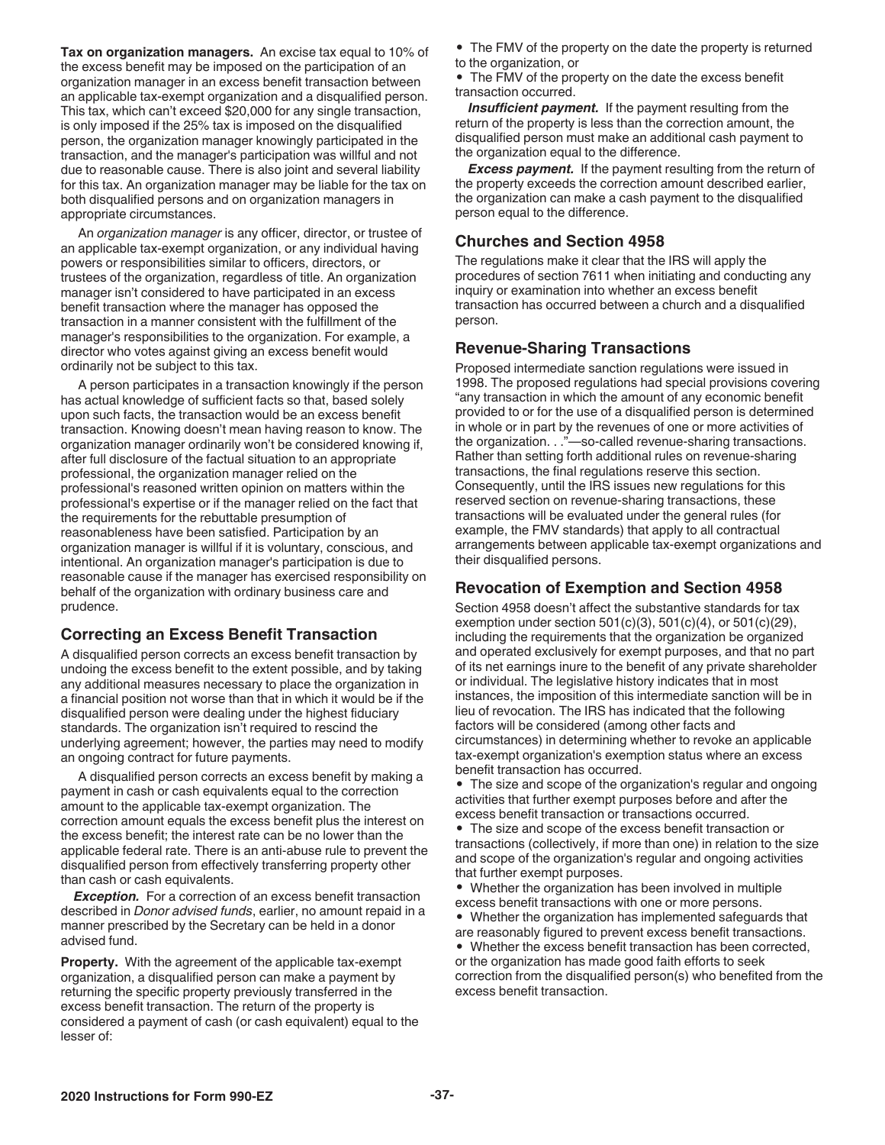<span id="page-36-0"></span>**Tax on organization managers.** An excise tax equal to 10% of the excess benefit may be imposed on the participation of an organization manager in an excess benefit transaction between an applicable tax-exempt organization and a disqualified person. This tax, which can't exceed \$20,000 for any single transaction, is only imposed if the 25% tax is imposed on the disqualified person, the organization manager knowingly participated in the transaction, and the manager's participation was willful and not due to reasonable cause. There is also joint and several liability for this tax. An organization manager may be liable for the tax on both disqualified persons and on organization managers in appropriate circumstances.

An *organization manager* is any officer, director, or trustee of an applicable tax-exempt organization, or any individual having powers or responsibilities similar to officers, directors, or trustees of the organization, regardless of title. An organization manager isn't considered to have participated in an excess benefit transaction where the manager has opposed the transaction in a manner consistent with the fulfillment of the manager's responsibilities to the organization. For example, a director who votes against giving an excess benefit would ordinarily not be subject to this tax.

A person participates in a transaction knowingly if the person has actual knowledge of sufficient facts so that, based solely upon such facts, the transaction would be an excess benefit transaction. Knowing doesn't mean having reason to know. The organization manager ordinarily won't be considered knowing if, after full disclosure of the factual situation to an appropriate professional, the organization manager relied on the professional's reasoned written opinion on matters within the professional's expertise or if the manager relied on the fact that the requirements for the rebuttable presumption of reasonableness have been satisfied. Participation by an organization manager is willful if it is voluntary, conscious, and intentional. An organization manager's participation is due to reasonable cause if the manager has exercised responsibility on behalf of the organization with ordinary business care and prudence.

#### **Correcting an Excess Benefit Transaction**

A disqualified person corrects an excess benefit transaction by undoing the excess benefit to the extent possible, and by taking any additional measures necessary to place the organization in a financial position not worse than that in which it would be if the disqualified person were dealing under the highest fiduciary standards. The organization isn't required to rescind the underlying agreement; however, the parties may need to modify an ongoing contract for future payments.

A disqualified person corrects an excess benefit by making a payment in cash or cash equivalents equal to the correction amount to the applicable tax-exempt organization. The correction amount equals the excess benefit plus the interest on the excess benefit; the interest rate can be no lower than the applicable federal rate. There is an anti-abuse rule to prevent the disqualified person from effectively transferring property other than cash or cash equivalents.

**Exception.** For a correction of an excess benefit transaction described in *Donor advised funds*, earlier, no amount repaid in a manner prescribed by the Secretary can be held in a donor advised fund.

**Property.** With the agreement of the applicable tax-exempt organization, a disqualified person can make a payment by returning the specific property previously transferred in the excess benefit transaction. The return of the property is considered a payment of cash (or cash equivalent) equal to the lesser of:

• The FMV of the property on the date the property is returned to the organization, or

• The FMV of the property on the date the excess benefit transaction occurred.

*Insufficient payment.* If the payment resulting from the return of the property is less than the correction amount, the disqualified person must make an additional cash payment to the organization equal to the difference.

**Excess payment.** If the payment resulting from the return of the property exceeds the correction amount described earlier, the organization can make a cash payment to the disqualified person equal to the difference.

#### **Churches and Section 4958**

The regulations make it clear that the IRS will apply the procedures of section 7611 when initiating and conducting any inquiry or examination into whether an excess benefit transaction has occurred between a church and a disqualified person.

#### **Revenue-Sharing Transactions**

Proposed intermediate sanction regulations were issued in 1998. The proposed regulations had special provisions covering "any transaction in which the amount of any economic benefit provided to or for the use of a disqualified person is determined in whole or in part by the revenues of one or more activities of the organization. . ."—so-called revenue-sharing transactions. Rather than setting forth additional rules on revenue-sharing transactions, the final regulations reserve this section. Consequently, until the IRS issues new regulations for this reserved section on revenue-sharing transactions, these transactions will be evaluated under the general rules (for example, the FMV standards) that apply to all contractual arrangements between applicable tax-exempt organizations and their disqualified persons.

#### **Revocation of Exemption and Section 4958**

Section 4958 doesn't affect the substantive standards for tax exemption under section  $501(c)(3)$ ,  $501(c)(4)$ , or  $501(c)(29)$ , including the requirements that the organization be organized and operated exclusively for exempt purposes, and that no part of its net earnings inure to the benefit of any private shareholder or individual. The legislative history indicates that in most instances, the imposition of this intermediate sanction will be in lieu of revocation. The IRS has indicated that the following factors will be considered (among other facts and circumstances) in determining whether to revoke an applicable tax-exempt organization's exemption status where an excess benefit transaction has occurred.

• The size and scope of the organization's regular and ongoing activities that further exempt purposes before and after the excess benefit transaction or transactions occurred.

• The size and scope of the excess benefit transaction or transactions (collectively, if more than one) in relation to the size and scope of the organization's regular and ongoing activities that further exempt purposes.

• Whether the organization has been involved in multiple excess benefit transactions with one or more persons.

• Whether the organization has implemented safeguards that are reasonably figured to prevent excess benefit transactions.

• Whether the excess benefit transaction has been corrected, or the organization has made good faith efforts to seek correction from the disqualified person(s) who benefited from the excess benefit transaction.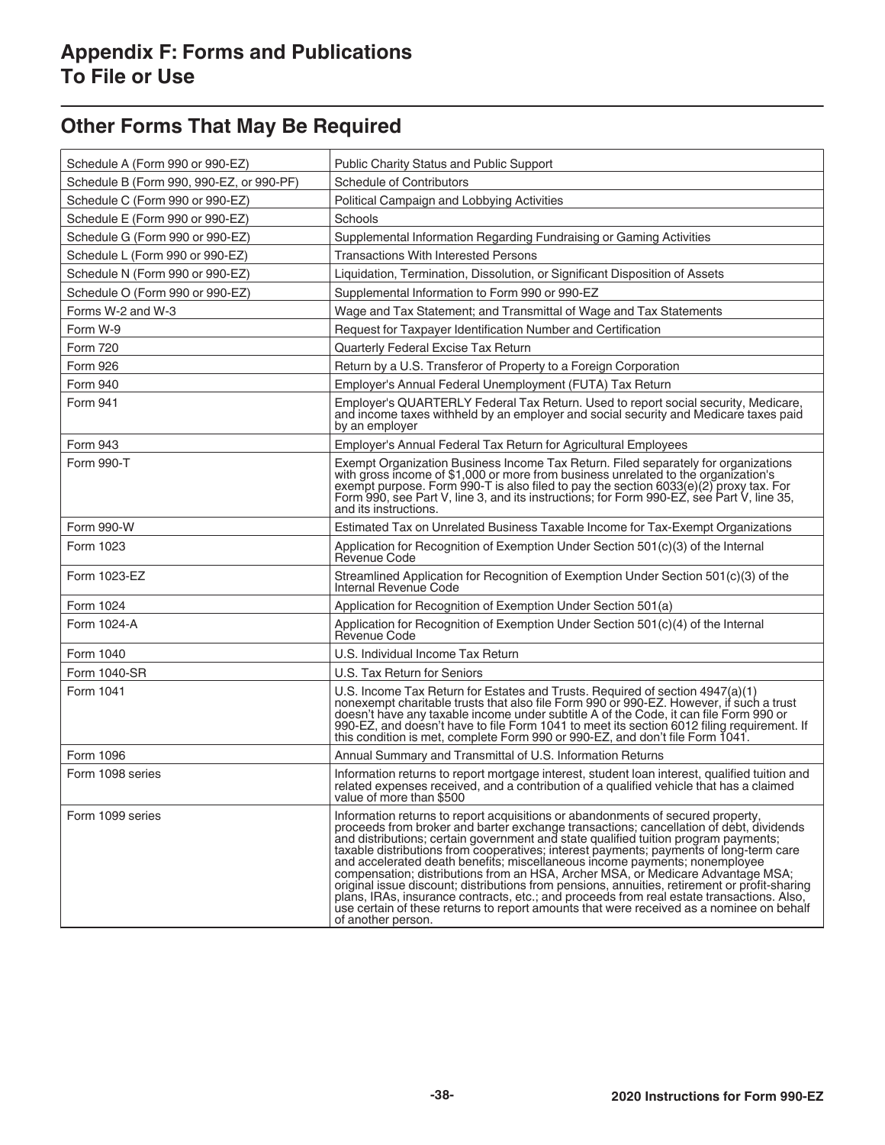# <span id="page-37-0"></span>**Other Forms That May Be Required**

| Schedule A (Form 990 or 990-EZ)          | Public Charity Status and Public Support                                                                                                                                                                                                                                                                                                                                                                                                                                                                                                                                                                                                                                                                                                                                                                                                    |
|------------------------------------------|---------------------------------------------------------------------------------------------------------------------------------------------------------------------------------------------------------------------------------------------------------------------------------------------------------------------------------------------------------------------------------------------------------------------------------------------------------------------------------------------------------------------------------------------------------------------------------------------------------------------------------------------------------------------------------------------------------------------------------------------------------------------------------------------------------------------------------------------|
| Schedule B (Form 990, 990-EZ, or 990-PF) | <b>Schedule of Contributors</b>                                                                                                                                                                                                                                                                                                                                                                                                                                                                                                                                                                                                                                                                                                                                                                                                             |
| Schedule C (Form 990 or 990-EZ)          | Political Campaign and Lobbying Activities                                                                                                                                                                                                                                                                                                                                                                                                                                                                                                                                                                                                                                                                                                                                                                                                  |
| Schedule E (Form 990 or 990-EZ)          | Schools                                                                                                                                                                                                                                                                                                                                                                                                                                                                                                                                                                                                                                                                                                                                                                                                                                     |
| Schedule G (Form 990 or 990-EZ)          | Supplemental Information Regarding Fundraising or Gaming Activities                                                                                                                                                                                                                                                                                                                                                                                                                                                                                                                                                                                                                                                                                                                                                                         |
| Schedule L (Form 990 or 990-EZ)          | <b>Transactions With Interested Persons</b>                                                                                                                                                                                                                                                                                                                                                                                                                                                                                                                                                                                                                                                                                                                                                                                                 |
| Schedule N (Form 990 or 990-EZ)          | Liquidation, Termination, Dissolution, or Significant Disposition of Assets                                                                                                                                                                                                                                                                                                                                                                                                                                                                                                                                                                                                                                                                                                                                                                 |
| Schedule O (Form 990 or 990-EZ)          | Supplemental Information to Form 990 or 990-EZ                                                                                                                                                                                                                                                                                                                                                                                                                                                                                                                                                                                                                                                                                                                                                                                              |
| Forms W-2 and W-3                        | Wage and Tax Statement; and Transmittal of Wage and Tax Statements                                                                                                                                                                                                                                                                                                                                                                                                                                                                                                                                                                                                                                                                                                                                                                          |
| Form W-9                                 | Request for Taxpayer Identification Number and Certification                                                                                                                                                                                                                                                                                                                                                                                                                                                                                                                                                                                                                                                                                                                                                                                |
| <b>Form 720</b>                          | Quarterly Federal Excise Tax Return                                                                                                                                                                                                                                                                                                                                                                                                                                                                                                                                                                                                                                                                                                                                                                                                         |
| Form 926                                 | Return by a U.S. Transferor of Property to a Foreign Corporation                                                                                                                                                                                                                                                                                                                                                                                                                                                                                                                                                                                                                                                                                                                                                                            |
| <b>Form 940</b>                          | Employer's Annual Federal Unemployment (FUTA) Tax Return                                                                                                                                                                                                                                                                                                                                                                                                                                                                                                                                                                                                                                                                                                                                                                                    |
| Form 941                                 | Employer's QUARTERLY Federal Tax Return. Used to report social security, Medicare,<br>and income taxes withheld by an employer and social security and Medicare taxes paid<br>by an employer                                                                                                                                                                                                                                                                                                                                                                                                                                                                                                                                                                                                                                                |
| <b>Form 943</b>                          | Employer's Annual Federal Tax Return for Agricultural Employees                                                                                                                                                                                                                                                                                                                                                                                                                                                                                                                                                                                                                                                                                                                                                                             |
| Form 990-T                               | Exempt Organization Business Income Tax Return. Filed separately for organizations<br>with gross income of \$1,000 or more from business unrelated to the organization's<br>exempt purpose. Form 990-T is also filed to pay the section 6033(e)(2) proxy tax. For<br>Form 990, see Part V, line 3, and its instructions; for Form 990-EZ, see Part V, line 35,<br>and its instructions.                                                                                                                                                                                                                                                                                                                                                                                                                                                     |
| Form 990-W                               | Estimated Tax on Unrelated Business Taxable Income for Tax-Exempt Organizations                                                                                                                                                                                                                                                                                                                                                                                                                                                                                                                                                                                                                                                                                                                                                             |
| Form 1023                                | Application for Recognition of Exemption Under Section 501(c)(3) of the Internal<br>Revenue Code                                                                                                                                                                                                                                                                                                                                                                                                                                                                                                                                                                                                                                                                                                                                            |
| Form 1023-EZ                             | Streamlined Application for Recognition of Exemption Under Section 501(c)(3) of the<br>Internal Revenue Code                                                                                                                                                                                                                                                                                                                                                                                                                                                                                                                                                                                                                                                                                                                                |
| Form 1024                                | Application for Recognition of Exemption Under Section 501(a)                                                                                                                                                                                                                                                                                                                                                                                                                                                                                                                                                                                                                                                                                                                                                                               |
| Form 1024-A                              | Application for Recognition of Exemption Under Section 501(c)(4) of the Internal<br>Revenue Code                                                                                                                                                                                                                                                                                                                                                                                                                                                                                                                                                                                                                                                                                                                                            |
| Form 1040                                | U.S. Individual Income Tax Return                                                                                                                                                                                                                                                                                                                                                                                                                                                                                                                                                                                                                                                                                                                                                                                                           |
| Form 1040-SR                             | U.S. Tax Return for Seniors                                                                                                                                                                                                                                                                                                                                                                                                                                                                                                                                                                                                                                                                                                                                                                                                                 |
| Form 1041                                | U.S. Income Tax Return for Estates and Trusts. Required of section 4947(a)(1) nonexempt charitable trusts that also file Form 990 or 990-EZ. However, if such a trust<br>doesn't have any taxable income under subtitle A of the Code, it can file Form 990 or<br>990-EZ, and doesn't have to file Form 1041 to meet its section 6012 filing requirement. If<br>this condition is met, complete Form 990 or 990-EZ, and don't file Form 1041.                                                                                                                                                                                                                                                                                                                                                                                               |
| Form 1096                                | Annual Summary and Transmittal of U.S. Information Returns                                                                                                                                                                                                                                                                                                                                                                                                                                                                                                                                                                                                                                                                                                                                                                                  |
| Form 1098 series                         | Information returns to report mortgage interest, student loan interest, qualified tuition and<br>related expenses received, and a contribution of a qualified vehicle that has a claimed<br>value of more than \$500                                                                                                                                                                                                                                                                                                                                                                                                                                                                                                                                                                                                                        |
| Form 1099 series                         | Information returns to report acquisitions or abandonments of secured property,<br>proceeds from broker and barter exchange transactions; cancellation of debt, dividends<br>and distributions; certain government and state qualified tuition program payments;<br>taxable distributions from cooperatives; interest payments; payments of long-term care<br>and accelerated death benefits; miscellaneous income payments; nonemployee<br>compensation; distributions from an HSA, Archer MSA, or Medicare Advantage MSA;<br>original issue discount; distributions from pensions, annuities, retirement or profit-sharing<br>plans, IRAs, insurance contracts, etc.; and proceeds from real estate transactions. Also,<br>use certain of these returns to report amounts that were received as a nominee on behalf<br>of another person. |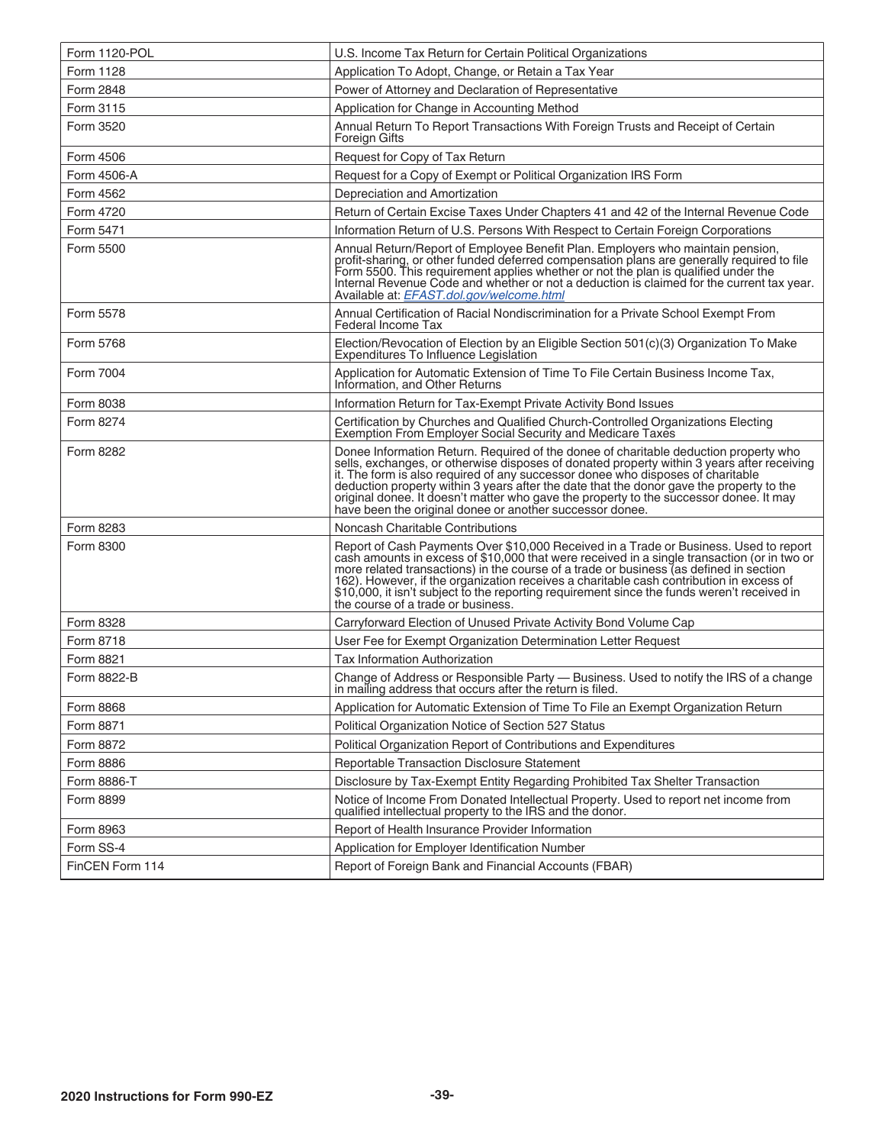| Form 1120-POL   | U.S. Income Tax Return for Certain Political Organizations                                                                                                                                                                                                                                                                                                                                                                                                                                                              |
|-----------------|-------------------------------------------------------------------------------------------------------------------------------------------------------------------------------------------------------------------------------------------------------------------------------------------------------------------------------------------------------------------------------------------------------------------------------------------------------------------------------------------------------------------------|
| Form 1128       | Application To Adopt, Change, or Retain a Tax Year                                                                                                                                                                                                                                                                                                                                                                                                                                                                      |
| Form 2848       | Power of Attorney and Declaration of Representative                                                                                                                                                                                                                                                                                                                                                                                                                                                                     |
| Form 3115       | Application for Change in Accounting Method                                                                                                                                                                                                                                                                                                                                                                                                                                                                             |
| Form 3520       | Annual Return To Report Transactions With Foreign Trusts and Receipt of Certain<br><b>Foreign Gifts</b>                                                                                                                                                                                                                                                                                                                                                                                                                 |
| Form 4506       | Request for Copy of Tax Return                                                                                                                                                                                                                                                                                                                                                                                                                                                                                          |
| Form 4506-A     | Request for a Copy of Exempt or Political Organization IRS Form                                                                                                                                                                                                                                                                                                                                                                                                                                                         |
| Form 4562       | Depreciation and Amortization                                                                                                                                                                                                                                                                                                                                                                                                                                                                                           |
| Form 4720       | Return of Certain Excise Taxes Under Chapters 41 and 42 of the Internal Revenue Code                                                                                                                                                                                                                                                                                                                                                                                                                                    |
| Form 5471       | Information Return of U.S. Persons With Respect to Certain Foreign Corporations                                                                                                                                                                                                                                                                                                                                                                                                                                         |
| Form 5500       | Annual Return/Report of Employee Benefit Plan. Employers who maintain pension,<br>profit-sharing, or other funded deferred compensation plans are generally required to file<br>Form 5500. This requirement applies whether or not the plan is qualified under the<br>Internal Revenue Code and whether or not a deduction is claimed for the current tax year.<br>Available at: EFAST.dol.gov/welcome.html                                                                                                             |
| Form 5578       | Annual Certification of Racial Nondiscrimination for a Private School Exempt From<br>Federal Income Tax                                                                                                                                                                                                                                                                                                                                                                                                                 |
| Form 5768       | Election/Revocation of Election by an Eligible Section 501(c)(3) Organization To Make<br>Expenditures To Influence Legislation                                                                                                                                                                                                                                                                                                                                                                                          |
| Form 7004       | Application for Automatic Extension of Time To File Certain Business Income Tax,<br>Information, and Other Returns                                                                                                                                                                                                                                                                                                                                                                                                      |
| Form 8038       | Information Return for Tax-Exempt Private Activity Bond Issues                                                                                                                                                                                                                                                                                                                                                                                                                                                          |
| Form 8274       | Certification by Churches and Qualified Church-Controlled Organizations Electing<br>Exemption From Employer Social Security and Medicare Taxes                                                                                                                                                                                                                                                                                                                                                                          |
| Form 8282       | Donee Information Return. Required of the donee of charitable deduction property who<br>sells, exchanges, or otherwise disposes of donated property within 3 years after receiving<br>it. The form is also required of any successor donee who disposes of charitable<br>deduction property within 3 years after the date that the donor gave the property to the<br>original donee. It doesn't matter who gave the property to the successor donee. It may<br>have been the original donee or another successor donee. |
| Form 8283       | Noncash Charitable Contributions                                                                                                                                                                                                                                                                                                                                                                                                                                                                                        |
| Form 8300       | Report of Cash Payments Over \$10,000 Received in a Trade or Business. Used to report<br>cash amounts in excess of \$10,000 that were received in a single transaction (or in two or<br>more related transactions) in the course of a trade or business (as defined in section<br>162). However, if the organization receives a charitable cash contribution in excess of<br>\$10,000, it isn't subject to the reporting requirement since the funds weren't received in<br>the course of a trade or business.          |
| Form 8328       | Carryforward Election of Unused Private Activity Bond Volume Cap                                                                                                                                                                                                                                                                                                                                                                                                                                                        |
| Form 8718       | User Fee for Exempt Organization Determination Letter Request                                                                                                                                                                                                                                                                                                                                                                                                                                                           |
| Form 8821       | Tax Information Authorization                                                                                                                                                                                                                                                                                                                                                                                                                                                                                           |
| Form 8822-B     | Change of Address or Responsible Party - Business. Used to notify the IRS of a change<br>in mailing address that occurs after the return is filed.                                                                                                                                                                                                                                                                                                                                                                      |
| Form 8868       | Application for Automatic Extension of Time To File an Exempt Organization Return                                                                                                                                                                                                                                                                                                                                                                                                                                       |
| Form 8871       | Political Organization Notice of Section 527 Status                                                                                                                                                                                                                                                                                                                                                                                                                                                                     |
| Form 8872       | Political Organization Report of Contributions and Expenditures                                                                                                                                                                                                                                                                                                                                                                                                                                                         |
| Form 8886       | Reportable Transaction Disclosure Statement                                                                                                                                                                                                                                                                                                                                                                                                                                                                             |
| Form 8886-T     | Disclosure by Tax-Exempt Entity Regarding Prohibited Tax Shelter Transaction                                                                                                                                                                                                                                                                                                                                                                                                                                            |
| Form 8899       | Notice of Income From Donated Intellectual Property. Used to report net income from qualified intellectual property to the IRS and the donor.                                                                                                                                                                                                                                                                                                                                                                           |
| Form 8963       | Report of Health Insurance Provider Information                                                                                                                                                                                                                                                                                                                                                                                                                                                                         |
| Form SS-4       | Application for Employer Identification Number                                                                                                                                                                                                                                                                                                                                                                                                                                                                          |
| FinCEN Form 114 | Report of Foreign Bank and Financial Accounts (FBAR)                                                                                                                                                                                                                                                                                                                                                                                                                                                                    |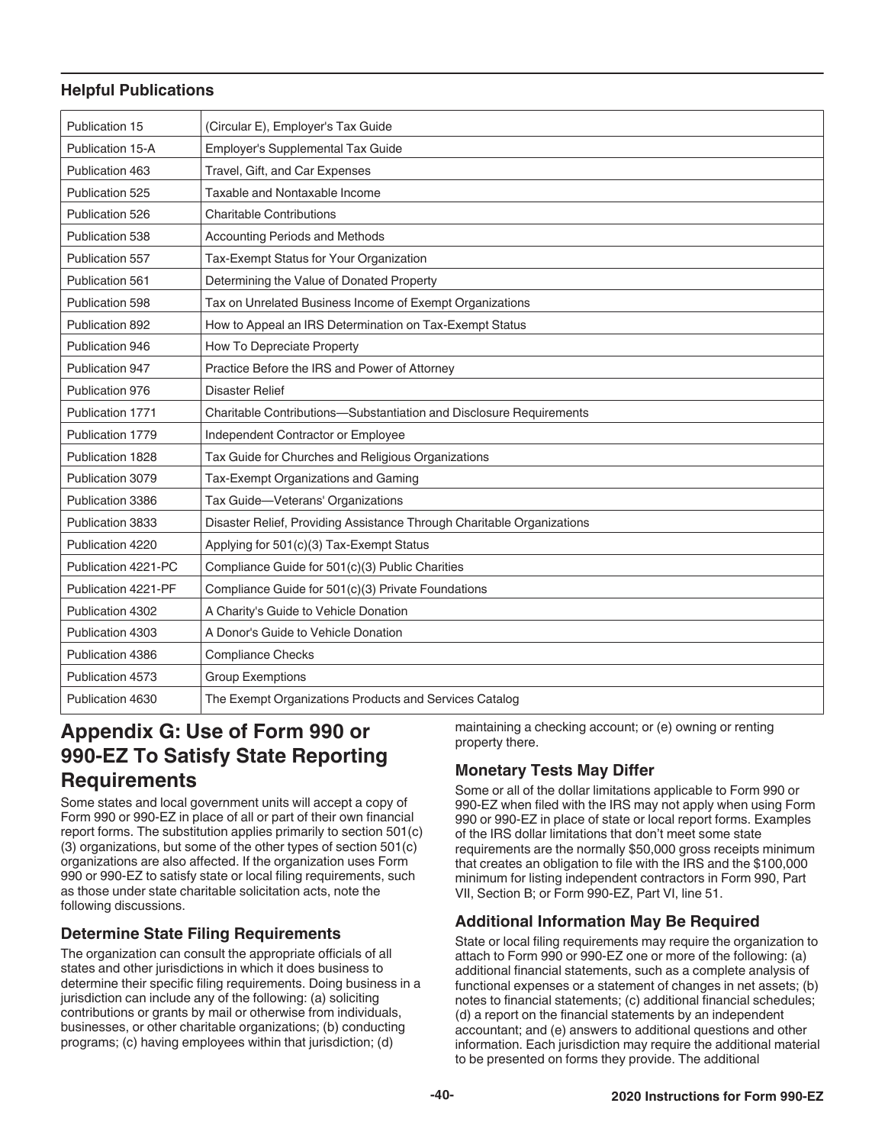### <span id="page-39-0"></span>**Helpful Publications**

| Publication 15      | (Circular E), Employer's Tax Guide                                     |
|---------------------|------------------------------------------------------------------------|
| Publication 15-A    | Employer's Supplemental Tax Guide                                      |
| Publication 463     | Travel, Gift, and Car Expenses                                         |
| Publication 525     | Taxable and Nontaxable Income                                          |
| Publication 526     | <b>Charitable Contributions</b>                                        |
| Publication 538     | Accounting Periods and Methods                                         |
| Publication 557     | Tax-Exempt Status for Your Organization                                |
| Publication 561     | Determining the Value of Donated Property                              |
| Publication 598     | Tax on Unrelated Business Income of Exempt Organizations               |
| Publication 892     | How to Appeal an IRS Determination on Tax-Exempt Status                |
| Publication 946     | How To Depreciate Property                                             |
| Publication 947     | Practice Before the IRS and Power of Attorney                          |
| Publication 976     | <b>Disaster Relief</b>                                                 |
| Publication 1771    | Charitable Contributions-Substantiation and Disclosure Requirements    |
| Publication 1779    | Independent Contractor or Employee                                     |
| Publication 1828    | Tax Guide for Churches and Religious Organizations                     |
| Publication 3079    | Tax-Exempt Organizations and Gaming                                    |
| Publication 3386    | Tax Guide-Veterans' Organizations                                      |
| Publication 3833    | Disaster Relief, Providing Assistance Through Charitable Organizations |
| Publication 4220    | Applying for 501(c)(3) Tax-Exempt Status                               |
| Publication 4221-PC | Compliance Guide for 501(c)(3) Public Charities                        |
| Publication 4221-PF | Compliance Guide for 501(c)(3) Private Foundations                     |
| Publication 4302    | A Charity's Guide to Vehicle Donation                                  |
| Publication 4303    | A Donor's Guide to Vehicle Donation                                    |
| Publication 4386    | <b>Compliance Checks</b>                                               |
| Publication 4573    | <b>Group Exemptions</b>                                                |
| Publication 4630    | The Exempt Organizations Products and Services Catalog                 |

# **Appendix G: Use of Form 990 or 990-EZ To Satisfy State Reporting Requirements**

Some states and local government units will accept a copy of Form 990 or 990-EZ in place of all or part of their own financial report forms. The substitution applies primarily to section 501(c) (3) organizations, but some of the other types of section 501(c) organizations are also affected. If the organization uses Form 990 or 990-EZ to satisfy state or local filing requirements, such as those under state charitable solicitation acts, note the following discussions.

# **Determine State Filing Requirements**

The organization can consult the appropriate officials of all states and other jurisdictions in which it does business to determine their specific filing requirements. Doing business in a jurisdiction can include any of the following: (a) soliciting contributions or grants by mail or otherwise from individuals, businesses, or other charitable organizations; (b) conducting programs; (c) having employees within that jurisdiction; (d)

maintaining a checking account; or (e) owning or renting property there.

# **Monetary Tests May Differ**

Some or all of the dollar limitations applicable to Form 990 or 990-EZ when filed with the IRS may not apply when using Form 990 or 990-EZ in place of state or local report forms. Examples of the IRS dollar limitations that don't meet some state requirements are the normally \$50,000 gross receipts minimum that creates an obligation to file with the IRS and the \$100,000 minimum for listing independent contractors in Form 990, Part VII, Section B; or Form 990-EZ, Part VI, line 51.

# **Additional Information May Be Required**

State or local filing requirements may require the organization to attach to Form 990 or 990-EZ one or more of the following: (a) additional financial statements, such as a complete analysis of functional expenses or a statement of changes in net assets; (b) notes to financial statements; (c) additional financial schedules; (d) a report on the financial statements by an independent accountant; and (e) answers to additional questions and other information. Each jurisdiction may require the additional material to be presented on forms they provide. The additional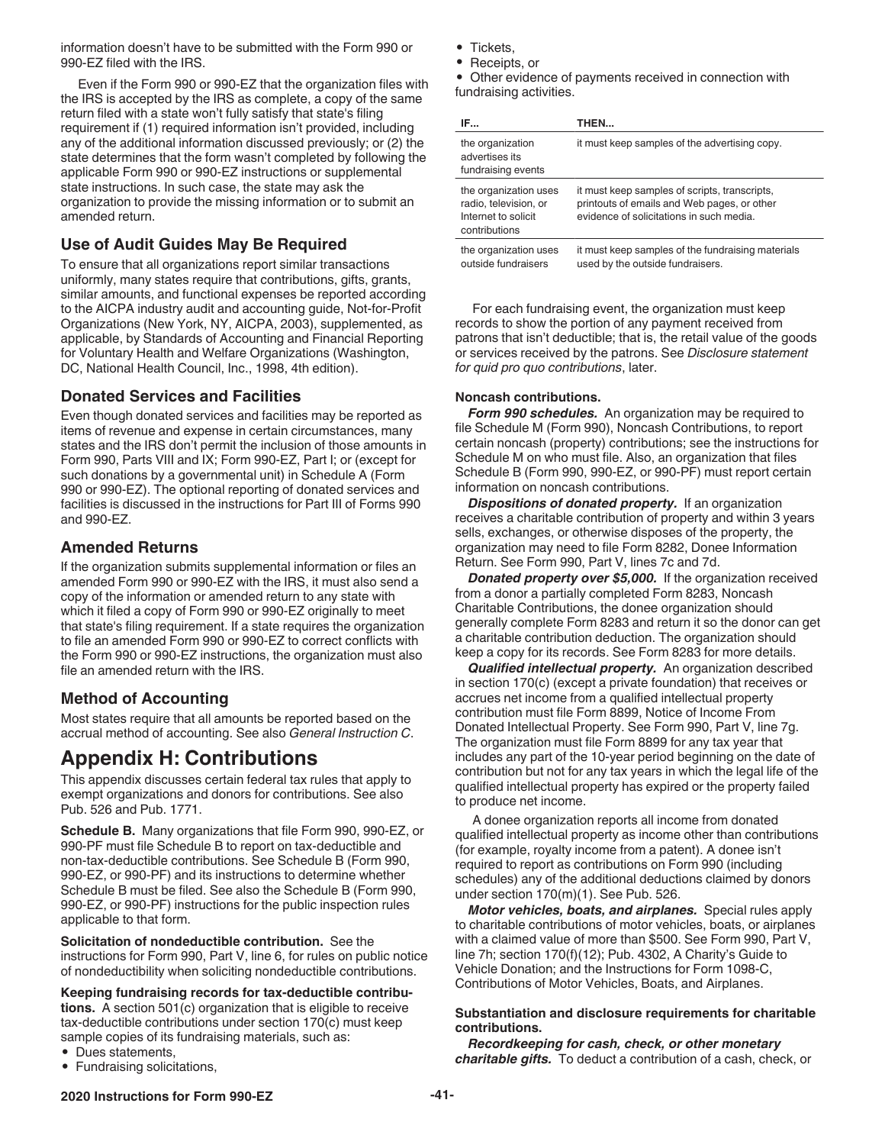<span id="page-40-0"></span>information doesn't have to be submitted with the Form 990 or 990-EZ filed with the IRS.

Even if the Form 990 or 990-EZ that the organization files with the IRS is accepted by the IRS as complete, a copy of the same return filed with a state won't fully satisfy that state's filing requirement if (1) required information isn't provided, including any of the additional information discussed previously; or (2) the state determines that the form wasn't completed by following the applicable Form 990 or 990-EZ instructions or supplemental state instructions. In such case, the state may ask the organization to provide the missing information or to submit an amended return.

#### **Use of Audit Guides May Be Required**

To ensure that all organizations report similar transactions uniformly, many states require that contributions, gifts, grants, similar amounts, and functional expenses be reported according to the AICPA industry audit and accounting guide, Not-for-Profit Organizations (New York, NY, AICPA, 2003), supplemented, as applicable, by Standards of Accounting and Financial Reporting for Voluntary Health and Welfare Organizations (Washington, DC, National Health Council, Inc., 1998, 4th edition).

#### **Donated Services and Facilities**

Even though donated services and facilities may be reported as items of revenue and expense in certain circumstances, many states and the IRS don't permit the inclusion of those amounts in Form 990, Parts VIII and IX; Form 990-EZ, Part I; or (except for such donations by a governmental unit) in Schedule A (Form 990 or 990-EZ). The optional reporting of donated services and facilities is discussed in the instructions for Part III of Forms 990 and 990-EZ.

#### **Amended Returns**

If the organization submits supplemental information or files an amended Form 990 or 990-EZ with the IRS, it must also send a copy of the information or amended return to any state with which it filed a copy of Form 990 or 990-EZ originally to meet that state's filing requirement. If a state requires the organization to file an amended Form 990 or 990-EZ to correct conflicts with the Form 990 or 990-EZ instructions, the organization must also file an amended return with the IRS.

### **Method of Accounting**

Most states require that all amounts be reported based on the accrual method of accounting. See also *General Instruction C*.

# **Appendix H: Contributions**

This appendix discusses certain federal tax rules that apply to exempt organizations and donors for contributions. See also Pub. 526 and Pub. 1771.

**Schedule B.** Many organizations that file Form 990, 990-EZ, or 990-PF must file Schedule B to report on tax-deductible and non-tax-deductible contributions. See Schedule B (Form 990, 990-EZ, or 990-PF) and its instructions to determine whether Schedule B must be filed. See also the Schedule B (Form 990, 990-EZ, or 990-PF) instructions for the public inspection rules applicable to that form.

**Solicitation of nondeductible contribution.** See the instructions for Form 990, Part V, line 6, for rules on public notice of nondeductibility when soliciting nondeductible contributions.

#### **Keeping fundraising records for tax-deductible contribu-**

**tions.** A section 501(c) organization that is eligible to receive tax-deductible contributions under section 170(c) must keep sample copies of its fundraising materials, such as:

• Dues statements, • Fundraising solicitations,

- Tickets,
- Receipts, or

• Other evidence of payments received in connection with fundraising activities.

| IF                                                                                     | THEN                                                                                                                                     |
|----------------------------------------------------------------------------------------|------------------------------------------------------------------------------------------------------------------------------------------|
| the organization<br>advertises its<br>fundraising events                               | it must keep samples of the advertising copy.                                                                                            |
| the organization uses<br>radio, television, or<br>Internet to solicit<br>contributions | it must keep samples of scripts, transcripts,<br>printouts of emails and Web pages, or other<br>evidence of solicitations in such media. |
| the organization uses<br>outside fundraisers                                           | it must keep samples of the fundraising materials<br>used by the outside fundraisers.                                                    |

For each fundraising event, the organization must keep records to show the portion of any payment received from patrons that isn't deductible; that is, the retail value of the goods or services received by the patrons. See *Disclosure statement for quid pro quo contributions*, later.

#### **Noncash contributions.**

*Form 990 schedules.* An organization may be required to file Schedule M (Form 990), Noncash Contributions, to report certain noncash (property) contributions; see the instructions for Schedule M on who must file. Also, an organization that files Schedule B (Form 990, 990-EZ, or 990-PF) must report certain information on noncash contributions.

*Dispositions of donated property.* If an organization receives a charitable contribution of property and within 3 years sells, exchanges, or otherwise disposes of the property, the organization may need to file Form 8282, Donee Information Return. See Form 990, Part V, lines 7c and 7d.

**Donated property over \$5,000.** If the organization received from a donor a partially completed Form 8283, Noncash Charitable Contributions, the donee organization should generally complete Form 8283 and return it so the donor can get a charitable contribution deduction. The organization should keep a copy for its records. See Form 8283 for more details.

*Qualified intellectual property.* An organization described in section 170(c) (except a private foundation) that receives or accrues net income from a qualified intellectual property contribution must file Form 8899, Notice of Income From Donated Intellectual Property. See Form 990, Part V, line 7g. The organization must file Form 8899 for any tax year that includes any part of the 10-year period beginning on the date of contribution but not for any tax years in which the legal life of the qualified intellectual property has expired or the property failed to produce net income.

A donee organization reports all income from donated qualified intellectual property as income other than contributions (for example, royalty income from a patent). A donee isn't required to report as contributions on Form 990 (including schedules) any of the additional deductions claimed by donors under section 170(m)(1). See Pub. 526.

*Motor vehicles, boats, and airplanes.* Special rules apply to charitable contributions of motor vehicles, boats, or airplanes with a claimed value of more than \$500. See Form 990, Part V, line 7h; section 170(f)(12); Pub. 4302, A Charity's Guide to Vehicle Donation; and the Instructions for Form 1098-C, Contributions of Motor Vehicles, Boats, and Airplanes.

#### **Substantiation and disclosure requirements for charitable contributions.**

*Recordkeeping for cash, check, or other monetary charitable gifts.* To deduct a contribution of a cash, check, or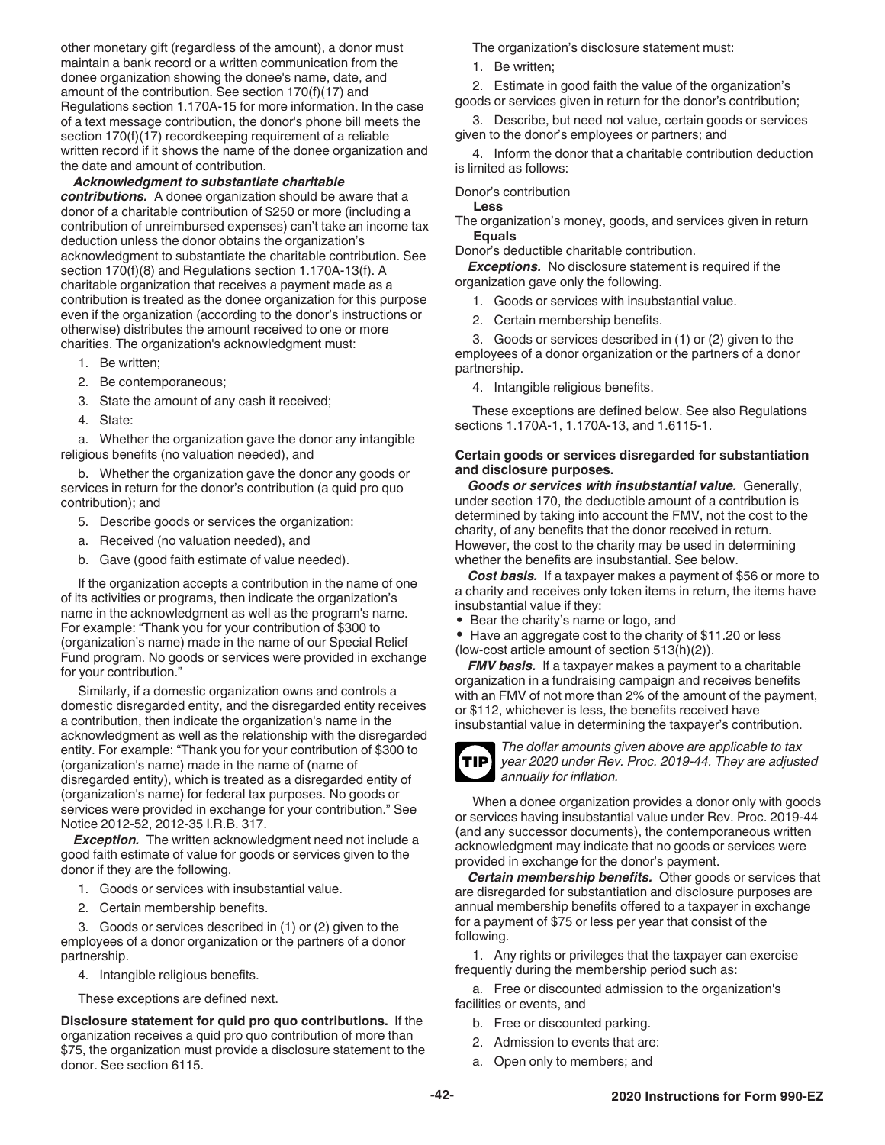<span id="page-41-0"></span>other monetary gift (regardless of the amount), a donor must maintain a bank record or a written communication from the donee organization showing the donee's name, date, and amount of the contribution. See section 170(f)(17) and Regulations section 1.170A-15 for more information. In the case of a text message contribution, the donor's phone bill meets the section 170(f)(17) recordkeeping requirement of a reliable written record if it shows the name of the donee organization and the date and amount of contribution.

#### *Acknowledgment to substantiate charitable*

*contributions.* A donee organization should be aware that a donor of a charitable contribution of \$250 or more (including a contribution of unreimbursed expenses) can't take an income tax deduction unless the donor obtains the organization's acknowledgment to substantiate the charitable contribution. See section 170(f)(8) and Regulations section 1.170A-13(f). A charitable organization that receives a payment made as a contribution is treated as the donee organization for this purpose even if the organization (according to the donor's instructions or otherwise) distributes the amount received to one or more charities. The organization's acknowledgment must:

- 1. Be written;
- 2. Be contemporaneous;
- 3. State the amount of any cash it received;
- 4. State:

a. Whether the organization gave the donor any intangible religious benefits (no valuation needed), and

b. Whether the organization gave the donor any goods or services in return for the donor's contribution (a quid pro quo contribution); and

- 5. Describe goods or services the organization:
- a. Received (no valuation needed), and
- b. Gave (good faith estimate of value needed).

If the organization accepts a contribution in the name of one of its activities or programs, then indicate the organization's name in the acknowledgment as well as the program's name. For example: "Thank you for your contribution of \$300 to (organization's name) made in the name of our Special Relief Fund program. No goods or services were provided in exchange for your contribution."

Similarly, if a domestic organization owns and controls a domestic disregarded entity, and the disregarded entity receives a contribution, then indicate the organization's name in the acknowledgment as well as the relationship with the disregarded entity. For example: "Thank you for your contribution of \$300 to (organization's name) made in the name of (name of disregarded entity), which is treated as a disregarded entity of (organization's name) for federal tax purposes. No goods or services were provided in exchange for your contribution." See Notice 2012-52, 2012-35 I.R.B. 317.

*Exception.* The written acknowledgment need not include a good faith estimate of value for goods or services given to the donor if they are the following.

- 1. Goods or services with insubstantial value.
- 2. Certain membership benefits.

3. Goods or services described in (1) or (2) given to the employees of a donor organization or the partners of a donor partnership.

- 4. Intangible religious benefits.
- These exceptions are defined next.

**Disclosure statement for quid pro quo contributions.** If the organization receives a quid pro quo contribution of more than \$75, the organization must provide a disclosure statement to the donor. See section 6115.

The organization's disclosure statement must:

1. Be written;

2. Estimate in good faith the value of the organization's goods or services given in return for the donor's contribution;

3. Describe, but need not value, certain goods or services given to the donor's employees or partners; and

4. Inform the donor that a charitable contribution deduction is limited as follows:

#### Donor's contribution

**Less**

The organization's money, goods, and services given in return **Equals**

Donor's deductible charitable contribution.

*Exceptions.* No disclosure statement is required if the organization gave only the following.

- 1. Goods or services with insubstantial value.
- 2. Certain membership benefits.

3. Goods or services described in (1) or (2) given to the employees of a donor organization or the partners of a donor partnership.

4. Intangible religious benefits.

These exceptions are defined below. See also Regulations sections 1.170A-1, 1.170A-13, and 1.6115-1.

#### **Certain goods or services disregarded for substantiation and disclosure purposes.**

*Goods or services with insubstantial value.* Generally, under section 170, the deductible amount of a contribution is determined by taking into account the FMV, not the cost to the charity, of any benefits that the donor received in return. However, the cost to the charity may be used in determining whether the benefits are insubstantial. See below.

*Cost basis.* If a taxpayer makes a payment of \$56 or more to a charity and receives only token items in return, the items have insubstantial value if they:

• Bear the charity's name or logo, and

• Have an aggregate cost to the charity of \$11.20 or less (low-cost article amount of section 513(h)(2)).

*FMV basis.* If a taxpayer makes a payment to a charitable organization in a fundraising campaign and receives benefits with an FMV of not more than 2% of the amount of the payment, or \$112, whichever is less, the benefits received have insubstantial value in determining the taxpayer's contribution.



*The dollar amounts given above are applicable to tax year 2020 under Rev. Proc. 2019-44. They are adjusted annually for inflation.*

When a donee organization provides a donor only with goods or services having insubstantial value under Rev. Proc. 2019-44 (and any successor documents), the contemporaneous written acknowledgment may indicate that no goods or services were provided in exchange for the donor's payment.

*Certain membership benefits.* Other goods or services that are disregarded for substantiation and disclosure purposes are annual membership benefits offered to a taxpayer in exchange for a payment of \$75 or less per year that consist of the following.

1. Any rights or privileges that the taxpayer can exercise frequently during the membership period such as:

a. Free or discounted admission to the organization's facilities or events, and

- b. Free or discounted parking.
- 2. Admission to events that are:
- a. Open only to members; and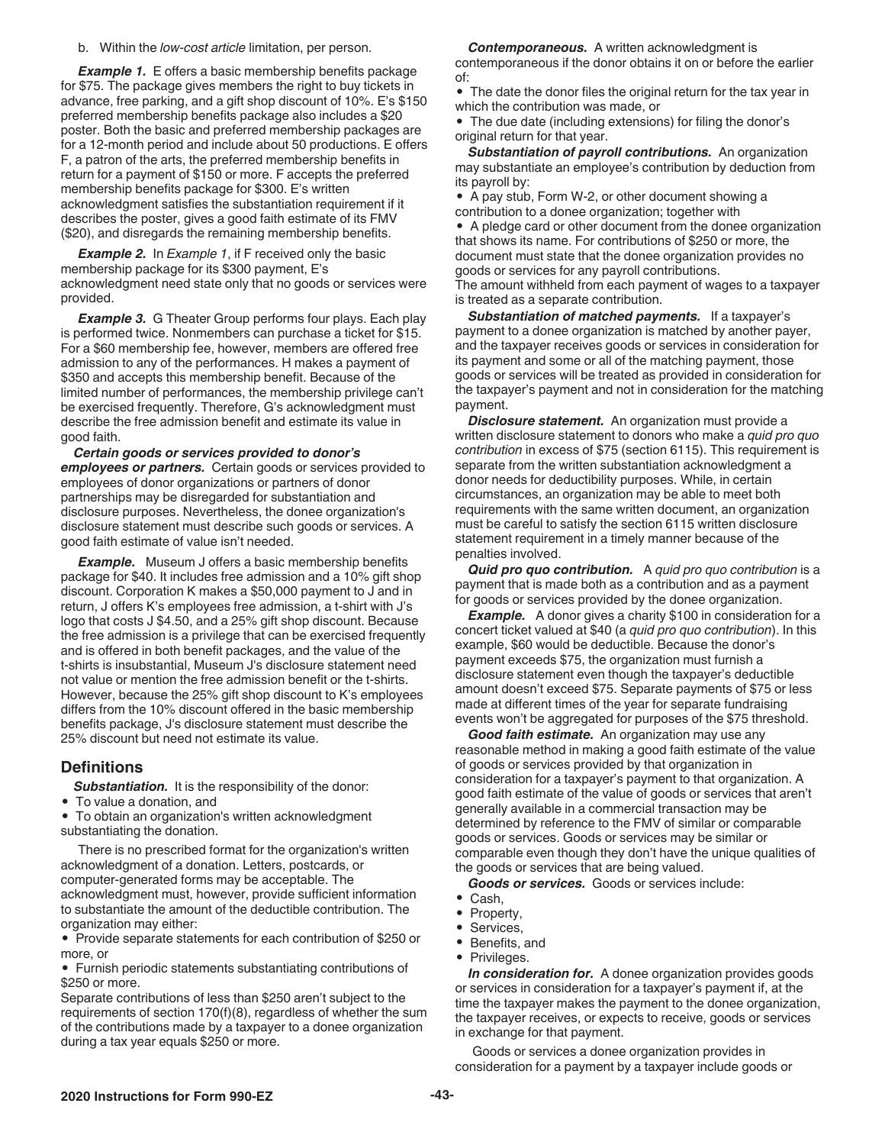b. Within the *low-cost article* limitation, per person.

**Example 1.** E offers a basic membership benefits package for \$75. The package gives members the right to buy tickets in advance, free parking, and a gift shop discount of 10%. E's \$150 preferred membership benefits package also includes a \$20 poster. Both the basic and preferred membership packages are for a 12-month period and include about 50 productions. E offers F, a patron of the arts, the preferred membership benefits in return for a payment of \$150 or more. F accepts the preferred membership benefits package for \$300. E's written acknowledgment satisfies the substantiation requirement if it describes the poster, gives a good faith estimate of its FMV (\$20), and disregards the remaining membership benefits.

**Example 2.** In *Example 1*, if F received only the basic membership package for its \$300 payment, E's acknowledgment need state only that no goods or services were provided.

**Example 3.** G Theater Group performs four plays. Each play is performed twice. Nonmembers can purchase a ticket for \$15. For a \$60 membership fee, however, members are offered free admission to any of the performances. H makes a payment of \$350 and accepts this membership benefit. Because of the limited number of performances, the membership privilege can't be exercised frequently. Therefore, G's acknowledgment must describe the free admission benefit and estimate its value in good faith.

*Certain goods or services provided to donor's employees or partners.* Certain goods or services provided to employees of donor organizations or partners of donor partnerships may be disregarded for substantiation and disclosure purposes. Nevertheless, the donee organization's disclosure statement must describe such goods or services. A good faith estimate of value isn't needed.

*Example.* Museum J offers a basic membership benefits package for \$40. It includes free admission and a 10% gift shop discount. Corporation K makes a \$50,000 payment to J and in return, J offers K's employees free admission, a t-shirt with J's logo that costs J \$4.50, and a 25% gift shop discount. Because the free admission is a privilege that can be exercised frequently and is offered in both benefit packages, and the value of the t-shirts is insubstantial, Museum J's disclosure statement need not value or mention the free admission benefit or the t-shirts. However, because the 25% gift shop discount to K's employees differs from the 10% discount offered in the basic membership benefits package, J's disclosure statement must describe the 25% discount but need not estimate its value.

#### **Definitions**

**Substantiation.** It is the responsibility of the donor:

#### • To value a donation, and

• To obtain an organization's written acknowledgment substantiating the donation.

There is no prescribed format for the organization's written acknowledgment of a donation. Letters, postcards, or computer-generated forms may be acceptable. The acknowledgment must, however, provide sufficient information to substantiate the amount of the deductible contribution. The organization may either:

• Provide separate statements for each contribution of \$250 or more, or

• Furnish periodic statements substantiating contributions of \$250 or more.

Separate contributions of less than \$250 aren't subject to the requirements of section 170(f)(8), regardless of whether the sum of the contributions made by a taxpayer to a donee organization during a tax year equals \$250 or more.

*Contemporaneous.* A written acknowledgment is contemporaneous if the donor obtains it on or before the earlier of:

• The date the donor files the original return for the tax year in which the contribution was made, or

• The due date (including extensions) for filing the donor's original return for that year.

*Substantiation of payroll contributions.* An organization may substantiate an employee's contribution by deduction from its payroll by:

• A pay stub, Form W-2, or other document showing a contribution to a donee organization; together with • A pledge card or other document from the donee organization

that shows its name. For contributions of \$250 or more, the document must state that the donee organization provides no goods or services for any payroll contributions.

The amount withheld from each payment of wages to a taxpayer is treated as a separate contribution.

*Substantiation of matched payments.* If a taxpayer's payment to a donee organization is matched by another payer, and the taxpayer receives goods or services in consideration for its payment and some or all of the matching payment, those goods or services will be treated as provided in consideration for the taxpayer's payment and not in consideration for the matching payment.

*Disclosure statement.* An organization must provide a written disclosure statement to donors who make a *quid pro quo contribution* in excess of \$75 (section 6115). This requirement is separate from the written substantiation acknowledgment a donor needs for deductibility purposes. While, in certain circumstances, an organization may be able to meet both requirements with the same written document, an organization must be careful to satisfy the section 6115 written disclosure statement requirement in a timely manner because of the penalties involved.

*Quid pro quo contribution.* A *quid pro quo contribution* is a payment that is made both as a contribution and as a payment for goods or services provided by the donee organization.

**Example.** A donor gives a charity \$100 in consideration for a concert ticket valued at \$40 (a *quid pro quo contribution*). In this example, \$60 would be deductible. Because the donor's payment exceeds \$75, the organization must furnish a disclosure statement even though the taxpayer's deductible amount doesn't exceed \$75. Separate payments of \$75 or less made at different times of the year for separate fundraising events won't be aggregated for purposes of the \$75 threshold.

*Good faith estimate.* An organization may use any reasonable method in making a good faith estimate of the value of goods or services provided by that organization in consideration for a taxpayer's payment to that organization. A good faith estimate of the value of goods or services that aren't generally available in a commercial transaction may be determined by reference to the FMV of similar or comparable goods or services. Goods or services may be similar or comparable even though they don't have the unique qualities of the goods or services that are being valued.

*Goods or services.* Goods or services include:

- Cash,
- Property,
- Services,
- Benefits, and
- Privileges.

*In consideration for.* A donee organization provides goods or services in consideration for a taxpayer's payment if, at the time the taxpayer makes the payment to the donee organization, the taxpayer receives, or expects to receive, goods or services in exchange for that payment.

Goods or services a donee organization provides in consideration for a payment by a taxpayer include goods or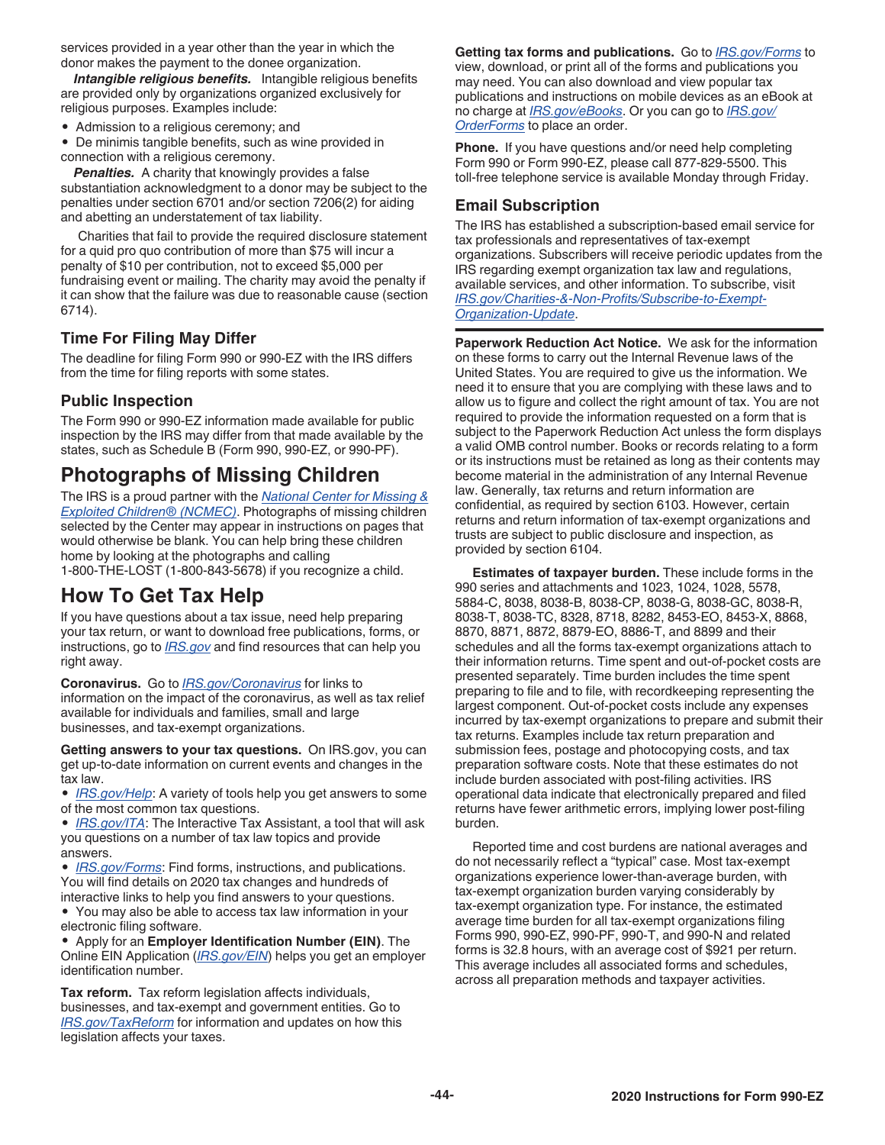<span id="page-43-0"></span>services provided in a year other than the year in which the donor makes the payment to the donee organization.

*Intangible religious benefits.* Intangible religious benefits are provided only by organizations organized exclusively for religious purposes. Examples include:

• Admission to a religious ceremony; and

• De minimis tangible benefits, such as wine provided in connection with a religious ceremony.

*Penalties.* A charity that knowingly provides a false substantiation acknowledgment to a donor may be subject to the penalties under section 6701 and/or section 7206(2) for aiding and abetting an understatement of tax liability.

Charities that fail to provide the required disclosure statement for a quid pro quo contribution of more than \$75 will incur a penalty of \$10 per contribution, not to exceed \$5,000 per fundraising event or mailing. The charity may avoid the penalty if it can show that the failure was due to reasonable cause (section 6714).

#### **Time For Filing May Differ**

The deadline for filing Form 990 or 990-EZ with the IRS differs from the time for filing reports with some states.

#### **Public Inspection**

The Form 990 or 990-EZ information made available for public inspection by the IRS may differ from that made available by the states, such as Schedule B (Form 990, 990-EZ, or 990-PF).

# **Photographs of Missing Children**

The IRS is a proud partner with the *[National Center for Missing &](http://www.missingkids.com/home) [Exploited Children® \(NCMEC\)](http://www.missingkids.com/home)*. Photographs of missing children selected by the Center may appear in instructions on pages that would otherwise be blank. You can help bring these children home by looking at the photographs and calling 1-800-THE-LOST (1-800-843-5678) if you recognize a child.

# **How To Get Tax Help**

If you have questions about a tax issue, need help preparing your tax return, or want to download free publications, forms, or instructions, go to *[IRS.gov](https://www.irs.gov)* and find resources that can help you right away.

**Coronavirus.** Go to *[IRS.gov/Coronavirus](https://www.irs.gov/coronavirus)* for links to information on the impact of the coronavirus, as well as tax relief available for individuals and families, small and large businesses, and tax-exempt organizations.

**Getting answers to your tax questions.** On IRS.gov, you can get up-to-date information on current events and changes in the tax law.

• *[IRS.gov/Help](https://www.irs.gov/Help)*: A variety of tools help you get answers to some of the most common tax questions.

• *[IRS.gov/ITA](https://www.irs.gov/ita)*: The Interactive Tax Assistant, a tool that will ask you questions on a number of tax law topics and provide answers.

• *[IRS.gov/Forms](https://www.irs.gov/forms)*: Find forms, instructions, and publications. You will find details on 2020 tax changes and hundreds of interactive links to help you find answers to your questions.

• You may also be able to access tax law information in your electronic filing software.

• Apply for an **Employer Identification Number (EIN)**. The Online EIN Application (*[IRS.gov/EIN](https://www.irs.gov/businesses/small-businesses-self-employed/apply-for-an-employer-identification-number-ein-online)*) helps you get an employer identification number.

**Tax reform.** Tax reform legislation affects individuals, businesses, and tax-exempt and government entities. Go to *[IRS.gov/TaxReform](https://www.irs.gov/taxreform)* for information and updates on how this legislation affects your taxes.

**Getting tax forms and publications.** Go to *[IRS.gov/Forms](https://www.irs.gov/forms)* to view, download, or print all of the forms and publications you may need. You can also download and view popular tax publications and instructions on mobile devices as an eBook at no charge at *[IRS.gov/eBooks](https://www.irs.gov/forms-pubs/ebook)*. Or you can go to *[IRS.gov/](https://www.irs.gov/orderforms) [OrderForms](https://www.irs.gov/orderforms)* to place an order.

**Phone.** If you have questions and/or need help completing Form 990 or Form 990-EZ, please call 877-829-5500. This toll-free telephone service is available Monday through Friday.

### **Email Subscription**

The IRS has established a subscription-based email service for tax professionals and representatives of tax-exempt organizations. Subscribers will receive periodic updates from the IRS regarding exempt organization tax law and regulations, available services, and other information. To subscribe, visit *[IRS.gov/Charities-&-Non-Profits/Subscribe-to-Exempt-](https://www.irs.gov/charities-non-profits/subscribe-to-exempt-organization-update)[Organization-Update](https://www.irs.gov/charities-non-profits/subscribe-to-exempt-organization-update)*.

**Paperwork Reduction Act Notice.** We ask for the information on these forms to carry out the Internal Revenue laws of the United States. You are required to give us the information. We need it to ensure that you are complying with these laws and to allow us to figure and collect the right amount of tax. You are not required to provide the information requested on a form that is subject to the Paperwork Reduction Act unless the form displays a valid OMB control number. Books or records relating to a form or its instructions must be retained as long as their contents may become material in the administration of any Internal Revenue law. Generally, tax returns and return information are confidential, as required by section 6103. However, certain returns and return information of tax-exempt organizations and trusts are subject to public disclosure and inspection, as provided by section 6104.

**Estimates of taxpayer burden.** These include forms in the 990 series and attachments and 1023, 1024, 1028, 5578, 5884-C, 8038, 8038-B, 8038-CP, 8038-G, 8038-GC, 8038-R, 8038-T, 8038-TC, 8328, 8718, 8282, 8453-EO, 8453-X, 8868, 8870, 8871, 8872, 8879-EO, 8886-T, and 8899 and their schedules and all the forms tax-exempt organizations attach to their information returns. Time spent and out-of-pocket costs are presented separately. Time burden includes the time spent preparing to file and to file, with recordkeeping representing the largest component. Out-of-pocket costs include any expenses incurred by tax-exempt organizations to prepare and submit their tax returns. Examples include tax return preparation and submission fees, postage and photocopying costs, and tax preparation software costs. Note that these estimates do not include burden associated with post-filing activities. IRS operational data indicate that electronically prepared and filed returns have fewer arithmetic errors, implying lower post-filing burden.

Reported time and cost burdens are national averages and do not necessarily reflect a "typical" case. Most tax-exempt organizations experience lower-than-average burden, with tax-exempt organization burden varying considerably by tax-exempt organization type. For instance, the estimated average time burden for all tax-exempt organizations filing Forms 990, 990-EZ, 990-PF, 990-T, and 990-N and related forms is 32.8 hours, with an average cost of \$921 per return. This average includes all associated forms and schedules, across all preparation methods and taxpayer activities.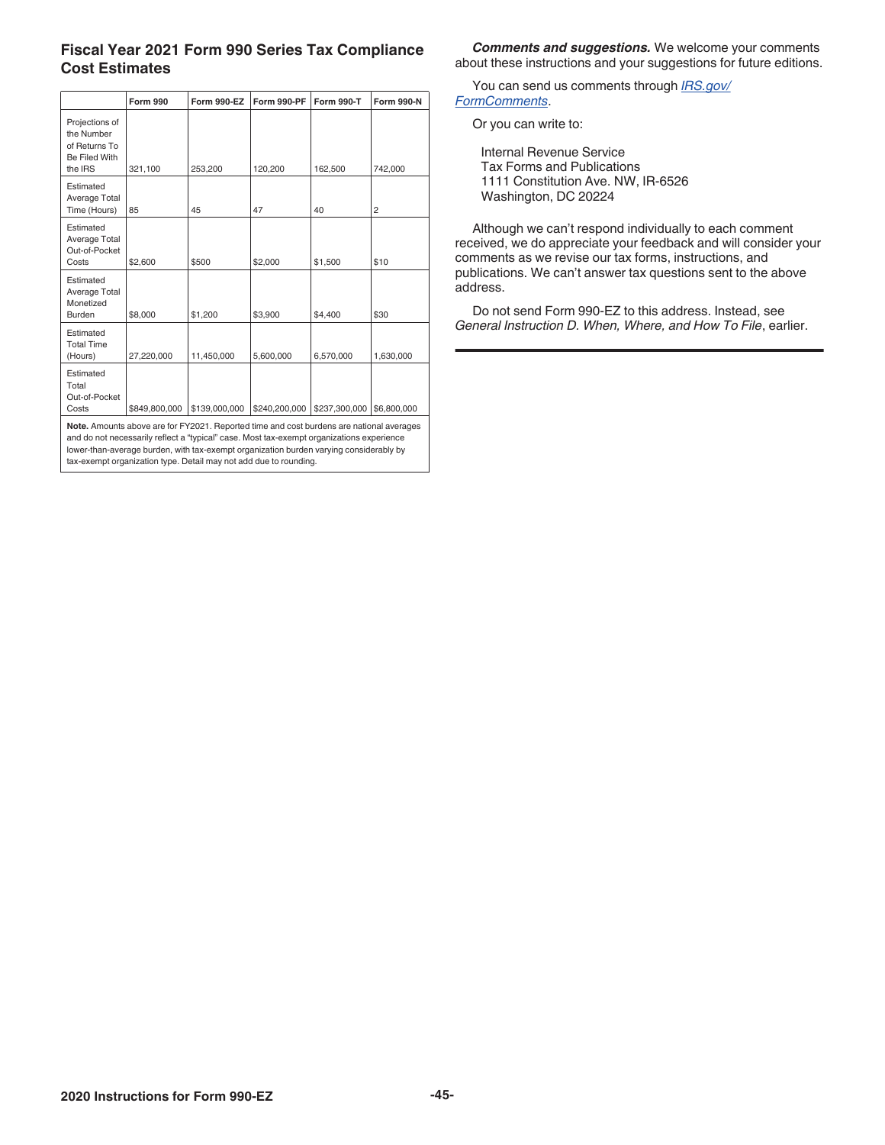#### **Fiscal Year 2021 Form 990 Series Tax Compliance Cost Estimates**

|                                                                           | <b>Form 990</b> | Form 990-EZ   | Form 990-PF   | <b>Form 990-T</b> | <b>Form 990-N</b> |
|---------------------------------------------------------------------------|-----------------|---------------|---------------|-------------------|-------------------|
| Projections of<br>the Number<br>of Returns To<br>Be Filed With<br>the IRS | 321,100         | 253.200       | 120,200       | 162,500           | 742,000           |
| Estimated<br>Average Total<br>Time (Hours)                                | 85              | 45            | 47            | 40                | $\overline{c}$    |
| Estimated<br>Average Total<br>Out-of-Pocket<br>Costs                      | \$2,600         | \$500         | \$2,000       | \$1,500           | \$10              |
| Estimated<br>Average Total<br>Monetized<br><b>Burden</b>                  | \$8,000         | \$1,200       | \$3.900       | \$4,400           | \$30              |
| Estimated<br><b>Total Time</b><br>(Hours)                                 | 27,220,000      | 11,450,000    | 5.600.000     | 6,570,000         | 1,630,000         |
| Estimated<br>Total<br>Out-of-Pocket<br>Costs                              | \$849,800,000   | \$139,000,000 | \$240,200,000 | \$237,300,000     | \$6,800,000       |

**Note.** Amounts above are for FY2021. Reported time and cost burdens are national averages and do not necessarily reflect a "typical" case. Most tax-exempt organizations experience lower-than-average burden, with tax-exempt organization burden varying considerably by tax-exempt organization type. Detail may not add due to rounding.

*Comments and suggestions.* We welcome your comments about these instructions and your suggestions for future editions.

You can send us comments through *[IRS.gov/](https://www.irs.gov/uac/comment-on-tax-forms-and-publications) [FormComments](https://www.irs.gov/uac/comment-on-tax-forms-and-publications)*.

Or you can write to:

Internal Revenue Service Tax Forms and Publications 1111 Constitution Ave. NW, IR-6526 Washington, DC 20224

Although we can't respond individually to each comment received, we do appreciate your feedback and will consider your comments as we revise our tax forms, instructions, and publications. We can't answer tax questions sent to the above address.

Do not send Form 990-EZ to this address. Instead, see *General Instruction D. When, Where, and How To File*, earlier.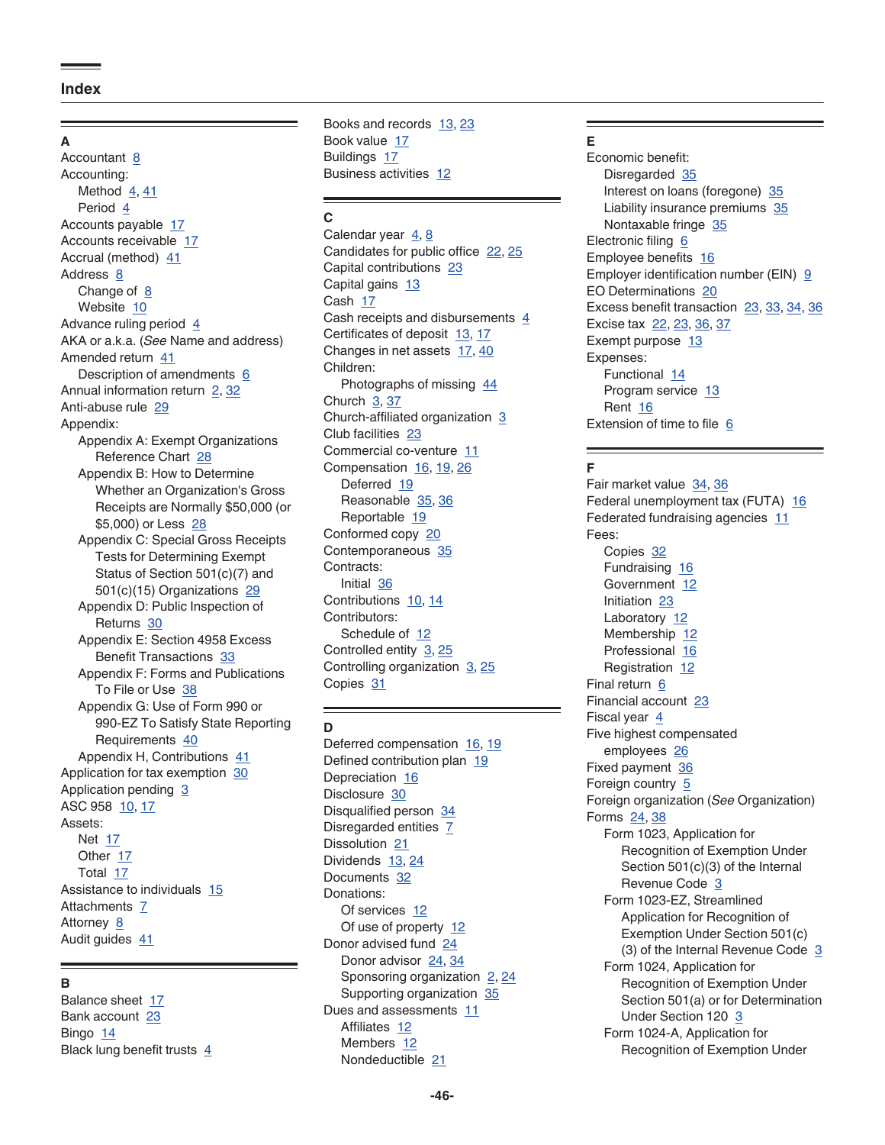#### <span id="page-45-0"></span>**A**

Accountant [8](#page-7-0) Accounting: Method  $4, 41$  $4, 41$  $4, 41$ Period [4](#page-3-0) Accounts payable [17](#page-16-0) Accounts receivable [17](#page-16-0) Accrual (method) [41](#page-40-0) Address [8](#page-7-0) Change of  $8$ Website [10](#page-9-0) Advance ruling period [4](#page-3-0) AKA or a.k.a. (*See* Name and address) Amended return [41](#page-40-0) Description of amendments [6](#page-5-0) Annual information return [2,](#page-1-0) [32](#page-31-0) Anti-abuse rule [29](#page-28-0) Appendix: Appendix A: Exempt Organizations Reference Chart [28](#page-27-0) Appendix B: How to Determine Whether an Organization's Gross Receipts are Normally \$50,000 (or \$5,000) or Less [28](#page-27-0) Appendix C: Special Gross Receipts Tests for Determining Exempt Status of Section 501(c)(7) and 501(c)(15) Organizations [29](#page-28-0) Appendix D: Public Inspection of Returns [30](#page-29-0) Appendix E: Section 4958 Excess Benefit Transactions [33](#page-32-0) Appendix F: Forms and Publications To File or Use [38](#page-37-0) Appendix G: Use of Form 990 or 990-EZ To Satisfy State Reporting Requirements [40](#page-39-0) Appendix H, Contributions [41](#page-40-0) Application for tax exemption [30](#page-29-0) Application pending [3](#page-2-0) ASC 958 [10,](#page-9-0) [17](#page-16-0) Assets: Net [17](#page-16-0) Other [17](#page-16-0) Total [17](#page-16-0) Assistance to individuals [15](#page-14-0) Attachments [7](#page-6-0) Attorney [8](#page-7-0) Audit guides [41](#page-40-0)

#### **B**

Balance sheet [17](#page-16-0) Bank account [23](#page-22-0) Bingo [14](#page-13-0) Black lung benefit trusts  $4$  Books and records [13,](#page-12-0) [23](#page-22-0) Book value [17](#page-16-0) Buildings [17](#page-16-0) Business activities [12](#page-11-0)

#### **C**

Calendar year  $4, 8$  $4, 8$  $4, 8$ Candidates for public office [22,](#page-21-0) [25](#page-24-0) Capital contributions [23](#page-22-0) Capital gains [13](#page-12-0) Cash [17](#page-16-0) Cash receipts and disbursements  $4$ Certificates of deposit [13](#page-12-0), [17](#page-16-0) Changes in net assets [17,](#page-16-0) [40](#page-39-0) Children: Photographs of missing [44](#page-43-0) Church [3,](#page-2-0) [37](#page-36-0) Church-affiliated organization [3](#page-2-0) Club facilities [23](#page-22-0) Commercial co-venture [11](#page-10-0) Compensation [16,](#page-15-0) [19,](#page-18-0) [26](#page-25-0) Deferred [19](#page-18-0) Reasonable [35,](#page-34-0) [36](#page-35-0) Reportable [19](#page-18-0) Conformed copy [20](#page-19-0) Contemporaneous [35](#page-34-0) Contracts: Initial [36](#page-35-0) Contributions [10,](#page-9-0) [14](#page-13-0) Contributors: Schedule of [12](#page-11-0) Controlled entity [3,](#page-2-0) [25](#page-24-0) Controlling organization  $3, 25$  $3, 25$  $3, 25$ Copies [31](#page-30-0)

#### **D**

Deferred compensation [16](#page-15-0), [19](#page-18-0) Defined contribution plan [19](#page-18-0) Depreciation [16](#page-15-0) Disclosure [30](#page-29-0) Disqualified person [34](#page-33-0) Disregarded entities [7](#page-6-0) Dissolution [21](#page-20-0) Dividends [13,](#page-12-0) [24](#page-23-0) Documents [32](#page-31-0) Donations: Of services [12](#page-11-0) Of use of property [12](#page-11-0) Donor advised fund [24](#page-23-0) Donor advisor [24,](#page-23-0) [34](#page-33-0) Sponsoring organization [2](#page-1-0), [24](#page-23-0) Supporting organization [35](#page-34-0) Dues and assessments [11](#page-10-0) Affiliates [12](#page-11-0) Members [12](#page-11-0) Nondeductible [21](#page-20-0)

#### **E**

Economic benefit: Disregarded [35](#page-34-0) Interest on loans (foregone) [35](#page-34-0) Liability insurance premiums [35](#page-34-0) Nontaxable fringe [35](#page-34-0) Electronic filing [6](#page-5-0) Employee benefits [16](#page-15-0) Employer identification number (EIN) [9](#page-8-0) EO Determinations [20](#page-19-0) Excess benefit transaction [23](#page-22-0), [33,](#page-32-0) [34,](#page-33-0) [36](#page-35-0) Excise tax [22,](#page-21-0) [23](#page-22-0), [36,](#page-35-0) [37](#page-36-0) Exempt purpose [13](#page-12-0) Expenses: Functional [14](#page-13-0) Program service [13](#page-12-0) Rent [16](#page-15-0) Extension of time to file [6](#page-5-0)

#### **F**

Fair market value [34](#page-33-0), [36](#page-35-0) Federal unemployment tax (FUTA) [16](#page-15-0) Federated fundraising agencies [11](#page-10-0) Fees: Copies [32](#page-31-0) Fundraising [16](#page-15-0) Government [12](#page-11-0) Initiation [23](#page-22-0) Laboratory [12](#page-11-0) Membership [12](#page-11-0) Professional [16](#page-15-0) Registration [12](#page-11-0) Final return [6](#page-5-0) Financial account [23](#page-22-0) Fiscal year [4](#page-3-0) Five highest compensated employees [26](#page-25-0) Fixed payment [36](#page-35-0) Foreign country [5](#page-4-0) Foreign organization (*See* Organization) Forms [24](#page-23-0), [38](#page-37-0) Form 1023, Application for Recognition of Exemption Under Section 501(c)(3) of the Internal Revenue Code [3](#page-2-0) Form 1023-EZ, Streamlined Application for Recognition of Exemption Under Section 501(c) ([3](#page-2-0)) of the Internal Revenue Code 3 Form 1024, Application for Recognition of Exemption Under Section 501(a) or for Determination Under Section 120 [3](#page-2-0) Form 1024-A, Application for Recognition of Exemption Under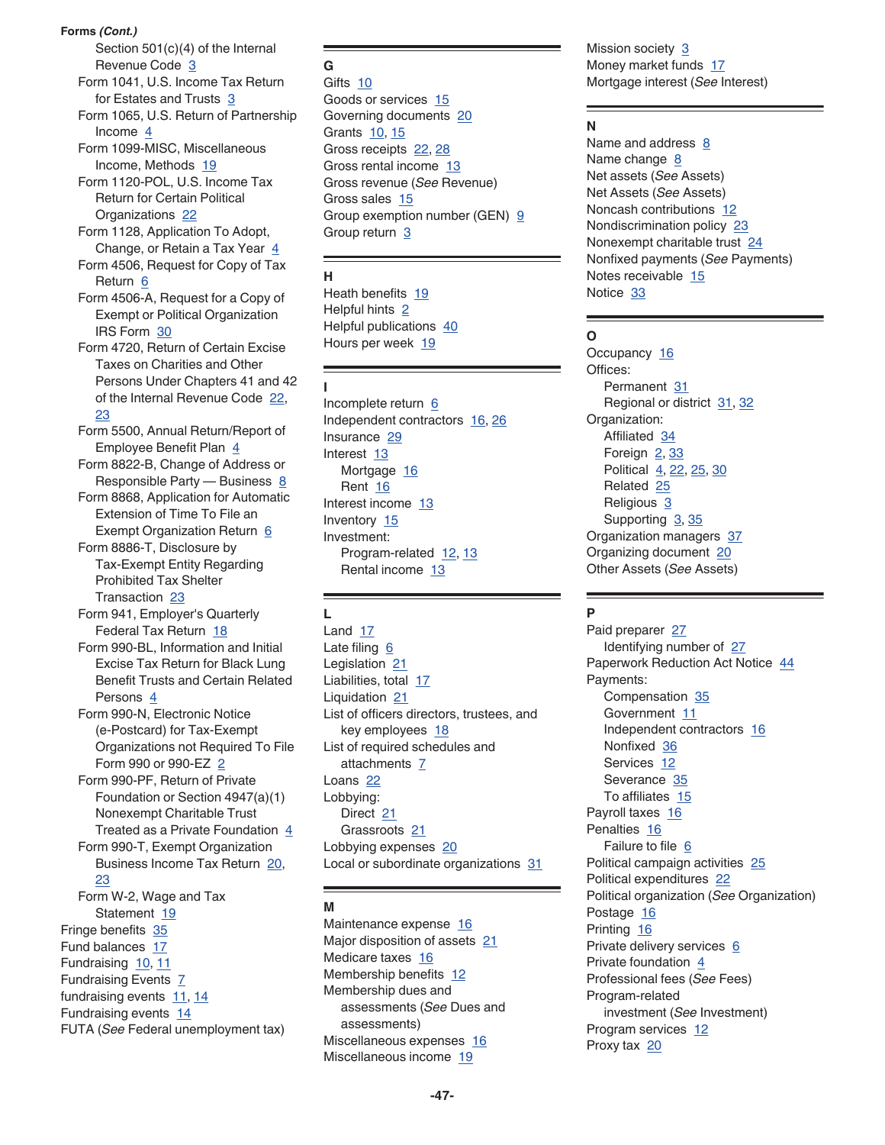**Forms** *(Cont.)*

Section 501(c)(4) of the Internal Revenue Code [3](#page-2-0)

Form 1041, U.S. Income Tax Return for Estates and Trusts [3](#page-2-0)

Form 1065, U.S. Return of Partnership Income [4](#page-3-0)

Form 1099-MISC, Miscellaneous Income, Methods [19](#page-18-0)

Form 1120-POL, U.S. Income Tax Return for Certain Political Organizations [22](#page-21-0)

Form 1128, Application To Adopt, Change, or Retain a Tax Year [4](#page-3-0)

Form 4506, Request for Copy of Tax Return [6](#page-5-0)

Form 4506-A, Request for a Copy of Exempt or Political Organization IRS Form [30](#page-29-0)

Form 4720, Return of Certain Excise Taxes on Charities and Other Persons Under Chapters 41 and 42 of the Internal Revenue Code [22,](#page-21-0) [23](#page-22-0)

- Form 5500, Annual Return/Report of Employee Benefit Plan [4](#page-3-0)
- Form 8822-B, Change of Address or Responsible Party — Business  $8$

Form 8868, Application for Automatic Extension of Time To File an

Exempt Organization Return [6](#page-5-0) Form 8886-T, Disclosure by Tax-Exempt Entity Regarding Prohibited Tax Shelter

Transaction [23](#page-22-0)

Form 941, Employer's Quarterly Federal Tax Return [18](#page-17-0)

Form 990-BL, Information and Initial Excise Tax Return for Black Lung Benefit Trusts and Certain Related Persons [4](#page-3-0)

Form 990-N, Electronic Notice (e-Postcard) for Tax-Exempt Organizations not Required To File Form 990 or 990-EZ [2](#page-1-0) Form 990-PF, Return of Private

Foundation or Section 4947(a)(1) Nonexempt Charitable Trust Treated as a Private Foundation [4](#page-3-0) Form 990-T, Exempt Organization

Business Income Tax Return [20](#page-19-0), [23](#page-22-0) Form W-2, Wage and Tax

Statement [19](#page-18-0) Fringe benefits [35](#page-34-0) Fund balances [17](#page-16-0)

Fundraising [10,](#page-9-0) [11](#page-10-0) Fundraising Events [7](#page-6-0) fundraising events  $11, 14$  $11, 14$  $11, 14$ Fundraising events [14](#page-13-0) FUTA (*See* Federal unemployment tax)

#### **G**

Gifts [10](#page-9-0) Goods or services [15](#page-14-0) Governing documents [20](#page-19-0) Grants [10,](#page-9-0) [15](#page-14-0) Gross receipts [22,](#page-21-0) [28](#page-27-0) Gross rental income [13](#page-12-0) Gross revenue (*See* Revenue) Gross sales [15](#page-14-0) Group exemption number (GEN) [9](#page-8-0) Group return [3](#page-2-0)

#### **H**

Heath benefits [19](#page-18-0) Helpful hints [2](#page-1-0) Helpful publications [40](#page-39-0) Hours per week [19](#page-18-0)

#### **I**

Incomplete return [6](#page-5-0) Independent contractors [16,](#page-15-0) [26](#page-25-0) Insurance [29](#page-28-0) Interest [13](#page-12-0) Mortgage [16](#page-15-0) Rent [16](#page-15-0) Interest income [13](#page-12-0) Inventory [15](#page-14-0) Investment: Program-related [12,](#page-11-0) [13](#page-12-0) Rental income [13](#page-12-0)

# **L**

Land [17](#page-16-0) Late filing  $6$ Legislation [21](#page-20-0) Liabilities, total [17](#page-16-0) Liquidation [21](#page-20-0) List of officers directors, trustees, and key employees [18](#page-17-0) List of required schedules and attachments [7](#page-6-0) Loans<sub>[22](#page-21-0)</sub> Lobbying: Direct [21](#page-20-0) Grassroots [21](#page-20-0) Lobbying expenses [20](#page-19-0) Local or subordinate organizations [31](#page-30-0)

#### **M**

Maintenance expense [16](#page-15-0) Major disposition of assets [21](#page-20-0) Medicare taxes [16](#page-15-0) Membership benefits [12](#page-11-0) Membership dues and assessments (*See* Dues and assessments) Miscellaneous expenses [16](#page-15-0) Miscellaneous income [19](#page-18-0)

Mission society [3](#page-2-0) Money market funds [17](#page-16-0) Mortgage interest (*See* Interest)

#### **N**

Name and address  $8$ Name change [8](#page-7-0) Net assets (*See* Assets) Net Assets (*See* Assets) Noncash contributions [12](#page-11-0) Nondiscrimination policy [23](#page-22-0) Nonexempt charitable trust [24](#page-23-0) Nonfixed payments (*See* Payments) Notes receivable [15](#page-14-0) Notice [33](#page-32-0)

#### **O**

Occupancy [16](#page-15-0) Offices: Permanent [31](#page-30-0) Regional or district [31,](#page-30-0) [32](#page-31-0) Organization: Affiliated [34](#page-33-0) Foreign  $2, 33$  $2, 33$  $2, 33$ Political [4,](#page-3-0) [22,](#page-21-0) [25](#page-24-0), [30](#page-29-0) Related [25](#page-24-0) Religious [3](#page-2-0) Supporting [3](#page-2-0), [35](#page-34-0) Organization managers [37](#page-36-0) Organizing document [20](#page-19-0) Other Assets (*See* Assets)

### **P**

Paid preparer [27](#page-26-0) Identifying number of [27](#page-26-0) Paperwork Reduction Act Notice [44](#page-43-0) Payments: Compensation [35](#page-34-0) Government [11](#page-10-0) Independent contractors [16](#page-15-0) Nonfixed [36](#page-35-0) Services [12](#page-11-0) Severance [35](#page-34-0) To affiliates [15](#page-14-0) Payroll taxes [16](#page-15-0) Penalties [16](#page-15-0) Failure to file [6](#page-5-0) Political campaign activities [25](#page-24-0) Political expenditures [22](#page-21-0) Political organization (*See* Organization) Postage [16](#page-15-0) Printing [16](#page-15-0) Private delivery services [6](#page-5-0) Private foundation [4](#page-3-0) Professional fees (*See* Fees) Program-related investment (*See* Investment) Program services [12](#page-11-0) Proxy tax [20](#page-19-0)